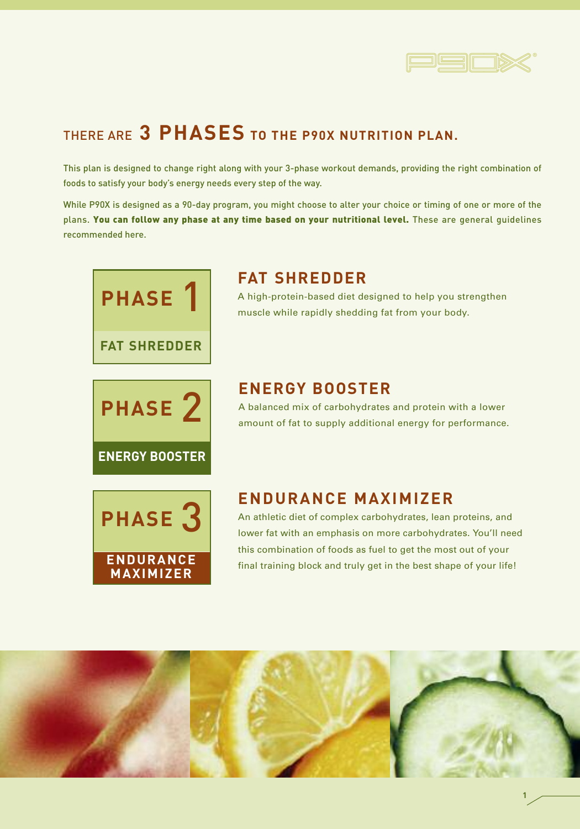

## THERE ARE **3 PHASES TO THE P90X NUTRITION PLAN.**

This plan is designed to change right along with your 3-phase workout demands, providing the right combination of foods to satisfy your body's energy needs every step of the way.

While P90X is designed as a 90-day program, you might choose to alter your choice or timing of one or more of the plans. **You can follow any phase at any time based on your nutritional level.** These are general guidelines recommended here.



# PHASE<sub>2</sub> **ENERGY BOOSTER**

## **FAT SHREDDER**

A high-protein-based diet designed to help you strengthen muscle while rapidly shedding fat from your body.

## **ENERGY BOOSTER**

A balanced mix of carbohydrates and protein with a lower amount of fat to supply additional energy for performance.



## **ENDURANCE MAXIMIZER**

An athletic diet of complex carbohydrates, lean proteins, and lower fat with an emphasis on more carbohydrates. You'll need this combination of foods as fuel to get the most out of your final training block and truly get in the best shape of your life!

**1**

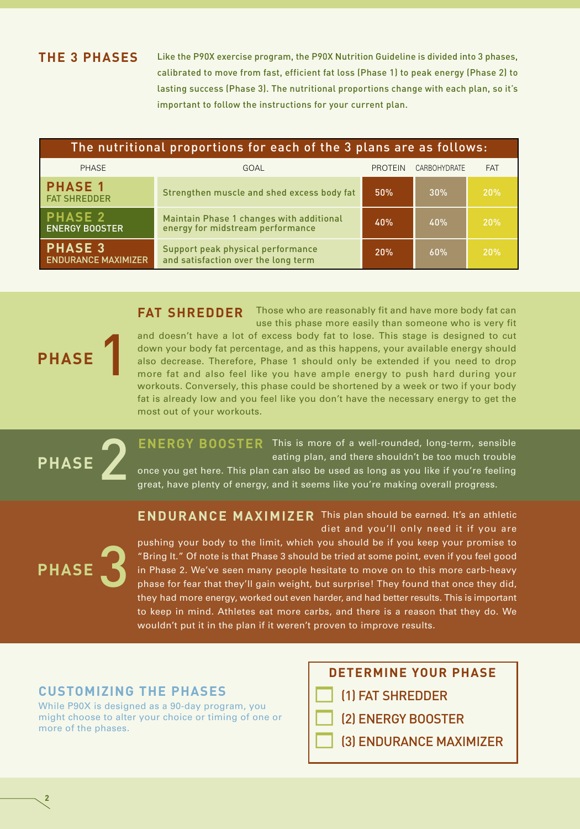#### **THE 3 PHASES**

Like the P90X exercise program, the P90X Nutrition Guideline is divided into 3 phases, calibrated to move from fast, efficient fat loss (Phase 1) to peak energy (Phase 2) to lasting success (Phase 3). The nutritional proportions change with each plan, so it's important to follow the instructions for your current plan.

| The nutritional proportions for each of the 3 plans are as follows: |                                                                              |                |              |            |
|---------------------------------------------------------------------|------------------------------------------------------------------------------|----------------|--------------|------------|
| <b>PHASE</b>                                                        | GOAL                                                                         | <b>PROTEIN</b> | CARBOHYDRATE | <b>FAT</b> |
| <b>PHASE 1</b><br><b>FAT SHREDDER</b>                               | Strengthen muscle and shed excess body fat                                   | 50%            | 30%          | 20%        |
| <b>PHASE 2</b><br><b>ENERGY BOOSTER</b>                             | Maintain Phase 1 changes with additional<br>energy for midstream performance | 40%            | 40%          | 20%        |
| <b>PHASE 3</b><br><b>ENDURANCE MAXIMIZER</b>                        | Support peak physical performance<br>and satisfaction over the long term     | 20%            | 60%          | 20%        |

**FAT SHREDDER** Those who are reasonably fit and have more body fat can use this phase more easily than someone who is very fit and doesn't have a lot of excess body fat to lose. This stage is designed to cut down your body fat percentage, and as this happens, your available energy should also decrease. Therefore, Phase 1 should only be extended if you need to drop more fat and also feel like you have ample energy to push hard during your workouts. Conversely, this phase could be shortened by a week or two if your body fat is already low and you feel like you don't have the necessary energy to get the most out of your workouts.



**PHASE** 

**ENERGY BOOSTER** This is more of a well-rounded, long-term, sensible eating plan, and there shouldn't be too much trouble once you get here. This plan can also be used as long as you like if you're feeling

great, have plenty of energy, and it seems like you're making overall progress.

**ENDURANCE MAXIMIZER** This plan should be earned. It's an athletic diet and you'll only need it if you are



**2**

pushing your body to the limit, which you should be if you keep your promise to "Bring It." Of note is that Phase 3 should be tried at some point, even if you feel good in Phase 2. We've seen many people hesitate to move on to this more carb-heavy phase for fear that they'll gain weight, but surprise! They found that once they did, they had more energy, worked out even harder, and had better results. This is important to keep in mind. Athletes eat more carbs, and there is a reason that they do. We wouldn't put it in the plan if it weren't proven to improve results.

#### **CUSTOMIZING THE PHASES**

While P90X is designed as a 90-day program, you might choose to alter your choice or timing of one or more of the phases.

- **DETERMINE YOUR PHASE**
- $\Box$ (1) FAT SHREDDER
- -(2) ENERGY BOOSTER
- -(3) ENDURANCE MAXIMIZER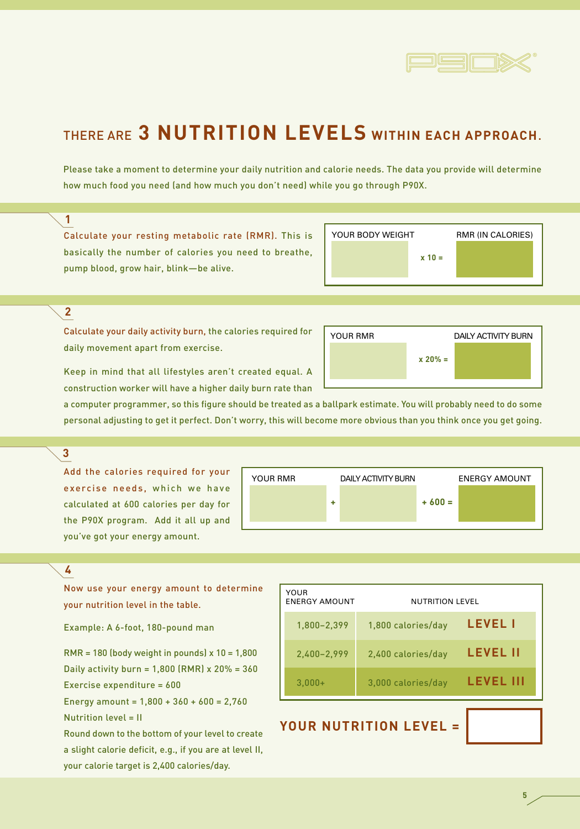

## THERE ARE **3 NUTRITION LEVELS WITHIN EACH APPROACH**.

Please take a moment to determine your daily nutrition and calorie needs. The data you provide will determine how much food you need (and how much you don't need) while you go through P90X.

#### **1**

Calculate your resting metabolic rate (RMR). This is basically the number of calories you need to breathe, pump blood, grow hair, blink—be alive.

| YOUR BODY WEIGHT |          | <b>RMR (IN CALORIES)</b> |
|------------------|----------|--------------------------|
|                  | $x = 10$ |                          |
|                  |          |                          |

#### **2**

Calculate your daily activity burn, the calories required for daily movement apart from exercise.



a computer programmer, so this figure should be treated as a ballpark estimate. You will probably need to do some personal adjusting to get it perfect. Don't worry, this will become more obvious than you think once you get going.

#### **3**

Add the calories required for your exercise needs, which we have calculated at 600 calories per day for the P90X program. Add it all up and you've got your energy amount.

| <b>YOUR RMR</b> |   | <b>DAILY ACTIVITY BURN</b> |         | <b>ENERGY AMOUNT</b> |
|-----------------|---|----------------------------|---------|----------------------|
|                 | ٠ |                            | $+600=$ |                      |
|                 |   |                            |         |                      |

#### **4**

Now use your energy amount to determine your nutrition level in the table.

Example: A 6-foot, 180-pound man

RMR = 180 (body weight in pounds) x 10 = 1,800 Daily activity burn = 1,800 (RMR) x 20% = 360 Exercise expenditure = 600

Energy amount =  $1,800 + 360 + 600 = 2,760$ Nutrition level = II

Round down to the bottom of your level to create a slight calorie deficit, e.g., if you are at level II, your calorie target is 2,400 calories/day.

| YOUR<br><b>ENERGY AMOUNT</b> | NUTRITION LEVEL    |                  |
|------------------------------|--------------------|------------------|
| 1,800-2,399                  | 1,800 calories/day | <b>LEVEL I</b>   |
| 2,400-2,999                  | 2,400 calories/day | <b>LEVEL II</b>  |
| $3.000+$                     | 3,000 calories/day | <b>LEVEL III</b> |

## **YOUR NUTRITION LEVEL =**

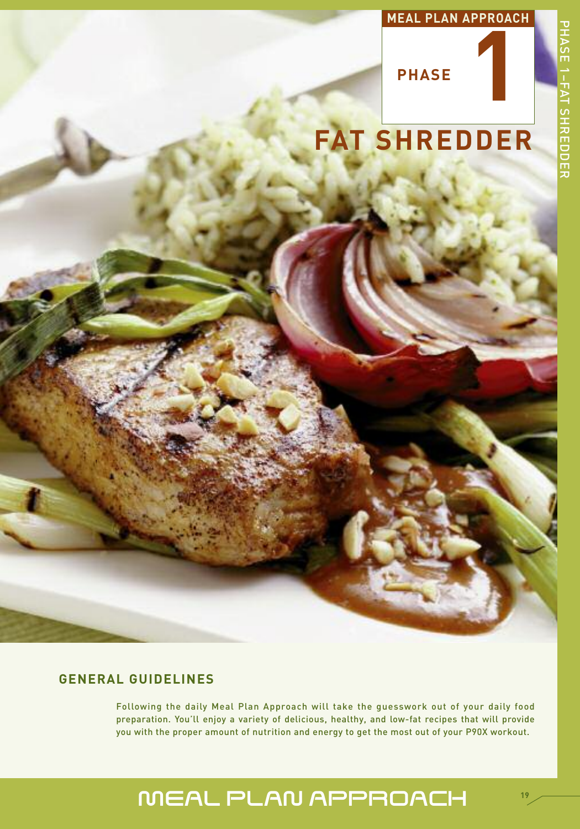# **1 MEAL PLAN APPROACH**



**PHASE**

# **FAT SHREDDER**

## **GENERAL GUIDELINES**

Following the daily Meal Plan Approach will take the guesswork out of your daily food preparation. You'll enjoy a variety of delicious, healthy, and low-fat recipes that will provide you with the proper amount of nutrition and energy to get the most out of your P90X workout.

# MEAL PLAN APPROACH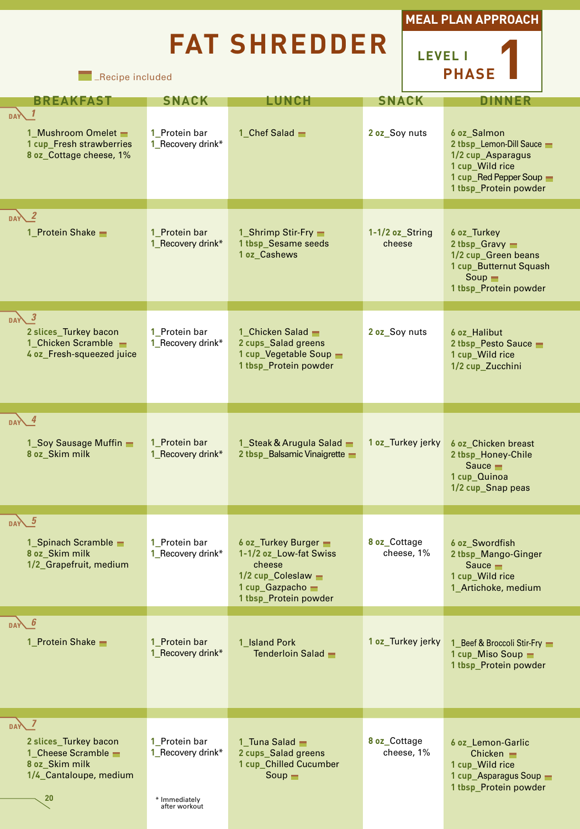# **FAT SHREDDER**





**EXECUTE:** Recipe included

| <b>BREAKFAST</b>                                                                                                | <b>SNACK</b>                                                         | LUNCH                                                                                                                                      | <b>SNACK</b>               | DINNER                                                                                                                             |
|-----------------------------------------------------------------------------------------------------------------|----------------------------------------------------------------------|--------------------------------------------------------------------------------------------------------------------------------------------|----------------------------|------------------------------------------------------------------------------------------------------------------------------------|
| <b>DAY</b><br>1_Mushroom Omelet -<br>1 cup_Fresh strawberries<br>8 oz_Cottage cheese, 1%                        | 1 Protein bar<br>1_Recovery drink*                                   | 1 Chef Salad $-$                                                                                                                           | 2 oz_Soy nuts              | 6 oz Salmon<br>2 tbsp_Lemon-Dill Sauce<br>1/2 cup_Asparagus<br>1 cup_Wild rice<br>1 cup_Red Pepper Soup -<br>1 tbsp_Protein powder |
| DAY 2<br>1_Protein Shake -                                                                                      | 1 Protein bar<br>1_Recovery drink*                                   | 1_Shrimp Stir-Fry -<br>1 tbsp_Sesame seeds<br>1 oz_Cashews                                                                                 | 1-1/2 oz_String<br>cheese  | 6 oz Turkey<br>2 tbsp_Gravy =<br>1/2 cup_Green beans<br>1 cup_Butternut Squash<br>Soup<br>1 tbsp_Protein powder                    |
| DAY 3<br>2 slices_Turkey bacon<br>1_Chicken Scramble -<br>4 oz_Fresh-squeezed juice                             | 1 Protein bar<br>1_Recovery drink*                                   | 1 Chicken Salad -<br>2 cups_Salad greens<br>1 cup_Vegetable Soup -<br>1 tbsp Protein powder                                                | 2 oz_Soy nuts              | 6 oz Halibut<br>2 tbsp_Pesto Sauce<br>1 cup_Wild rice<br>1/2 cup_Zucchini                                                          |
| $\sqrt{4}$<br>1_Soy Sausage Muffin -<br>8 oz_Skim milk                                                          | 1 Protein bar<br>1_Recovery drink*                                   | 1_Steak & Arugula Salad -<br>2 tbsp_Balsamic Vinaigrette                                                                                   | 1 oz_Turkey jerky          | 6 oz Chicken breast<br>2 tbsp_Honey-Chile<br>Sauce $\blacksquare$<br>1 cup_Quinoa<br>1/2 cup_Snap peas                             |
| $\overline{DAY}$ 5<br>1_Spinach Scramble -<br>8 oz_Skim milk<br>1/2_Grapefruit, medium                          | 1 Protein bar<br>1_Recovery drink*                                   | 6 oz_Turkey Burger -<br>1-1/2 oz_Low-fat Swiss<br>cheese<br>$1/2$ cup_Coleslaw $\blacksquare$<br>1 cup_Gazpacho -<br>1 tbsp Protein powder | 8 oz Cottage<br>cheese, 1% | 6 oz_Swordfish<br>2 tbsp_Mango-Ginger<br>Sauce $\blacksquare$<br>1 cup_Wild rice<br>1_Artichoke, medium                            |
| b<br><b>DAY</b><br>1 Protein Shake                                                                              | 1 Protein bar<br>1_Recovery drink*                                   | 1 Island Pork<br>Tenderloin Salad -                                                                                                        | 1 oz Turkey jerky          | 1 Beef & Broccoli Stir-Fry<br>1 $cup$ Miso Soup $\blacksquare$<br>1 tbsp_Protein powder                                            |
| $DA\lambda$ 7<br>2 slices Turkey bacon<br>1_Cheese Scramble -<br>8 oz_Skim milk<br>1/4_Cantaloupe, medium<br>20 | 1 Protein bar<br>1_Recovery drink*<br>* Immediately<br>after workout | 1 Tuna Salad $\blacksquare$<br>2 cups Salad greens<br>1 cup_Chilled Cucumber<br>$Soup$ $\blacksquare$                                      | 8 oz Cottage<br>cheese, 1% | 6 oz Lemon-Garlic<br>Chicken $\blacksquare$<br>1 cup_Wild rice<br>1 cup_Asparagus Soup -<br>1 tbsp_Protein powder                  |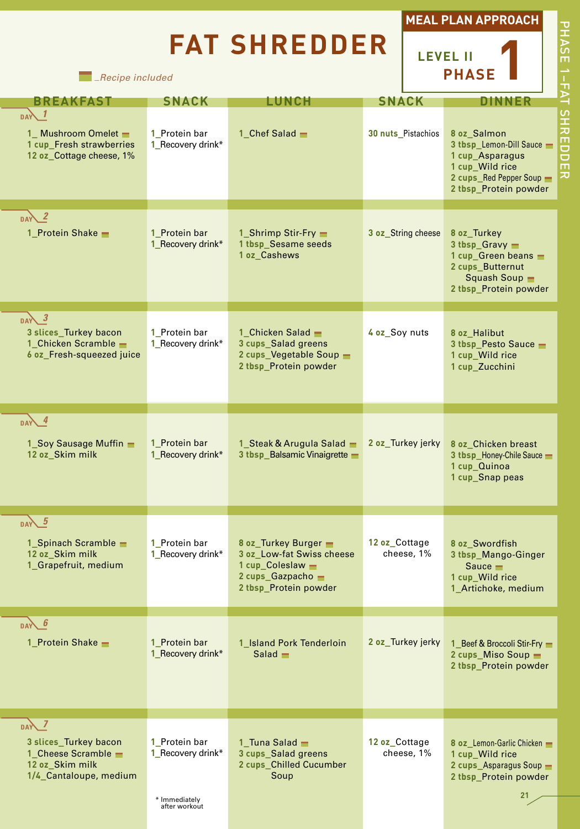# **FAT SHREDDER**





*\_Recipe included*

| <b>BREAKFAST</b>                                                                                                     | <b>SNACK</b>                                                         | LUNCH                                                                                                                          | <b>SNACK</b>                | DINNER                                                                                                                              |
|----------------------------------------------------------------------------------------------------------------------|----------------------------------------------------------------------|--------------------------------------------------------------------------------------------------------------------------------|-----------------------------|-------------------------------------------------------------------------------------------------------------------------------------|
| DAY<br>1_Mushroom Omelet -<br>1 cup_Fresh strawberries<br>12 oz Cottage cheese, 1%                                   | 1 Protein bar<br>1_Recovery drink*                                   | 1_Chef Salad -                                                                                                                 | 30 nuts_Pistachios          | 8 oz Salmon<br>3 tbsp_Lemon-Dill Sauce -<br>1 cup_Asparagus<br>1 cup_Wild rice<br>2 cups_Red Pepper Soup -<br>2 tbsp_Protein powder |
| $DAY^2$<br>1_Protein Shake -                                                                                         | 1 Protein bar<br>1_Recovery drink*                                   | 1_Shrimp Stir-Fry -<br>1 tbsp_Sesame seeds<br>1 oz_Cashews                                                                     | 3 oz_String cheese          | 8 oz Turkey<br>$3$ tbsp Gravy<br>1 cup_Green beans =<br>2 cups_Butternut<br>Squash Soup<br>2 tbsp_Protein powder                    |
| $\overline{\phantom{a}}$<br><b>DAY</b><br>3 slices_Turkey bacon<br>1_Chicken Scramble -<br>6 oz_Fresh-squeezed juice | 1_Protein bar<br>1_Recovery drink*                                   | 1 Chicken Salad -<br>3 cups_Salad greens<br>2 cups_Vegetable Soup -<br>2 tbsp_Protein powder                                   | 4 oz_Soy nuts               | 8 oz_Halibut<br>3 tbsp_Pesto Sauce<br>1 cup Wild rice<br>1 cup_Zucchini                                                             |
| $DAY$ $4$<br>1_Soy Sausage Muffin -<br>12 oz_Skim milk                                                               | 1 Protein bar<br>1_Recovery drink*                                   | 1_Steak & Arugula Salad -<br>3 tbsp_Balsamic Vinaigrette -                                                                     | 2 oz_Turkey jerky           | 8 oz Chicken breast<br>3 tbsp_Honey-Chile Sauce<br>1 cup_Quinoa<br>1 cup_Snap peas                                                  |
| $DAV$ $5$<br>1_Spinach Scramble -<br>12 oz_Skim milk<br>1_Grapefruit, medium                                         | 1 Protein bar<br>1_Recovery drink*                                   | 8 oz Turkey Burger<br>3 oz_Low-fat Swiss cheese<br>1 cup Coleslaw $\blacksquare$<br>2 cups_Gazpacho -<br>2 tbsp Protein powder | 12 oz Cottage<br>cheese, 1% | 8 oz_Swordfish<br>3 tbsp_Mango-Ginger<br>Sauce $\blacksquare$<br>1 cup_Wild rice<br>1_Artichoke, medium                             |
| $DAY$ 6<br>1 Protein Shake -                                                                                         | 1 Protein bar<br>1_Recovery drink*                                   | 1 Island Pork Tenderloin<br>$Salad$ $\blacksquare$                                                                             | 2 oz Turkey jerky           | 1 Beef & Broccoli Stir-Fry<br>2 cups_Miso Soup -<br>2 tbsp_Protein powder                                                           |
| $DA\sqrt{7}$<br>3 slices Turkey bacon<br>1_Cheese Scramble -<br>12 oz_Skim milk<br>1/4_Cantaloupe, medium            | 1 Protein bar<br>1_Recovery drink*<br>* Immediately<br>after workout | 1 Tuna Salad $\blacksquare$<br>3 cups_Salad greens<br>2 cups_Chilled Cucumber<br>Soup                                          | 12 oz Cottage<br>cheese, 1% | 8 oz Lemon-Garlic Chicken<br>1 cup Wild rice<br>2 cups_Asparagus Soup =<br>2 tbsp_Protein powder<br>21                              |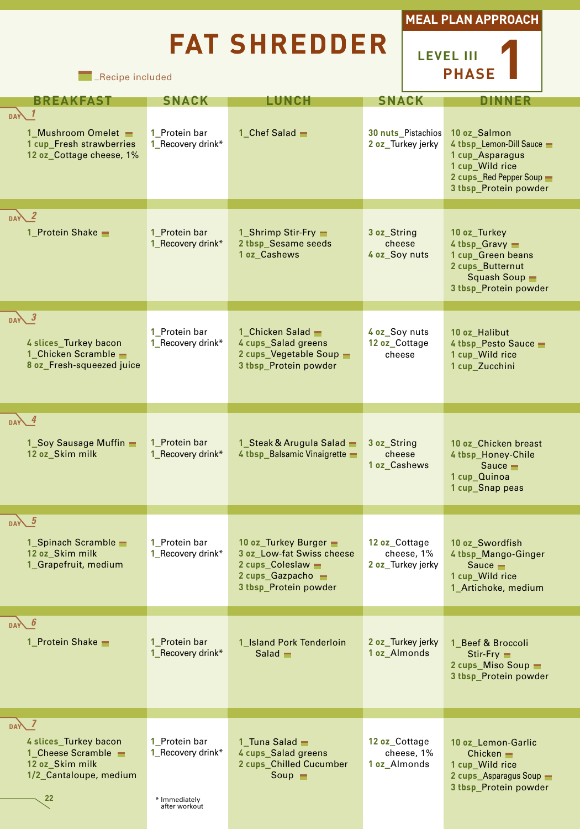# **FAT SHREDDER**



**LEVEL III PHASE1**

**EXECUTE:** Recipe included

| <b>BREAKFAST</b>                                                                                                 | <b>SNACK</b>                                                         | <b>LUNCH</b>                                                                                                          | <b>SNACK</b>                                     | DINNER                                                                                                                             |
|------------------------------------------------------------------------------------------------------------------|----------------------------------------------------------------------|-----------------------------------------------------------------------------------------------------------------------|--------------------------------------------------|------------------------------------------------------------------------------------------------------------------------------------|
| <b>DAY</b><br>1_Mushroom Omelet -<br>1 cup_Fresh strawberries<br>12 oz_Cottage cheese, 1%                        | 1 Protein bar<br>1_Recovery drink*                                   | 1 Chef Salad $-$                                                                                                      | 30 nuts_Pistachios<br>2 oz_Turkey jerky          | 10 oz Salmon<br>4 tbsp_Lemon-Dill Sauce<br>1 cup Asparagus<br>1 cup_Wild rice<br>2 cups_Red Pepper Soup -<br>3 tbsp_Protein powder |
| $\sqrt{2}$<br>1 Protein Shake                                                                                    | 1 Protein bar<br>1_Recovery drink*                                   | 1_Shrimp Stir-Fry -<br>2 tbsp_Sesame seeds<br>1 oz_Cashews                                                            | 3 oz String<br>cheese<br>4 oz Soy nuts           | 10 oz Turkey<br>4 tbsp_Gravy -<br>1 cup_Green beans<br>2 cups_Butternut<br>Squash Soup $\blacksquare$<br>3 tbsp_Protein powder     |
| $DAV^3$<br>4 slices_Turkey bacon<br>1_Chicken Scramble -<br>8 oz Fresh-squeezed juice                            | 1_Protein bar<br>1 Recovery drink*                                   | 1 Chicken Salad -<br>4 cups_Salad greens<br>2 cups_Vegetable Soup -<br>3 tbsp_Protein powder                          | 4 oz_Soy nuts<br>12 oz Cottage<br>cheese         | 10 oz_Halibut<br>4 tbsp_Pesto Sauce<br>1 cup_Wild rice<br>1 cup_Zucchini                                                           |
| $\sqrt{4}$<br>1_Soy Sausage Muffin -<br>12 oz_Skim milk                                                          | 1 Protein bar<br>1_Recovery drink*                                   | 1_Steak & Arugula Salad -<br>4 tbsp_Balsamic Vinaigrette                                                              | 3 oz String<br>cheese<br>1 oz_Cashews            | 10 oz Chicken breast<br>4 tbsp_Honey-Chile<br>Sauce $\blacksquare$<br>1 cup Quinoa<br>1 cup_Snap peas                              |
| $\overline{DAY}$ 5<br>1_Spinach Scramble -<br>12 oz_Skim milk<br>1_Grapefruit, medium                            | 1 Protein bar<br>1_Recovery drink*                                   | 10 oz_Turkey Burger -<br>3 oz Low-fat Swiss cheese<br>2 cups_Coleslaw -<br>2 cups_Gazpacho =<br>3 tbsp Protein powder | 12 oz Cottage<br>cheese, 1%<br>2 oz_Turkey jerky | 10 oz_Swordfish<br>4 tbsp_Mango-Ginger<br>Sauce $\blacksquare$<br>1 cup_Wild rice<br>1_Artichoke, medium                           |
| <b>6</b><br><b>DAY</b><br>1 Protein Shake                                                                        | 1 Protein bar<br>1_Recovery drink*                                   | 1_Island Pork Tenderloin<br>$Salad$ $\blacksquare$                                                                    | 2 oz Turkey jerky<br>1 oz Almonds                | 1 Beef & Broccoli<br>Stir-Fry<br>2 cups Miso Soup<br>3 tbsp_Protein powder                                                         |
| $DA\lambda$ 7<br>4 slices Turkey bacon<br>1_Cheese Scramble -<br>12 oz_Skim milk<br>1/2_Cantaloupe, medium<br>22 | 1 Protein bar<br>1_Recovery drink*<br>* Immediately<br>after workout | 1 Tuna Salad $-$<br>4 cups_Salad greens<br>2 cups_Chilled Cucumber<br>Soup $\blacksquare$                             | 12 oz Cottage<br>cheese, 1%<br>1 oz Almonds      | 10 oz Lemon-Garlic<br>Chicken $\blacksquare$<br>1 cup_Wild rice<br>2 cups_Asparagus Soup -<br>3 tbsp_Protein powder                |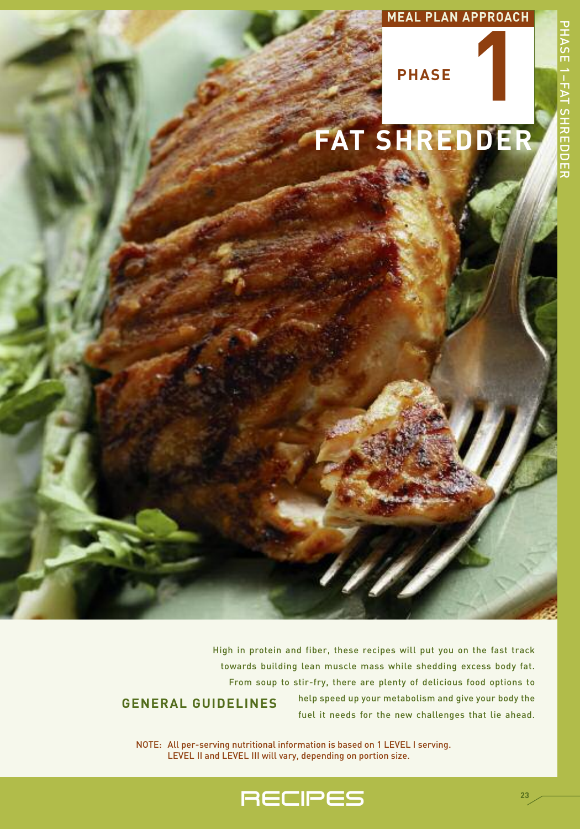



High in protein and fiber, these recipes will put you on the fast track towards building lean muscle mass while shedding excess body fat. From soup to stir-fry, there are plenty of delicious food options to help speed up your metabolism and give your body the fuel it needs for the new challenges that lie ahead. **GENERAL GUIDELINES**

NOTE: All per-serving nutritional information is based on 1 LEVEL I serving. LEVEL II and LEVEL III will vary, depending on portion size.

**RECIPES**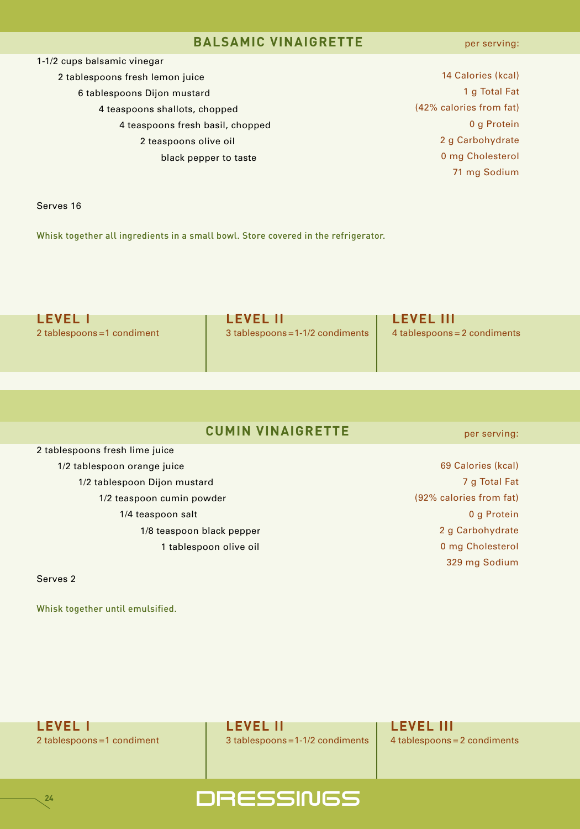#### **BALSAMIC VINAIGRETTE**

per serving:

1-1/2 cups balsamic vinegar

- 2 tablespoons fresh lemon juice 6 tablespoons Dijon mustard
	- 4 teaspoons shallots, chopped
		- 4 teaspoons fresh basil, chopped
			- 2 teaspoons olive oil
				- black pepper to taste

 Calories (kcal) g Total Fat (42% calories from fat) g Protein g Carbohydrate mg Cholesterol mg Sodium

Serves 16

Whisk together all ingredients in a small bowl. Store covered in the refrigerator.

**LEVEL I LEVEL II LEVEL III** 2 tablespoons = 1 condiment 3 tablespoons = 1-1/2 condiments 4 tablespoons = 2 condiments

## **CUMIN VINAIGRETTE**

2 tablespoons fresh lime juice 1/2 tablespoon orange juice 1/2 tablespoon Dijon mustard 1/2 teaspoon cumin powder 1/4 teaspoon salt 1/8 teaspoon black pepper 1 tablespoon olive oil

Serves 2

**24**

Whisk together until emulsified.

per serving:

 Calories (kcal) g Total Fat (92% calories from fat) g Protein g Carbohydrate mg Cholesterol 329 mg Sodium

**LEVEL I LEVEL II LEVEL III**

2 tablespoons = 1 condiment 3 tablespoons = 1-1/2 condiments 4 tablespoons = 2 condiments

## DRESSINGS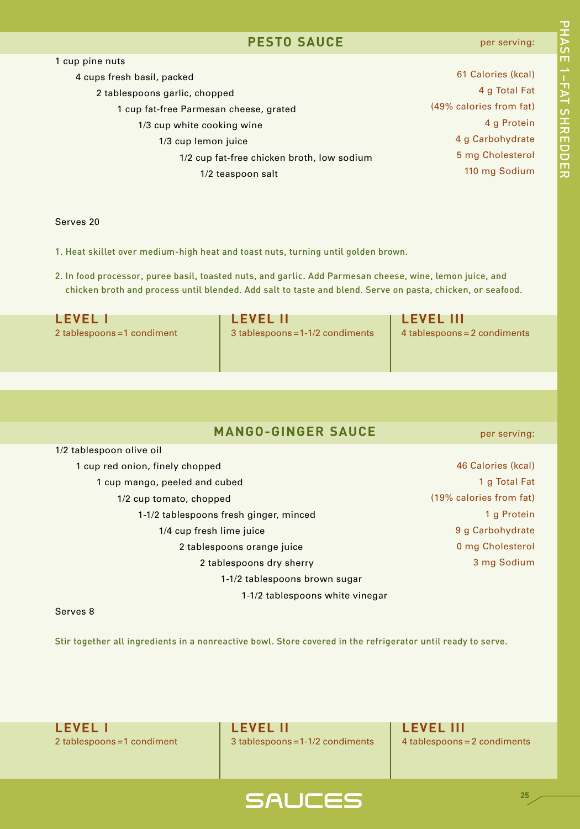#### **PESTO SAUCE**

#### per serving:

| 1 cup pine nuts                            |                         |
|--------------------------------------------|-------------------------|
| 4 cups fresh basil, packed                 | 61 Calories (kcal)      |
| 2 tablespoons garlic, chopped              | 4 g Total Fat           |
| 1 cup fat-free Parmesan cheese, grated     | (49% calories from fat) |
| 1/3 cup white cooking wine                 | 4 g Protein             |
| 1/3 cup lemon juice                        | 4 g Carbohydrate        |
| 1/2 cup fat-free chicken broth, low sodium | 5 mg Cholesterol        |
| 1/2 teaspoon salt                          | 110 mg Sodium           |
|                                            |                         |

Serves 20

1. Heat skillet over medium-high heat and toast nuts, turning until golden brown.

2. In food processor, puree basil, toasted nuts, and garlic. Add Parmesan cheese, wine, lemon juice, and chicken broth and process until blended. Add salt to taste and blend. Serve on pasta, chicken, or seafood.

| <b>LEVEL I</b>              | <b>LEVEL II</b>                  | T LEVEL III                  |
|-----------------------------|----------------------------------|------------------------------|
| 2 tablespoons = 1 condiment | 3 tablespoons = 1-1/2 condiments | 4 tablespoons = 2 condiments |
|                             |                                  |                              |
|                             |                                  |                              |

## **MANGO-GINGER SAUCE**

per serving:

| 1/2 tablespoon olive oil               |                         |
|----------------------------------------|-------------------------|
| 1 cup red onion, finely chopped        | 46 Calories (kcal)      |
| 1 cup mango, peeled and cubed          | 1 g Total Fat           |
| 1/2 cup tomato, chopped                | (19% calories from fat) |
| 1-1/2 tablespoons fresh ginger, minced | 1 g Protein             |
| 1/4 cup fresh lime juice               | 9 g Carbohydrate        |
| 2 tablespoons orange juice             | 0 mg Cholesterol        |
| 2 tablespoons dry sherry               | 3 mg Sodium             |
| 1-1/2 tablespoons brown sugar          |                         |
| 1-1/2 tablespoons white vinegar        |                         |
|                                        |                         |

#### Serves 8

Stir together all ingredients in a nonreactive bowl. Store covered in the refrigerator until ready to serve.

**LEVEL I LEVEL II LEVEL III**

2 tablespoons =1 condiment 3 tablespoons = 1-1/2 condiments 4 tablespoons = 2 condiments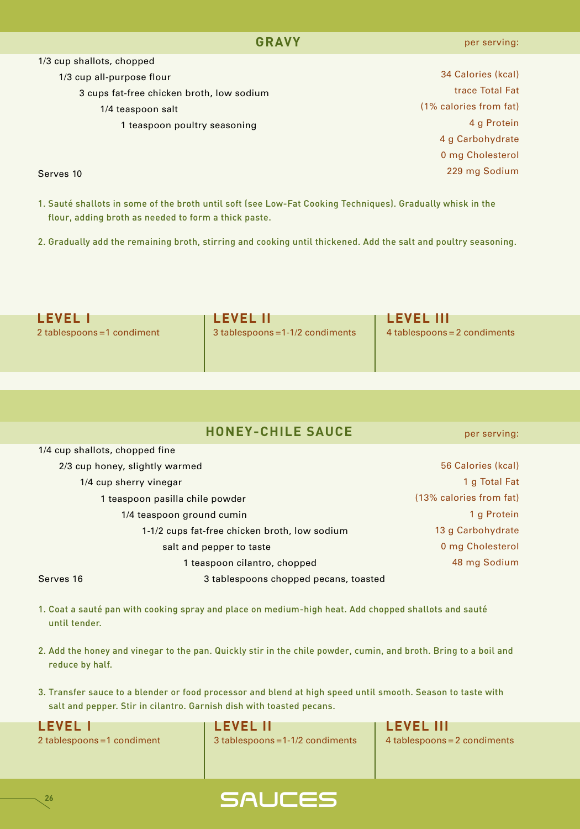Calories (kcal) trace Total Fat (1% calories from fat) g Protein g Carbohydrate mg Cholesterol mg Sodium

1/3 cup shallots, chopped

1/3 cup all-purpose flour

3 cups fat-free chicken broth, low sodium

- 1/4 teaspoon salt
	- 1 teaspoon poultry seasoning

Serves 10

- 1. Sauté shallots in some of the broth until soft (see Low-Fat Cooking Techniques). Gradually whisk in the flour, adding broth as needed to form a thick paste.
- 2. Gradually add the remaining broth, stirring and cooking until thickened. Add the salt and poultry seasoning.

| <b>LEVEL 1</b>              | I LEVEL III                      | <b>LEVEL III</b>             |
|-----------------------------|----------------------------------|------------------------------|
| 2 tablespoons = 1 condiment | 3 tablespoons = 1-1/2 condiments | 4 tablespoons = 2 condiments |
|                             |                                  |                              |
|                             |                                  |                              |

per serving:

| 174 cup shanots, chopped line |                                               |                         |
|-------------------------------|-----------------------------------------------|-------------------------|
|                               | 2/3 cup honey, slightly warmed                | 56 Calories (kcal)      |
|                               | 1/4 cup sherry vinegar                        | 1 g Total Fat           |
|                               | 1 teaspoon pasilla chile powder               | (13% calories from fat) |
|                               | 1/4 teaspoon ground cumin                     | 1 g Protein             |
|                               | 1-1/2 cups fat-free chicken broth, low sodium | 13 g Carbohydrate       |
|                               | salt and pepper to taste                      | 0 mg Cholesterol        |
|                               | 1 teaspoon cilantro, chopped                  | 48 mg Sodium            |
| Serves 16                     | 3 tablespoons chopped pecans, toasted         |                         |

- 1. Coat a sauté pan with cooking spray and place on medium-high heat. Add chopped shallots and sauté until tender.
- 2. Add the honey and vinegar to the pan. Quickly stir in the chile powder, cumin, and broth. Bring to a boil and reduce by half.
- 3. Transfer sauce to a blender or food processor and blend at high speed until smooth. Season to taste with salt and pepper. Stir in cilantro. Garnish dish with toasted pecans.

1/4 cup shallots, chopped fine

**LEVEL I LEVEL II LEVEL III** 2 tablespoons =1 condiment 3 tablespoons =1-1/2 condiments 4 tablespoons = 2 condiments

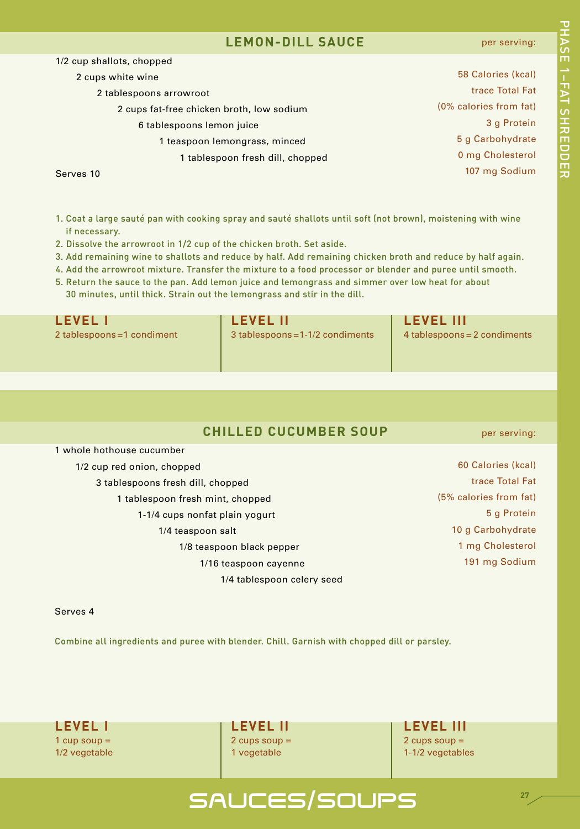#### **LEMON-DILL SAUCE**

#### per serving:

| 1/2 cup shallots, chopped                 |                        |
|-------------------------------------------|------------------------|
| 2 cups white wine                         | 58 Calories (kcal)     |
| 2 tablespoons arrowroot                   | trace Total Fat        |
| 2 cups fat-free chicken broth, low sodium | (0% calories from fat) |
| 6 tablespoons lemon juice                 | 3 g Protein            |
| 1 teaspoon lemongrass, minced             | 5 g Carbohydrate       |
| 1 tablespoon fresh dill, chopped          | 0 mg Cholesterol       |
| Serves 10                                 | 107 mg Sodium          |

Serves 10

- 1. Coat a large sauté pan with cooking spray and sauté shallots until soft (not brown), moistening with wine if necessary.
- 2. Dissolve the arrowroot in 1/2 cup of the chicken broth. Set aside.
- 3. Add remaining wine to shallots and reduce by half. Add remaining chicken broth and reduce by half again.
- 4. Add the arrowroot mixture. Transfer the mixture to a food processor or blender and puree until smooth.
- 5. Return the sauce to the pan. Add lemon juice and lemongrass and simmer over low heat for about 30 minutes, until thick. Strain out the lemongrass and stir in the dill.

| <b>LEVEL I</b>              | <b>LEVEL II</b>                  | <b>LEVEL III</b>             |
|-----------------------------|----------------------------------|------------------------------|
| 2 tablespoons = 1 condiment | 3 tablespoons = 1-1/2 condiments | 4 tablespoons = 2 condiments |
|                             |                                  |                              |

## **CHILLED CUCUMBER SOUP**

1 whole hothouse cucumber

1/2 cup red onion, chopped

- 3 tablespoons fresh dill, chopped
	- 1 tablespoon fresh mint, chopped 1-1/4 cups nonfat plain yogurt 1/4 teaspoon salt 1/8 teaspoon black pepper 1/16 teaspoon cayenne

1/4 tablespoon celery seed

per serving:

 Calories (kcal) trace Total Fat (5% calories from fat) g Protein g Carbohydrate mg Cholesterol mg Sodium

Serves 4

Combine all ingredients and puree with blender. Chill. Garnish with chopped dill or parsley.

**LEVEL I LEVEL II LEVEL III**  $1 \text{ cup soup} =$   $2 \text{ cups soup} =$   $2 \text{ cups soup} =$ 

1/2 vegetable 10 vegetable 10 vegetable 1-1/2 vegetables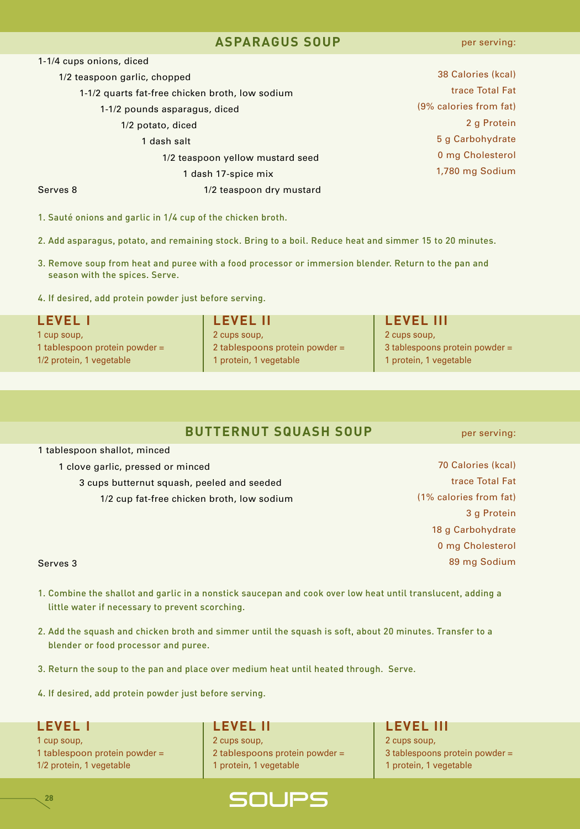#### **ASPARAGUS SOUP**

| 1-1/4 cups onions, diced                        |                                  |                        |
|-------------------------------------------------|----------------------------------|------------------------|
|                                                 | 1/2 teaspoon garlic, chopped     | 38 Calories (kcal)     |
| 1-1/2 quarts fat-free chicken broth, low sodium |                                  | trace Total Fat        |
|                                                 | 1-1/2 pounds asparagus, diced    | (9% calories from fat) |
|                                                 | 1/2 potato, diced                | 2 g Protein            |
|                                                 | 1 dash salt                      | 5 g Carbohydrate       |
|                                                 | 1/2 teaspoon yellow mustard seed | 0 mg Cholesterol       |
|                                                 | 1 dash 17-spice mix              | 1,780 mg Sodium        |
| Serves 8                                        | 1/2 teaspoon dry mustard         |                        |
|                                                 |                                  |                        |

1. Sauté onions and garlic in 1/4 cup of the chicken broth.

- 2. Add asparagus, potato, and remaining stock. Bring to a boil. Reduce heat and simmer 15 to 20 minutes.
- 3. Remove soup from heat and puree with a food processor or immersion blender. Return to the pan and season with the spices. Serve.
- 4. If desired, add protein powder just before serving.

| <b>LEVEL I</b>                  | <b>LEVEL II</b>                | <b>LEVEL III</b>                 |
|---------------------------------|--------------------------------|----------------------------------|
| 1 cup soup,                     | 2 cups soup,                   | 2 cups soup,                     |
| 1 tablespoon protein powder $=$ | 2 tablespoons protein powder = | 3 tablespoons protein powder $=$ |
| 1/2 protein, 1 vegetable        | 1 protein, 1 vegetable         | 1 protein, 1 vegetable           |

## **BUTTERNUT SQUASH SOUP**

1 tablespoon shallot, minced

1 clove garlic, pressed or minced

3 cups butternut squash, peeled and seeded 1/2 cup fat-free chicken broth, low sodium

70 Calories (kcal) trace Total Fat (1% calories from fat) 3 g Protein

> 18 g Carbohydrate 0 mg Cholesterol 89 mg Sodium

#### Serves 3

- 1. Combine the shallot and garlic in a nonstick saucepan and cook over low heat until translucent, adding a little water if necessary to prevent scorching.
- 2. Add the squash and chicken broth and simmer until the squash is soft, about 20 minutes. Transfer to a blender or food processor and puree.
- 3. Return the soup to the pan and place over medium heat until heated through. Serve.
- 4. If desired, add protein powder just before serving.

**28**

1 cup soup, 2 cups soup, 2 cups soup,

1 tablespoon protein powder = 2 tablespoons protein powder = 3 tablespoons protein powder = 1/2 protein, 1 vegetable 1 protein, 1 protein, 1 vegetable 1 protein, 1 vegetable



## **LEVEL I LEVEL II LEVEL III**

per serving: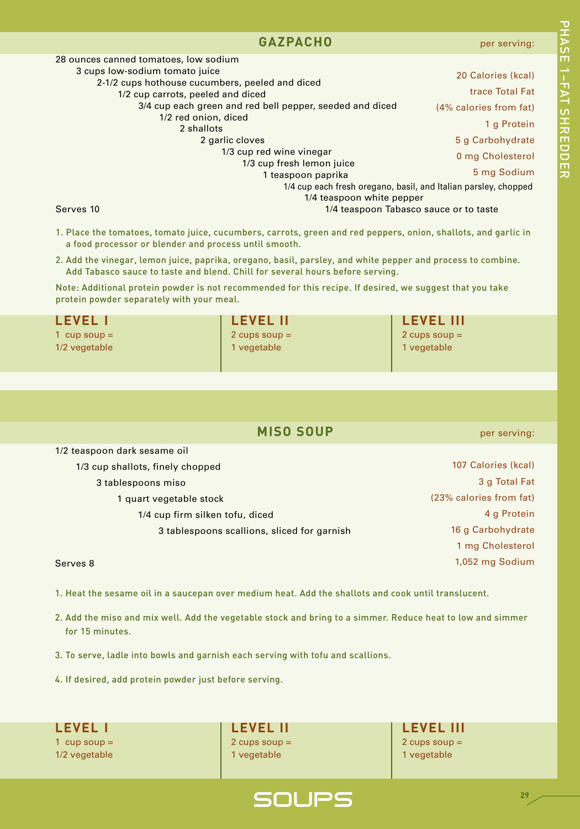#### **GAZPACHO**

3/4 cup each green and red bell pepper, seeded and diced

1/3 cup red wine vinegar

#### 1/4 cup each fresh oregano, basil, and Italian parsley, chopped per serving: 20 Calories (kcal) trace Total Fat (4% calories from fat) 1 g Protein 5 g Carbohydrate 0 mg Cholesterol 5 mg Sodium 고<br>고 A S E 1– F A T د<br>+ **カmワワmカ**

Serves 10 **1/4 teaspoon Tabasco sauce or to taste** 

1. Place the tomatoes, tomato juice, cucumbers, carrots, green and red peppers, onion, shallots, and garlic in a food processor or blender and process until smooth.

1/3 cup fresh lemon juice 1 teaspoon paprika

1/4 teaspoon white pepper

2. Add the vinegar, lemon juice, paprika, oregano, basil, parsley, and white pepper and process to combine. Add Tabasco sauce to taste and blend. Chill for several hours before serving.

Note: Additional protein powder is not recommended for this recipe. If desired, we suggest that you take protein powder separately with your meal.

| <b>LEVEL II</b> | <b>LEVEL III</b> |
|-----------------|------------------|
| 2 cups soup $=$ | 2 cups soup $=$  |
| 1 vegetable     | 1 vegetable      |
|                 |                  |
|                 |                  |

## **MISO SOUP**

1/2 teaspoon dark sesame oil

1/3 cup shallots, finely chopped

28 ounces canned tomatoes, low sodium 3 cups low-sodium tomato juice

> 2-1/2 cups hothouse cucumbers, peeled and diced 1/2 cup carrots, peeled and diced

> > 1/2 red onion, diced 2 shallots

> > > 2 garlic cloves

3 tablespoons miso

1 quart vegetable stock

1/4 cup firm silken tofu, diced

3 tablespoons scallions, sliced for garnish

#### Serves 8

1. Heat the sesame oil in a saucepan over medium heat. Add the shallots and cook until translucent.

- 2. Add the miso and mix well. Add the vegetable stock and bring to a simmer. Reduce heat to low and simmer for 15 minutes.
- 3. To serve, ladle into bowls and garnish each serving with tofu and scallions.
- 4. If desired, add protein powder just before serving.

1 cup soup = 2 cups soup = 2 cups soup = 2 cups soup = 2 cups soup = 2 cups soup = 1/2 vegetable 1 vegetable 1 vegetable 1 vegetable 1 vegetable

**LEVEL I LEVEL II LEVEL III**

per serving:

 Calories (kcal) g Total Fat (23% calories from fat) g Protein g Carbohydrate mg Cholesterol 1,052 mg Sodium

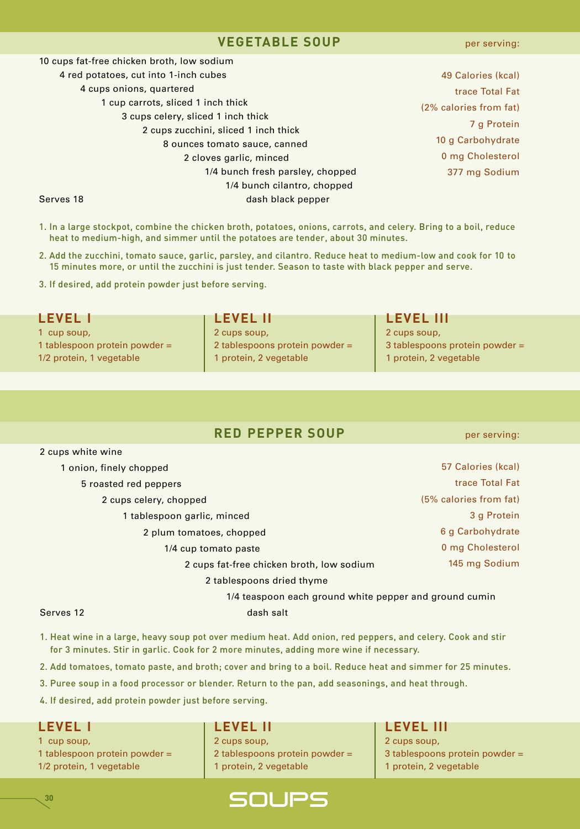#### **VEGETABLE SOUP**

 cups fat-free chicken broth, low sodium red potatoes, cut into 1-inch cubes cups onions, quartered cup carrots, sliced 1 inch thick cups celery, sliced 1 inch thick cups zucchini, sliced 1 inch thick ounces tomato sauce, canned cloves garlic, minced 1/4 bunch fresh parsley, chopped 1/4 bunch cilantro, chopped Serves 18 dash black pepper

 Calories (kcal) trace Total Fat (2% calories from fat) g Protein g Carbohydrate mg Cholesterol mg Sodium

- 1. In a large stockpot, combine the chicken broth, potatoes, onions, carrots, and celery. Bring to a boil, reduce heat to medium-high, and simmer until the potatoes are tender, about 30 minutes.
- 2. Add the zucchini, tomato sauce, garlic, parsley, and cilantro. Reduce heat to medium-low and cook for 10 to 15 minutes more, or until the zucchini is just tender. Season to taste with black pepper and serve.
- 3. If desired, add protein powder just before serving.

#### **LEVEL I LEVEL II LEVEL III** 1 cup soup, 2 cups soup, 2 cups soup, 2 cups soup, 2 cups soup, 1 tablespoon protein powder = 2 tablespoons protein powder = 3 tablespoons protein powder =

1/2 protein, 1 vegetable 1 protein, 2 vegetable 1 protein, 2 vegetable 1 protein, 2 vegetable

## **RED PEPPER SOUP**

per serving:

| Z cups white wine                                      |                        |
|--------------------------------------------------------|------------------------|
| 1 onion, finely chopped                                | 57 Calories (kcal)     |
| 5 roasted red peppers                                  | trace Total Fat        |
| 2 cups celery, chopped                                 | (5% calories from fat) |
| 1 tablespoon garlic, minced                            | 3 g Protein            |
| 2 plum tomatoes, chopped                               | 6 g Carbohydrate       |
| 1/4 cup tomato paste                                   | 0 mg Cholesterol       |
| 2 cups fat-free chicken broth, low sodium              | 145 mg Sodium          |
| 2 tablespoons dried thyme                              |                        |
| 1/4 teaspoon each ground white pepper and ground cumin |                        |

2 cups white wine

Serves 12 dash salt

- 1. Heat wine in a large, heavy soup pot over medium heat. Add onion, red peppers, and celery. Cook and stir for 3 minutes. Stir in garlic. Cook for 2 more minutes, adding more wine if necessary.
- 2. Add tomatoes, tomato paste, and broth; cover and bring to a boil. Reduce heat and simmer for 25 minutes.
- 3. Puree soup in a food processor or blender. Return to the pan, add seasonings, and heat through.
- 4. If desired, add protein powder just before serving.

**30**

1 cup soup, 2 cups soup, 2 cups soup, 2 cups soup, 2 cups soup,

1 tablespoon protein powder = 2 tablespoons protein powder = 3 tablespoons protein powder = 1/2 protein, 1 vegetable 1 protein, 2 vegetable 1 protein, 2 vegetable 1 protein, 2 vegetable

#### **LEVEL I LEVEL II LEVEL III**

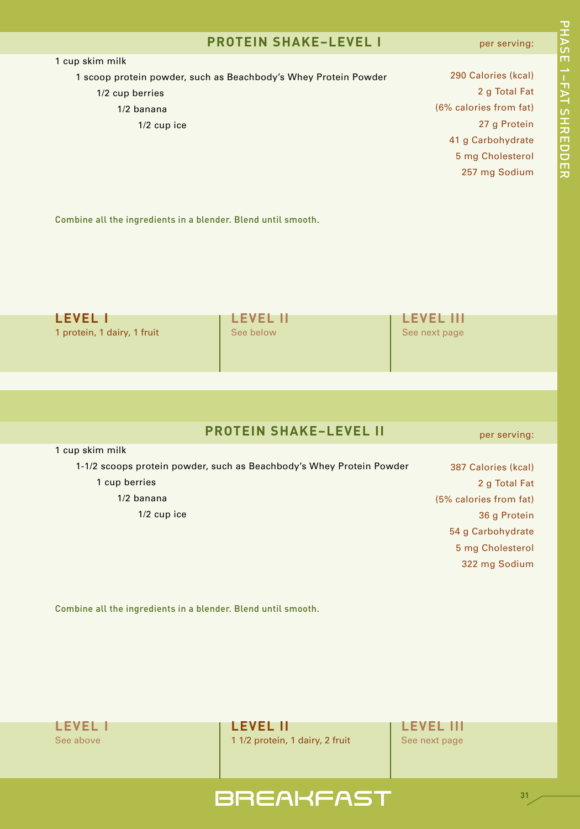### **PROTEIN SHAKE–LEVEL I**

#### per serving:

| 1 cup skim milk                                                 |                        |
|-----------------------------------------------------------------|------------------------|
| 1 scoop protein powder, such as Beachbody's Whey Protein Powder | 290 Calories (kcal)    |
| 1/2 cup berries                                                 | 2 g Total Fat          |
| $1/2$ banana                                                    | (6% calories from fat) |
| $1/2$ cup ice                                                   | 27 g Protein           |
|                                                                 | 41 g Carbohydrate      |
|                                                                 | 5 mg Cholesterol       |
|                                                                 | 257 mg Sodium          |
|                                                                 |                        |
|                                                                 |                        |
|                                                                 |                        |

Combine all the ingredients in a blender. Blend until smooth.

| <b>LEVEL I</b>              | <b>LEVEL II</b> | <b>LEVEL III</b> |
|-----------------------------|-----------------|------------------|
| 1 protein, 1 dairy, 1 fruit | See below       | See next page    |
|                             |                 |                  |
|                             |                 |                  |

## **PROTEIN SHAKE–LEVEL II**

1 cup skim milk

1-1/2 scoops protein powder, such as Beachbody's Whey Protein Powder 1 cup berries

1/2 banana

1/2 cup ice

 Calories (kcal) g Total Fat (5% calories from fat) g Protein g Carbohydrate mg Cholesterol mg Sodium

per serving:

Combine all the ingredients in a blender. Blend until smooth.

**LEVEL I LEVEL II LEVEL III** See above 1 1 1/2 protein, 1 dairy, 2 fruit See next page

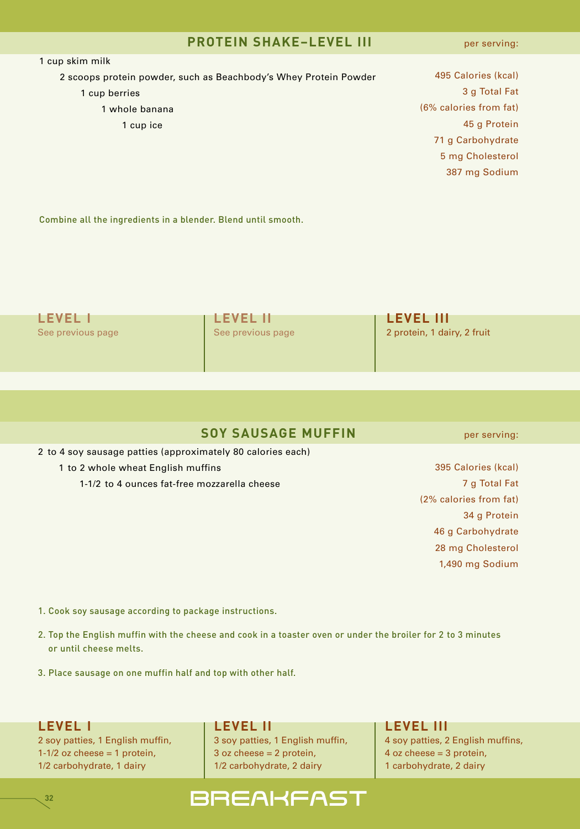### **PROTEIN SHAKE–LEVEL III**

per serving:

| 1 cup skim milk                                                  |                        |
|------------------------------------------------------------------|------------------------|
| 2 scoops protein powder, such as Beachbody's Whey Protein Powder | 495 Calories (kcal)    |
| 1 cup berries                                                    | 3 g Total Fat          |
| 1 whole banana                                                   | (6% calories from fat) |
| 1 cup ice                                                        | 45 g Protein           |
|                                                                  | 71 g Carbohydrate      |
|                                                                  | 5 mg Cholesterol       |
|                                                                  | 387 mg Sodium          |
|                                                                  |                        |
|                                                                  |                        |

Combine all the ingredients in a blender. Blend until smooth.

| I FVFI            | <b>LEVEL II</b>   | <b>LEVEL III</b>            |
|-------------------|-------------------|-----------------------------|
| See previous page | See previous page | 2 protein, 1 dairy, 2 fruit |
|                   |                   |                             |

#### **SOY SAUSAGE MUFFIN**

2 to 4 soy sausage patties (approximately 80 calories each)

- 1 to 2 whole wheat English muffins
	- 1-1/2 to 4 ounces fat-free mozzarella cheese

 Calories (kcal) g Total Fat (2% calories from fat) g Protein g Carbohydrate mg Cholesterol 1,490 mg Sodium

- 1. Cook soy sausage according to package instructions.
- 2. Top the English muffin with the cheese and cook in a toaster oven or under the broiler for 2 to 3 minutes or until cheese melts.
- 3. Place sausage on one muffin half and top with other half.

**LEVEL I LEVEL II LEVEL III**

**32**

2 soy patties, 1 English muffin, 2 soy patties, 1 English muffin, 4 soy patties, 2 English muffins, 1-1/2 oz cheese = 1 protein,  $\begin{vmatrix} 3 & 0 & 0 \\ 0 & 0 & 1 \end{vmatrix}$  a oz cheese = 2 protein,  $\begin{vmatrix} 4 & 0 & 0 \\ 0 & 0 & 0 \end{vmatrix}$  a  $\begin{vmatrix} 4 & 0 & 0 \\ 0 & 4 & 0 \end{vmatrix}$  and  $\begin{vmatrix} 4 & 0 & 0 \\ 0 & 4 & 0 \end{vmatrix}$  and  $\begin{vmatrix} 4 & 0 & 0 \\ 0 & 4 & 0 \end{vmatrix$ 1/2 carbohydrate, 1 dairy 1/2 carbohydrate, 2 dairy 1 carbohydrate, 2 dairy

## **BREAKFAST**

per serving: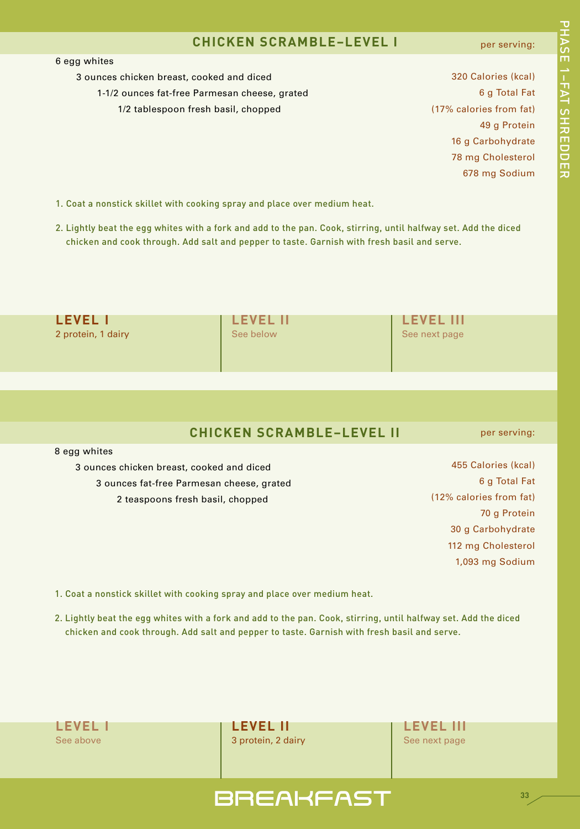#### **CHICKEN SCRAMBLE–LEVEL I**

#### per serving:

#### 6 egg whites

- 3 ounces chicken breast, cooked and diced
	- 1-1/2 ounces fat-free Parmesan cheese, grated
		- 1/2 tablespoon fresh basil, chopped

 Calories (kcal) g Total Fat (17% calories from fat) g Protein g Carbohydrate mg Cholesterol mg Sodium

- 1. Coat a nonstick skillet with cooking spray and place over medium heat.
- 2. Lightly beat the egg whites with a fork and add to the pan. Cook, stirring, until halfway set. Add the diced chicken and cook through. Add salt and pepper to taste. Garnish with fresh basil and serve.

| <b>LEVEL II</b><br><b>LEVEL III</b> |                            |
|-------------------------------------|----------------------------|
|                                     |                            |
|                                     |                            |
|                                     | See below<br>See next page |

#### **CHICKEN SCRAMBLE–LEVEL II**

3 ounces chicken breast, cooked and diced 3 ounces fat-free Parmesan cheese, grated 2 teaspoons fresh basil, chopped

per serving:

 Calories (kcal) g Total Fat (12% calories from fat) g Protein g Carbohydrate mg Cholesterol 1,093 mg Sodium

- 1. Coat a nonstick skillet with cooking spray and place over medium heat.
- 2. Lightly beat the egg whites with a fork and add to the pan. Cook, stirring, until halfway set. Add the diced chicken and cook through. Add salt and pepper to taste. Garnish with fresh basil and serve.

8 egg whites

**LEVEL I LEVEL II LEVEL III** See above 3 protein, 2 dairy See next page 3 protein, 2 dairy See next page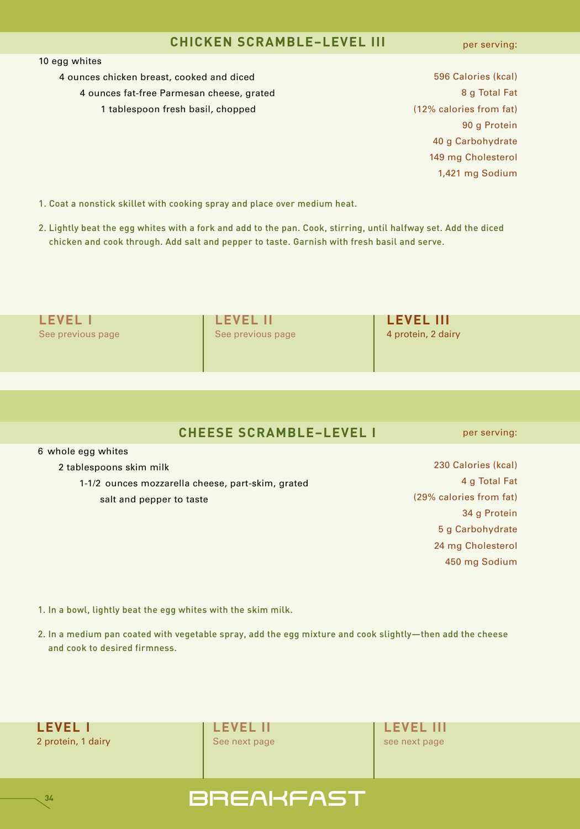#### **CHICKEN SCRAMBLE–LEVEL III**

per serving:

#### 10 egg whites

4 ounces chicken breast, cooked and diced 4 ounces fat-free Parmesan cheese, grated 1 tablespoon fresh basil, chopped

 Calories (kcal) g Total Fat (12% calories from fat) g Protein g Carbohydrate mg Cholesterol 1,421 mg Sodium

1. Coat a nonstick skillet with cooking spray and place over medium heat.

2. Lightly beat the egg whites with a fork and add to the pan. Cook, stirring, until halfway set. Add the diced chicken and cook through. Add salt and pepper to taste. Garnish with fresh basil and serve.

| <b>LEVEL II</b>   | <b>LEVEL III</b>   |  |
|-------------------|--------------------|--|
| See previous page | 4 protein, 2 dairy |  |
|                   |                    |  |
|                   |                    |  |

#### **CHEESE SCRAMBLE–LEVEL I**

6 whole egg whites

2 tablespoons skim milk

1-1/2 ounces mozzarella cheese, part-skim, grated salt and pepper to taste

 Calories (kcal) g Total Fat (29% calories from fat) g Protein g Carbohydrate mg Cholesterol mg Sodium

per serving:

1. In a bowl, lightly beat the egg whites with the skim milk.

2. In a medium pan coated with vegetable spray, add the egg mixture and cook slightly—then add the cheese and cook to desired firmness.



**34**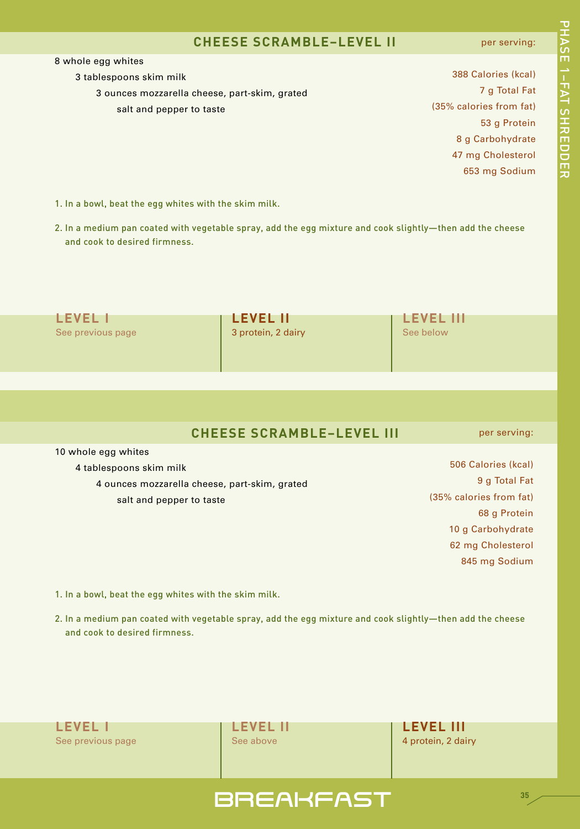#### **CHEESE SCRAMBLE–LEVEL II**

#### per serving:

388 Calories (kcal) 7 g Total Fat 53 g Protein

3 tablespoons skim milk

3 ounces mozzarella cheese, part-skim, grated salt and pepper to taste

(35% calories from fat) g Carbohydrate mg Cholesterol mg Sodium

- 1. In a bowl, beat the egg whites with the skim milk.
- 2. In a medium pan coated with vegetable spray, add the egg mixture and cook slightly—then add the cheese and cook to desired firmness.

| <b>LEVEL</b>      | <b>LEVEL II</b>    | <b>LEVEL III</b> |
|-------------------|--------------------|------------------|
| See previous page | 3 protein, 2 dairy | See below        |
|                   |                    |                  |
|                   |                    |                  |

### **CHEESE SCRAMBLE–LEVEL III**

10 whole egg whites

4 tablespoons skim milk

4 ounces mozzarella cheese, part-skim, grated

salt and pepper to taste

 Calories (kcal) g Total Fat (35% calories from fat) g Protein g Carbohydrate mg Cholesterol mg Sodium

per serving:

- 1. In a bowl, beat the egg whites with the skim milk.
- 2. In a medium pan coated with vegetable spray, add the egg mixture and cook slightly—then add the cheese and cook to desired firmness.

**LEVEL I LEVEL II LEVEL III** See previous page See above 4 protein, 2 dairy



# 고<br>고 A S E 1– F A T د<br>+ **カmワワmカ**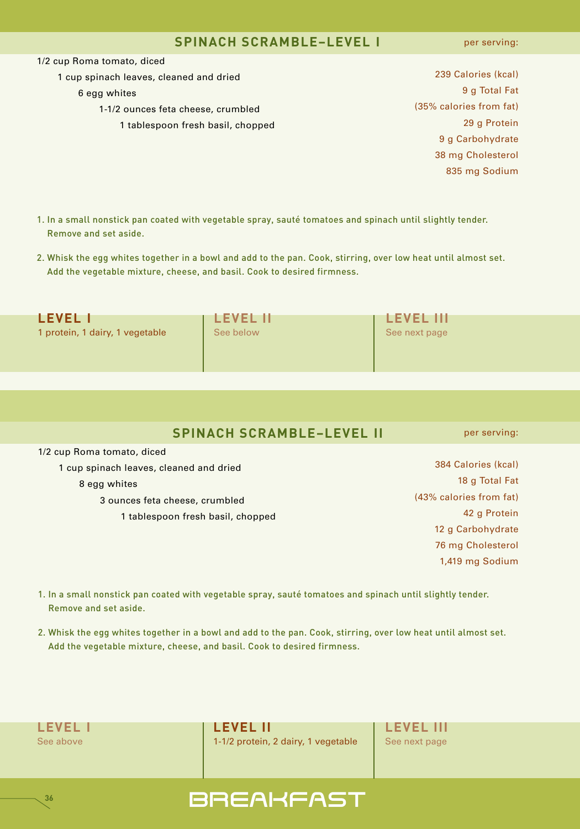#### **SPINACH SCRAMBLE–LEVEL I**

per serving:

1/2 cup Roma tomato, diced

1 cup spinach leaves, cleaned and dried

#### 6 egg whites

- 1-1/2 ounces feta cheese, crumbled
	- 1 tablespoon fresh basil, chopped
- 239 Calories (kcal) 9 g Total Fat (35% calories from fat) 29 g Protein 9 g Carbohydrate 38 mg Cholesterol 835 mg Sodium
- 1. In a small nonstick pan coated with vegetable spray, sauté tomatoes and spinach until slightly tender. Remove and set aside.
- 2. Whisk the egg whites together in a bowl and add to the pan. Cook, stirring, over low heat until almost set. Add the vegetable mixture, cheese, and basil. Cook to desired firmness.

| <b>LEVEL I</b>                  | <b>LEVEL II</b> | <b>LEVEL III</b> |
|---------------------------------|-----------------|------------------|
| 1 protein, 1 dairy, 1 vegetable | See below       | See next page    |
|                                 |                 |                  |
|                                 |                 |                  |

|  |  | <b>SPINACH SCRAMBLE-LEVEL II</b> |
|--|--|----------------------------------|
|--|--|----------------------------------|

per serving:

1/2 cup Roma tomato, diced cup spinach leaves, cleaned and dried egg whites ounces feta cheese, crumbled

1 tablespoon fresh basil, chopped

- 384 Calories (kcal) 18 g Total Fat (43% calories from fat) 42 g Protein 12 g Carbohydrate 76 mg Cholesterol 1,419 mg Sodium
- 1. In a small nonstick pan coated with vegetable spray, sauté tomatoes and spinach until slightly tender. Remove and set aside.
- 2. Whisk the egg whites together in a bowl and add to the pan. Cook, stirring, over low heat until almost set. Add the vegetable mixture, cheese, and basil. Cook to desired firmness.

|  | <b>LEVEL I</b> |  |
|--|----------------|--|
|  | See above      |  |

**36**

**LEVEL I LEVEL II LEVEL III** 1-1/2 protein, 2 dairy, 1 vegetable | See next page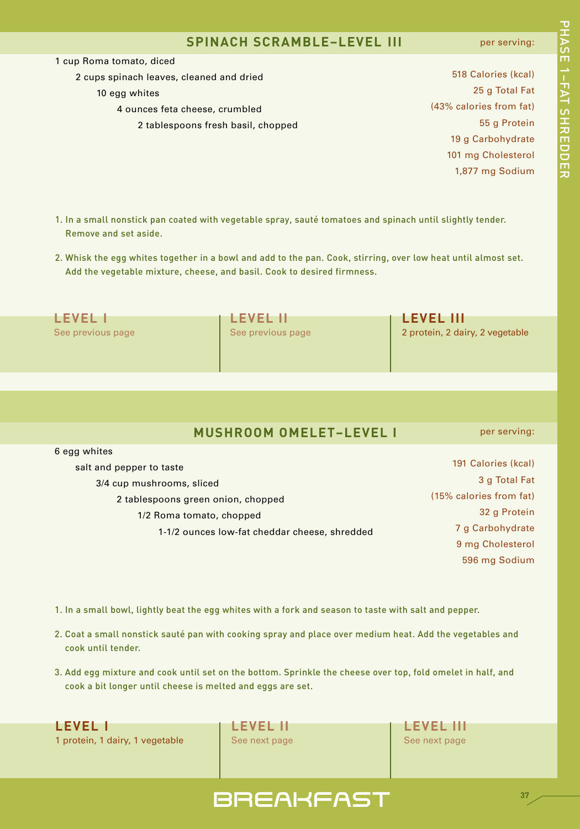#### **SPINACH SCRAMBLE–LEVEL III**

#### per serving:

per serving:

1 cup Roma tomato, diced

 cups spinach leaves, cleaned and dried egg whites ounces feta cheese, crumbled tablespoons fresh basil, chopped

 Calories (kcal) g Total Fat (43% calories from fat) g Protein g Carbohydrate mg Cholesterol 1,877 mg Sodium

- 1. In a small nonstick pan coated with vegetable spray, sauté tomatoes and spinach until slightly tender. Remove and set aside.
- 2. Whisk the egg whites together in a bowl and add to the pan. Cook, stirring, over low heat until almost set. Add the vegetable mixture, cheese, and basil. Cook to desired firmness.

| <b>LEVEL 1</b>    | <b>LEVEL IN</b>   | <b>LEVEL III</b>                |
|-------------------|-------------------|---------------------------------|
| See previous page | See previous page | 2 protein, 2 dairy, 2 vegetable |
|                   |                   |                                 |

#### **MUSHROOM OMELET–LEVEL I**

 egg whites salt and pepper to taste 3/4 cup mushrooms, sliced tablespoons green onion, chopped 1/2 Roma tomato, chopped 1-1/2 ounces low-fat cheddar cheese, shredded Calories (kcal) g Total Fat (15% calories from fat) g Protein g Carbohydrate mg Cholesterol mg Sodium

1. In a small bowl, lightly beat the egg whites with a fork and season to taste with salt and pepper.

- 2. Coat a small nonstick sauté pan with cooking spray and place over medium heat. Add the vegetables and cook until tender.
- 3. Add egg mixture and cook until set on the bottom. Sprinkle the cheese over top, fold omelet in half, and cook a bit longer until cheese is melted and eggs are set.

**LEVEL I LEVEL II LEVEL III** 1 protein, 1 dairy, 1 vegetable See next page See next page

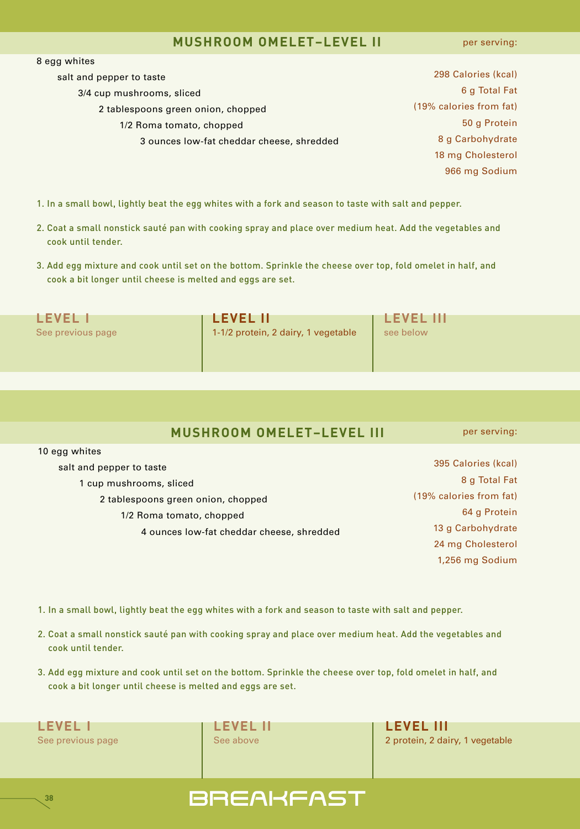#### **MUSHROOM OMELET–LEVEL II**

per serving:

| 8 egg whites                              |                         |
|-------------------------------------------|-------------------------|
| salt and pepper to taste                  | 298 Calories (kcal)     |
| 3/4 cup mushrooms, sliced                 | 6 g Total Fat           |
| 2 tablespoons green onion, chopped        | (19% calories from fat) |
| 1/2 Roma tomato, chopped                  | 50 g Protein            |
| 3 ounces low-fat cheddar cheese, shredded | 8 g Carbohydrate        |
|                                           | 18 mg Cholesterol       |
|                                           | 966 mg Sodium           |
|                                           |                         |

- 1. In a small bowl, lightly beat the egg whites with a fork and season to taste with salt and pepper.
- 2. Coat a small nonstick sauté pan with cooking spray and place over medium heat. Add the vegetables and cook until tender.
- 3. Add egg mixture and cook until set on the bottom. Sprinkle the cheese over top, fold omelet in half, and cook a bit longer until cheese is melted and eggs are set.

**LEVEL I LEVEL II LEVEL III** See previous page 1-1/2 protein, 2 dairy, 1 vegetable see below

#### **MUSHROOM OMELET–LEVEL III**

per serving:

1,256 mg Sodium

- 10 egg whites salt and pepper to taste 1 cup mushrooms, sliced 2 tablespoons green onion, chopped 1/2 Roma tomato, chopped 4 ounces low-fat cheddar cheese, shredded 395 Calories (kcal) 8 g Total Fat (19% calories from fat) 64 g Protein 13 g Carbohydrate 24 mg Cholesterol
- 1. In a small bowl, lightly beat the egg whites with a fork and season to taste with salt and pepper.
- 2. Coat a small nonstick sauté pan with cooking spray and place over medium heat. Add the vegetables and cook until tender.
- 3. Add egg mixture and cook until set on the bottom. Sprinkle the cheese over top, fold omelet in half, and cook a bit longer until cheese is melted and eggs are set.



**38**

See previous page **See above** 2 protein, 2 dairy, 1 vegetable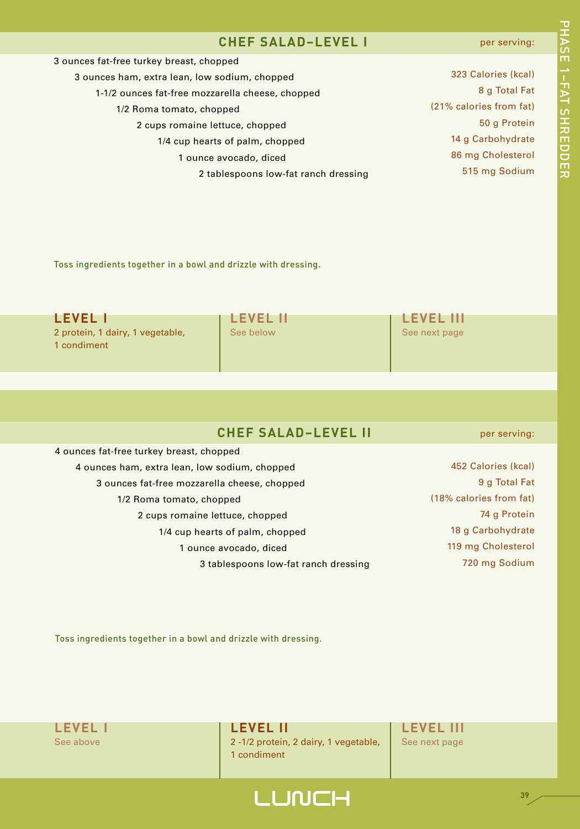### **CHEF SALAD–LEVEL I**

#### per serving:

| 3 ounces fat-free turkey breast, chopped         |                         |
|--------------------------------------------------|-------------------------|
| 3 ounces ham, extra lean, low sodium, chopped    | 323 Calories (kcal)     |
| 1-1/2 ounces fat-free mozzarella cheese, chopped | 8 g Total Fat           |
| 1/2 Roma tomato, chopped                         | (21% calories from fat) |
| 2 cups romaine lettuce, chopped                  | 50 g Protein            |
| 1/4 cup hearts of palm, chopped                  | 14 g Carbohydrate       |
| 1 ounce avocado, diced                           | 86 mg Cholesterol       |
| 2 tablespoons low-fat ranch dressing             | 515 mg Sodium           |
|                                                  |                         |

Toss ingredients together in a bowl and drizzle with dressing.

| LEVEL I                                         | <b>LEVEL II</b> | <b>LEVEL III</b> |
|-------------------------------------------------|-----------------|------------------|
| 2 protein, 1 dairy, 1 vegetable,<br>1 condiment | See below       | See next page    |

| 4 ounces fat-free turkey breast, chopped      |  |
|-----------------------------------------------|--|
| 4 ounces ham, extra lean, low sodium, chopped |  |
| 3 ounces fat-free mozzarella cheese, chopped  |  |
| 1/2 Roma tomato, chopped                      |  |
| 2 cups romaine lettuce, chopped               |  |
| 1/4 cup hearts of palm, chopped               |  |
| 1 ounce avocado, diced                        |  |
| 3 tablespoons low-fat ranch dressing          |  |
|                                               |  |

452 Calories (kcal) 9 g Total Fat (18% calories from fat)

per serving:

74 g Protein 18 g Carbohydrate 119 mg Cholesterol

720 mg Sodium

Toss ingredients together in a bowl and drizzle with dressing.

See above 2-1/2 protein, 2 dairy, 1 vegetable, See next page 1 condiment

**LEVEL I LEVEL II LEVEL III**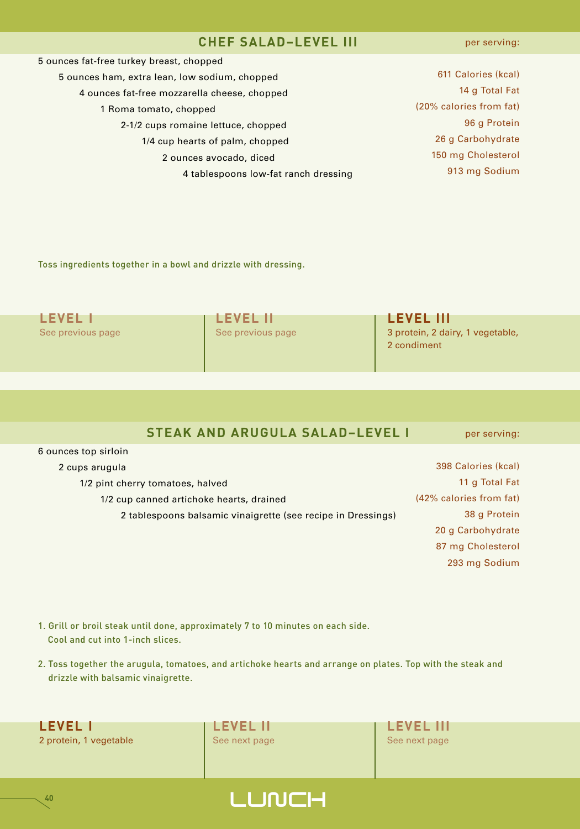#### **CHEF SALAD–LEVEL III**

| 5 ounces fat-free turkey breast, chopped      |                         |
|-----------------------------------------------|-------------------------|
| 5 ounces ham, extra lean, low sodium, chopped | 611 Calories (kcal)     |
| 4 ounces fat-free mozzarella cheese, chopped  | 14 g Total Fat          |
| 1 Roma tomato, chopped                        | (20% calories from fat) |
| 2-1/2 cups romaine lettuce, chopped           | 96 g Protein            |
| 1/4 cup hearts of palm, chopped               | 26 g Carbohydrate       |
| 2 ounces avocado, diced                       | 150 mg Cholesterol      |
| 4 tablespoons low-fat ranch dressing          | 913 mg Sodium           |
|                                               |                         |

Toss ingredients together in a bowl and drizzle with dressing.

| <b>LEVEL II</b>   | <b>LEVEL III</b>                                |
|-------------------|-------------------------------------------------|
| See previous page | 3 protein, 2 dairy, 1 vegetable,<br>2 condiment |
|                   |                                                 |

#### **STEAK AND ARUGULA SALAD–LEVEL I**

per serving:

| 2 cups arugula                                               | 398 Calories (kcal)     |
|--------------------------------------------------------------|-------------------------|
| 1/2 pint cherry tomatoes, halved                             | 11 g Total Fat          |
| 1/2 cup canned artichoke hearts, drained                     | (42% calories from fat) |
| 2 tablespoons balsamic vinaigrette (see recipe in Dressings) | 38 g Protein            |
|                                                              | 20 g Carbohydrate       |
|                                                              | 87 mg Cholesterol       |
|                                                              | 293 mg Sodium           |

- 1. Grill or broil steak until done, approximately 7 to 10 minutes on each side. Cool and cut into 1-inch slices.
- 2. Toss together the arugula, tomatoes, and artichoke hearts and arrange on plates. Top with the steak and drizzle with balsamic vinaigrette.



**40**

6 ounces top sirloin



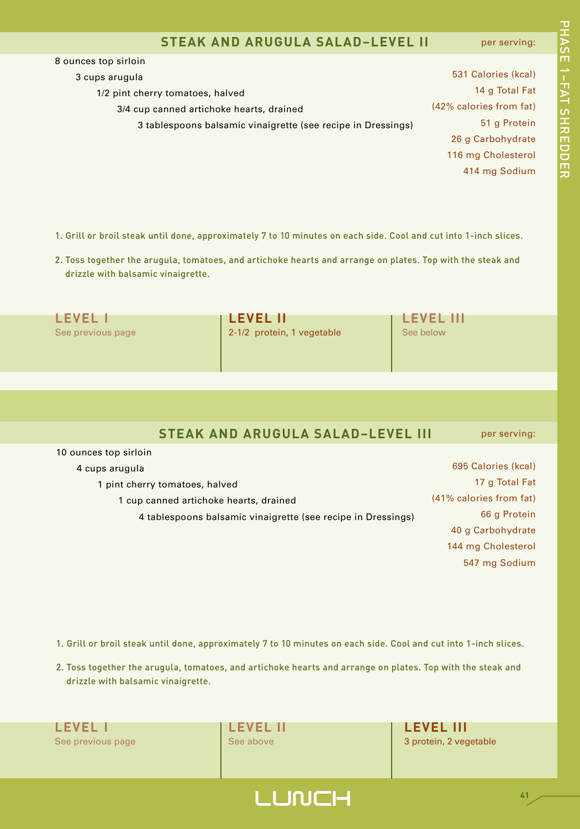#### **STEAK AND ARUGULA SALAD–LEVEL II**

per serving:

고<br>고 A S E 1– F A T د<br>+ **カmワワmカ** 

 ounces top sirloin cups arugula 1/2 pint cherry tomatoes, halved 3/4 cup canned artichoke hearts, drained tablespoons balsamic vinaigrette (see recipe in Dressings) Calories (kcal) g Total Fat (42% calories from fat) g Protein g Carbohydrate mg Cholesterol mg Sodium

1. Grill or broil steak until done, approximately 7 to 10 minutes on each side. Cool and cut into 1-inch slices.

2. Toss together the arugula, tomatoes, and artichoke hearts and arrange on plates. Top with the steak and drizzle with balsamic vinaigrette.

| <b>LEVEL I</b>    | <b>I LEVEL II</b>          | <b>LEVEL III</b> |
|-------------------|----------------------------|------------------|
| See previous page | 2-1/2 protein, 1 vegetable | See below        |
|                   |                            |                  |
|                   |                            |                  |

#### **STEAK AND ARUGULA SALAD–LEVEL III** per serving:

 ounces top sirloin cups arugula pint cherry tomatoes, halved cup canned artichoke hearts, drained tablespoons balsamic vinaigrette (see recipe in Dressings) Calories (kcal) g Total Fat (41% calories from fat) g Protein g Carbohydrate mg Cholesterol mg Sodium

1. Grill or broil steak until done, approximately 7 to 10 minutes on each side. Cool and cut into 1-inch slices.

2. Toss together the arugula, tomatoes, and artichoke hearts and arrange on plates. Top with the steak and drizzle with balsamic vinaigrette.

**LEVEL I LEVEL II LEVEL III**

See previous page See above 3 protein, 2 vegetable

## **LUNCH**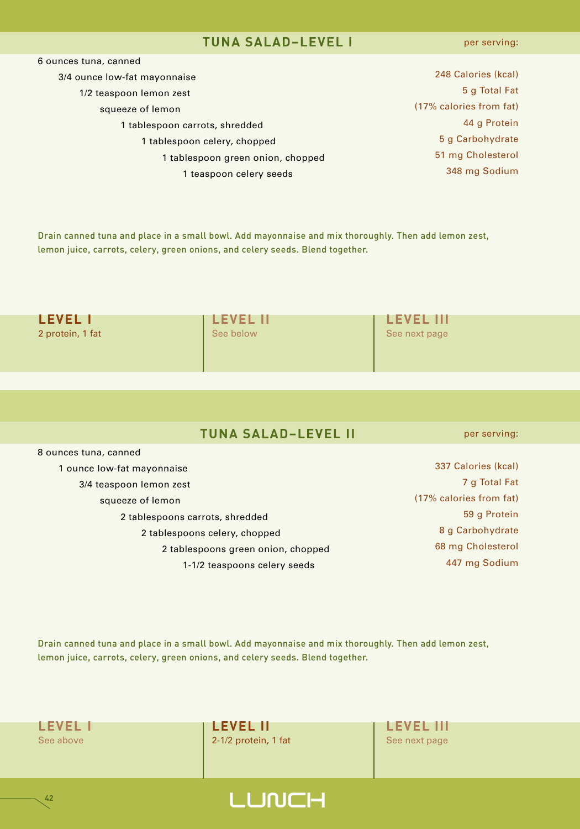#### **TUNA SALAD–LEVEL I**

per serving:

| 6 ounces tuna, canned             |                         |
|-----------------------------------|-------------------------|
| 3/4 ounce low-fat mayonnaise      | 248 Calories (kcal)     |
| 1/2 teaspoon lemon zest           | 5 g Total Fat           |
| squeeze of lemon                  | (17% calories from fat) |
| 1 tablespoon carrots, shredded    | 44 g Protein            |
| 1 tablespoon celery, chopped      | 5 g Carbohydrate        |
| 1 tablespoon green onion, chopped | 51 mg Cholesterol       |
| 1 teaspoon celery seeds           | 348 mg Sodium           |

Drain canned tuna and place in a small bowl. Add mayonnaise and mix thoroughly. Then add lemon zest, lemon juice, carrots, celery, green onions, and celery seeds. Blend together.

| <b>LEVEL I</b>   | <b>LEVEL II</b> | <b>LEVEL III</b> |  |
|------------------|-----------------|------------------|--|
| 2 protein, 1 fat | See below       | See next page    |  |
|                  |                 |                  |  |
|                  |                 |                  |  |

 ounces tuna, canned ounce low-fat mayonnaise 3/4 teaspoon lemon zest squeeze of lemon tablespoons carrots, shredded tablespoons celery, chopped tablespoons green onion, chopped 1-1/2 teaspoons celery seeds

per serving:

 Calories (kcal) g Total Fat (17% calories from fat) g Protein g Carbohydrate mg Cholesterol mg Sodium

Drain canned tuna and place in a small bowl. Add mayonnaise and mix thoroughly. Then add lemon zest, lemon juice, carrots, celery, green onions, and celery seeds. Blend together.



**42**

**LEVEL I LEVEL II LEVEL III** See above 2-1/2 protein, 1 fat See next page

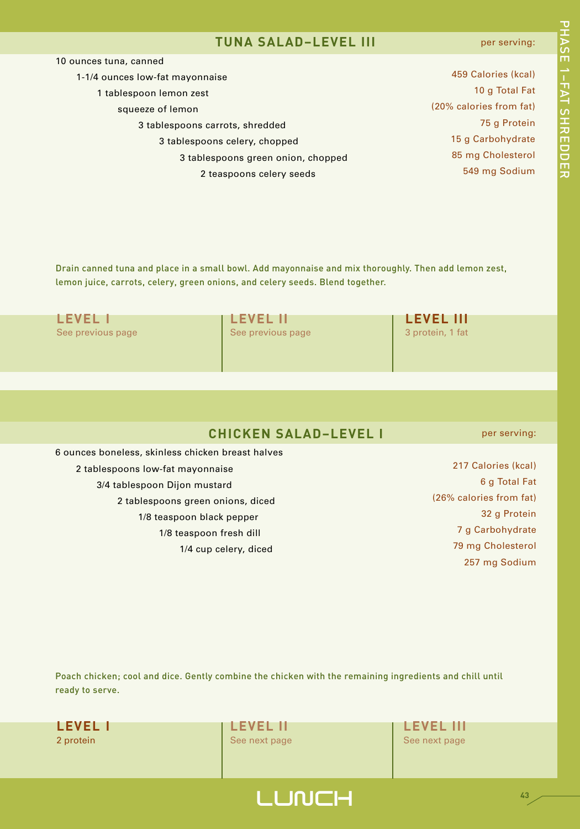#### **TUNA SALAD–LEVEL III**

#### per serving:

고<br>고 A S E

1– F A T

د<br>+

**カmワワmカ** 

| 10 ounces tuna, canned             |                         |
|------------------------------------|-------------------------|
| 1-1/4 ounces low-fat mayonnaise    | 459 Calories (kcal)     |
| 1 tablespoon lemon zest            | 10 g Total Fat          |
| squeeze of lemon                   | (20% calories from fat) |
| 3 tablespoons carrots, shredded    | 75 g Protein            |
| 3 tablespoons celery, chopped      | 15 g Carbohydrate       |
| 3 tablespoons green onion, chopped | 85 mg Cholesterol       |
| 2 teaspoons celery seeds           | 549 mg Sodium           |
|                                    |                         |

Drain canned tuna and place in a small bowl. Add mayonnaise and mix thoroughly. Then add lemon zest, lemon juice, carrots, celery, green onions, and celery seeds. Blend together.

| I FVFI I          | <b>I LEVEL II</b> | <b>LEVEL III</b> |
|-------------------|-------------------|------------------|
| See previous page | See previous page | 3 protein, 1 fat |
|                   |                   |                  |
|                   |                   |                  |

|  |  |  | <b>CHICKEN SALAD-LEVEL I</b> |
|--|--|--|------------------------------|
|--|--|--|------------------------------|

6 ounces boneless, skinless chicken breast halves 2 tablespoons low-fat mayonnaise 3/4 tablespoon Dijon mustard 2 tablespoons green onions, diced 1/8 teaspoon black pepper 1/8 teaspoon fresh dill 1/4 cup celery, diced

per serving:

**43**

 Calories (kcal) g Total Fat (26% calories from fat) g Protein g Carbohydrate mg Cholesterol mg Sodium

Poach chicken; cool and dice. Gently combine the chicken with the remaining ingredients and chill until ready to serve.

**LUNCH** 

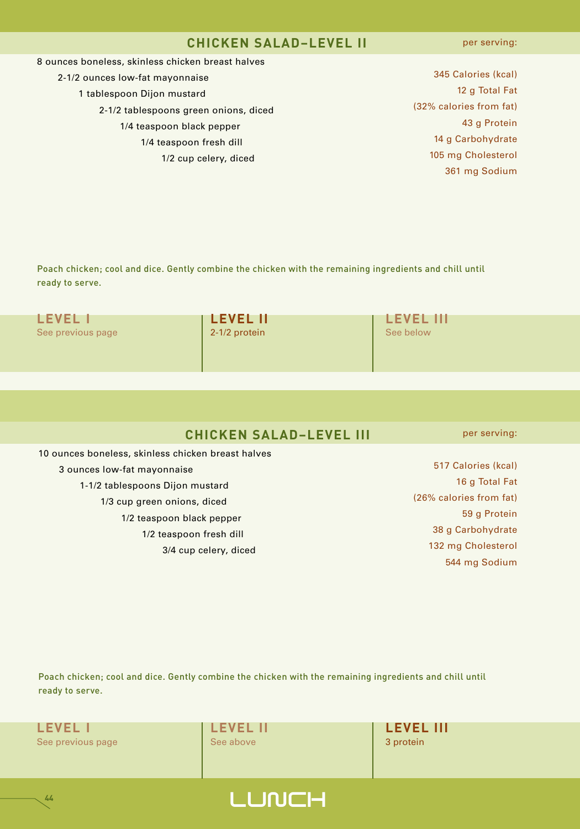#### **CHICKEN SALAD–LEVEL II**

per serving:

#### 8 ounces boneless, skinless chicken breast halves

- 2-1/2 ounces low-fat mayonnaise 1 tablespoon Dijon mustard 2-1/2 tablespoons green onions, diced 1/4 teaspoon black pepper 1/4 teaspoon fresh dill
	- 1/2 cup celery, diced

 Calories (kcal) g Total Fat (32% calories from fat) g Protein g Carbohydrate mg Cholesterol mg Sodium

Poach chicken; cool and dice. Gently combine the chicken with the remaining ingredients and chill until ready to serve.

| <b>LEVEL I</b>    | <b>I LEVEL II</b> | I LEVEL   |
|-------------------|-------------------|-----------|
| See previous page | 2-1/2 protein     | See below |
|                   |                   |           |

**CHICKEN SALAD–LEVEL III**

10 ounces boneless, skinless chicken breast halves 3 ounces low-fat mayonnaise 1-1/2 tablespoons Dijon mustard 1/3 cup green onions, diced 1/2 teaspoon black pepper 1/2 teaspoon fresh dill 3/4 cup celery, diced

 Calories (kcal) g Total Fat (26% calories from fat) g Protein g Carbohydrate mg Cholesterol

**LEVEL I LEVEL II LEVEL III**

per serving:

544 mg Sodium

Poach chicken; cool and dice. Gently combine the chicken with the remaining ingredients and chill until ready to serve.

See previous page **3 protein See above** 3 protein **3 protein** 

**44**

**LEVEL I LEVEL II LEVEL III**

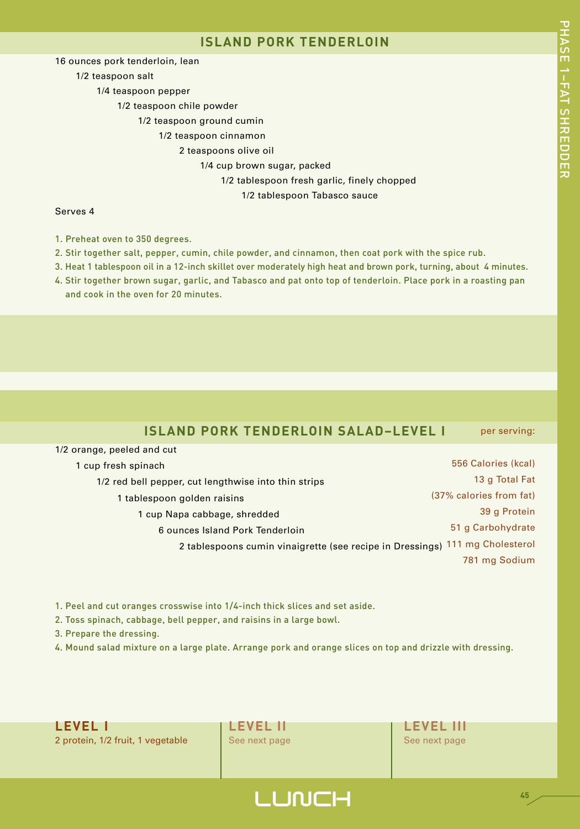#### **ISLAND PORK TENDERLOIN**

16 ounces pork tenderloin, lean

1/2 teaspoon salt

1/4 teaspoon pepper

1/2 teaspoon chile powder

1/2 teaspoon ground cumin

1/2 teaspoon cinnamon

2 teaspoons olive oil

1/4 cup brown sugar, packed

1/2 tablespoon fresh garlic, finely chopped

1/2 tablespoon Tabasco sauce

#### Serves 4

1. Preheat oven to 350 degrees.

- 2. Stir together salt, pepper, cumin, chile powder, and cinnamon, then coat pork with the spice rub.
- 3. Heat 1 tablespoon oil in a 12-inch skillet over moderately high heat and brown pork, turning, about 4 minutes.
- 4. Stir together brown sugar, garlic, and Tabasco and pat onto top of tenderloin. Place pork in a roasting pan and cook in the oven for 20 minutes.

#### **ISLAND PORK TENDERLOIN SALAD–LEVEL I** per serving:

| 1 cup fresh spinach                                                          | 556 Calories (kcal)     |
|------------------------------------------------------------------------------|-------------------------|
| 1/2 red bell pepper, cut lengthwise into thin strips                         | 13 g Total Fat          |
| 1 tablespoon golden raisins                                                  | (37% calories from fat) |
| 1 cup Napa cabbage, shredded                                                 | 39 g Protein            |
| 6 ounces Island Pork Tenderloin                                              | 51 g Carbohydrate       |
| 2 tablespoons cumin vinaigrette (see recipe in Dressings) 111 mg Cholesterol |                         |
|                                                                              | 781 mg Sodium           |

1. Peel and cut oranges crosswise into 1/4-inch thick slices and set aside.

2. Toss spinach, cabbage, bell pepper, and raisins in a large bowl.

3. Prepare the dressing.

1/2 orange, peeled and cut

4. Mound salad mixture on a large plate. Arrange pork and orange slices on top and drizzle with dressing.





## LUNCH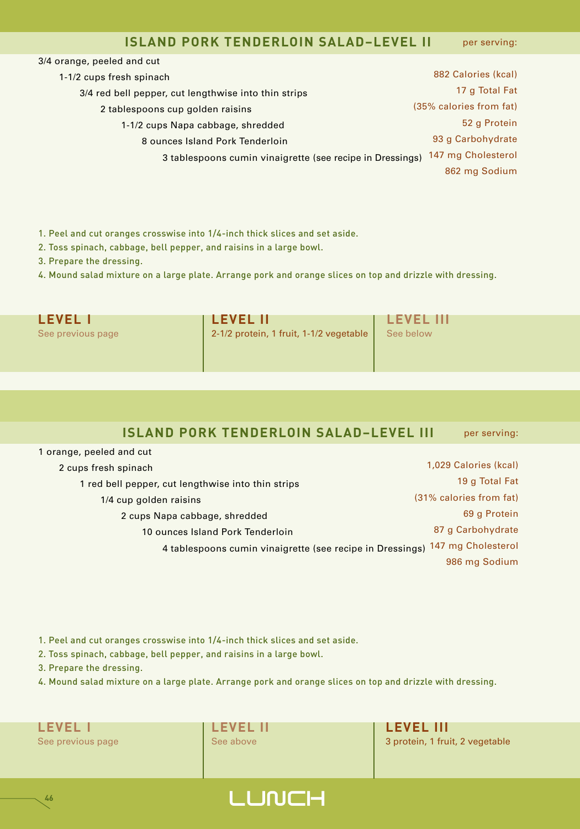#### **ISLAND PORK TENDERLOIN SALAD–LEVEL II** per serving:

| 3/4 orange, peeled and cut                                |                         |
|-----------------------------------------------------------|-------------------------|
| 1-1/2 cups fresh spinach                                  | 882 Calories (kcal)     |
| 3/4 red bell pepper, cut lengthwise into thin strips      | 17 g Total Fat          |
| 2 tablespoons cup golden raisins                          | (35% calories from fat) |
| 1-1/2 cups Napa cabbage, shredded                         | 52 g Protein            |
| 8 ounces Island Pork Tenderloin                           | 93 g Carbohydrate       |
| 3 tablespoons cumin vinaigrette (see recipe in Dressings) | 147 mg Cholesterol      |
|                                                           | 862 mg Sodium           |
|                                                           |                         |

1. Peel and cut oranges crosswise into 1/4-inch thick slices and set aside.

2. Toss spinach, cabbage, bell pepper, and raisins in a large bowl.

3. Prepare the dressing.

4. Mound salad mixture on a large plate. Arrange pork and orange slices on top and drizzle with dressing.

| <b>LEVEL I</b>    | <b>LEVEL II</b>                         | <b>LEVEL III</b> |
|-------------------|-----------------------------------------|------------------|
| See previous page | 2-1/2 protein, 1 fruit, 1-1/2 vegetable | See below        |

#### **ISLAND PORK TENDERLOIN SALAD–LEVEL III** per serving:

 orange, peeled and cut cups fresh spinach red bell pepper, cut lengthwise into thin strips 1/4 cup golden raisins cups Napa cabbage, shredded ounces Island Pork Tenderloin tablespoons cumin vinaigrette (see recipe in Dressings) 147 mg Cholesterol 1,029 Calories (kcal) g Total Fat (31% calories from fat) g Protein g Carbohydrate mg Sodium

1. Peel and cut oranges crosswise into 1/4-inch thick slices and set aside.

2. Toss spinach, cabbage, bell pepper, and raisins in a large bowl.

3. Prepare the dressing.

4. Mound salad mixture on a large plate. Arrange pork and orange slices on top and drizzle with dressing.



**46**

See previous page See above 3 protein, 1 fruit, 2 vegetable

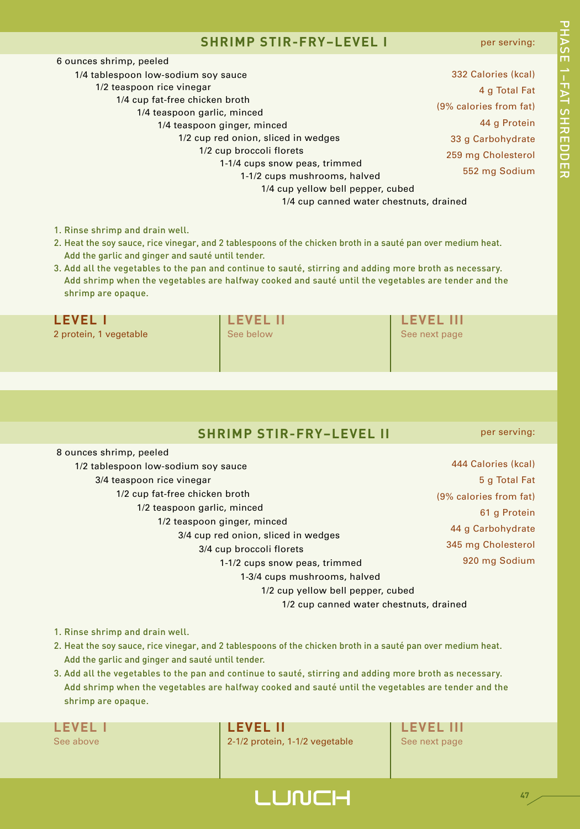#### **SHRIMP STIR-FRY–LEVEL I**

| 6 ounces shrimp, peeled                 |                        |
|-----------------------------------------|------------------------|
| 1/4 tablespoon low-sodium soy sauce     | 332 Calories (kcal)    |
| 1/2 teaspoon rice vinegar               | 4 g Total Fat          |
| 1/4 cup fat-free chicken broth          | (9% calories from fat) |
| 1/4 teaspoon garlic, minced             |                        |
| 1/4 teaspoon ginger, minced             | 44 g Protein           |
| 1/2 cup red onion, sliced in wedges     | 33 g Carbohydrate      |
| 1/2 cup broccoli florets                | 259 mg Cholesterol     |
| 1-1/4 cups snow peas, trimmed           |                        |
| 1-1/2 cups mushrooms, halved            | 552 mg Sodium          |
| 1/4 cup yellow bell pepper, cubed       |                        |
| 1/4 cup canned water chestnuts, drained |                        |
|                                         |                        |

- 1. Rinse shrimp and drain well.
- 2. Heat the soy sauce, rice vinegar, and 2 tablespoons of the chicken broth in a sauté pan over medium heat. Add the garlic and ginger and sauté until tender.
- 3. Add all the vegetables to the pan and continue to sauté, stirring and adding more broth as necessary. Add shrimp when the vegetables are halfway cooked and sauté until the vegetables are tender and the shrimp are opaque.

| <b>LEVEL I</b>         | I LEVEL II | <b>LEVEL III</b> |
|------------------------|------------|------------------|
| 2 protein, 1 vegetable | See below  | See next page    |

|  |  | <b>SHRIMP STIR-FRY-LEVEL II</b> |  |
|--|--|---------------------------------|--|
|  |  |                                 |  |

per serving:

| 8 ounces shrimp, peeled                 |                        |
|-----------------------------------------|------------------------|
| 1/2 tablespoon low-sodium soy sauce     | 444 Calories (kcal)    |
| 3/4 teaspoon rice vinegar               | 5 g Total Fat          |
| 1/2 cup fat-free chicken broth          | (9% calories from fat) |
| 1/2 teaspoon garlic, minced             | 61 g Protein           |
| 1/2 teaspoon ginger, minced             |                        |
| 3/4 cup red onion, sliced in wedges     | 44 g Carbohydrate      |
| 3/4 cup broccoli florets                | 345 mg Cholesterol     |
| 1-1/2 cups snow peas, trimmed           | 920 mg Sodium          |
| 1-3/4 cups mushrooms, halved            |                        |
| 1/2 cup yellow bell pepper, cubed       |                        |
| 1/2 cup canned water chestnuts, drained |                        |

- 1. Rinse shrimp and drain well.
- 2. Heat the soy sauce, rice vinegar, and 2 tablespoons of the chicken broth in a sauté pan over medium heat. Add the garlic and ginger and sauté until tender.
- 3. Add all the vegetables to the pan and continue to sauté, stirring and adding more broth as necessary. Add shrimp when the vegetables are halfway cooked and sauté until the vegetables are tender and the shrimp are opaque.

**LEVEL I LEVEL II LEVEL III**

See above 2-1/2 protein, 1-1/2 vegetable See next page

## **LUNCH**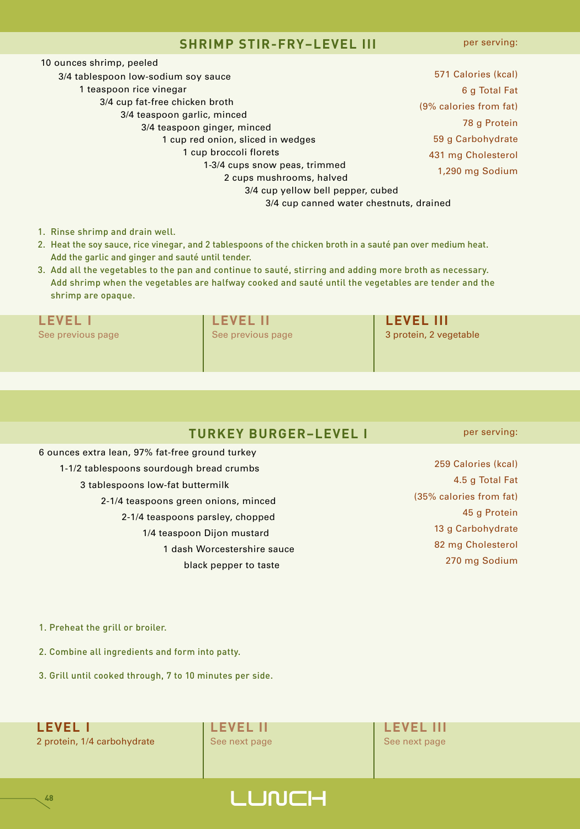#### **SHRIMP STIR-FRY–LEVEL III**

per serving:

| 10 ounces shrimp, peeled                |                        |
|-----------------------------------------|------------------------|
| 3/4 tablespoon low-sodium soy sauce     | 571 Calories (kcal)    |
| 1 teaspoon rice vinegar                 | 6 g Total Fat          |
| 3/4 cup fat-free chicken broth          | (9% calories from fat) |
| 3/4 teaspoon garlic, minced             |                        |
| 3/4 teaspoon ginger, minced             | 78 g Protein           |
| 1 cup red onion, sliced in wedges       | 59 g Carbohydrate      |
| 1 cup broccoli florets                  | 431 mg Cholesterol     |
| 1-3/4 cups snow peas, trimmed           | 1,290 mg Sodium        |
| 2 cups mushrooms, halved                |                        |
| 3/4 cup yellow bell pepper, cubed       |                        |
| 3/4 cup canned water chestnuts, drained |                        |
|                                         |                        |

- 1. Rinse shrimp and drain well.
- 2. Heat the soy sauce, rice vinegar, and 2 tablespoons of the chicken broth in a sauté pan over medium heat. Add the garlic and ginger and sauté until tender.
- 3. Add all the vegetables to the pan and continue to sauté, stirring and adding more broth as necessary. Add shrimp when the vegetables are halfway cooked and sauté until the vegetables are tender and the shrimp are opaque.

**LEVEL I LEVEL II LEVEL III** See previous page See previous page 3 protein, 2 vegetable

## **TURKEY BURGER–LEVEL I**

6 ounces extra lean, 97% fat-free ground turkey 1-1/2 tablespoons sourdough bread crumbs 3 tablespoons low-fat buttermilk 2-1/4 teaspoons green onions, minced 2-1/4 teaspoons parsley, chopped 1/4 teaspoon Dijon mustard 1 dash Worcestershire sauce black pepper to taste

per serving:

 Calories (kcal) 4.5 g Total Fat (35% calories from fat) g Protein g Carbohydrate mg Cholesterol mg Sodium

1. Preheat the grill or broiler.

2. Combine all ingredients and form into patty.

3. Grill until cooked through, 7 to 10 minutes per side.

**LEVEL I LEVEL II LEVEL III** 2 protein, 1/4 carbohydrate See next page See next page See next page

**48**

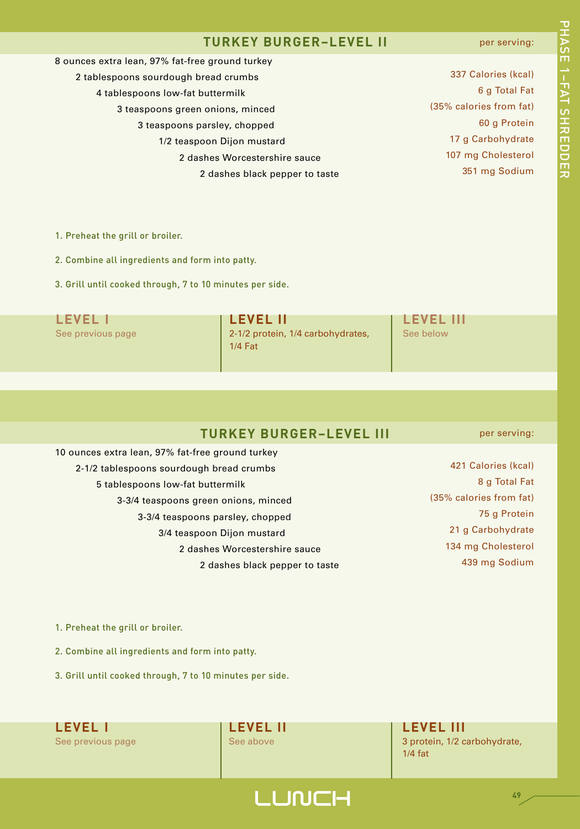#### **TURKEY BURGER–LEVEL II**

#### per serving:

| 337 Calories (kcal)     |
|-------------------------|
| 6 g Total Fat           |
| (35% calories from fat) |
| 60 g Protein            |
| 17 g Carbohydrate       |
| 107 mg Cholesterol      |
| 351 mg Sodium           |
|                         |

1. Preheat the grill or broiler.

2. Combine all ingredients and form into patty.

3. Grill until cooked through, 7 to 10 minutes per side.

**LEVEL I LEVEL II LEVEL III** See previous page 2-1/2 protein, 1/4 carbohydrates, See below 1/4 Fat

## **TURKEY BURGER–LEVEL III**

10 ounces extra lean, 97% fat-free ground turkey 2-1/2 tablespoons sourdough bread crumbs 5 tablespoons low-fat buttermilk 3-3/4 teaspoons green onions, minced 3-3/4 teaspoons parsley, chopped 3/4 teaspoon Dijon mustard 2 dashes Worcestershire sauce 2 dashes black pepper to taste per serving:

 Calories (kcal) g Total Fat (35% calories from fat) g Protein g Carbohydrate mg Cholesterol mg Sodium

1. Preheat the grill or broiler.

2. Combine all ingredients and form into patty.

3. Grill until cooked through, 7 to 10 minutes per side.

**LEVEL I LEVEL II LEVEL III**

**LUNCH** 

See previous page See above 3 protein, 1/2 carbohydrate, 1/4 fat

**49**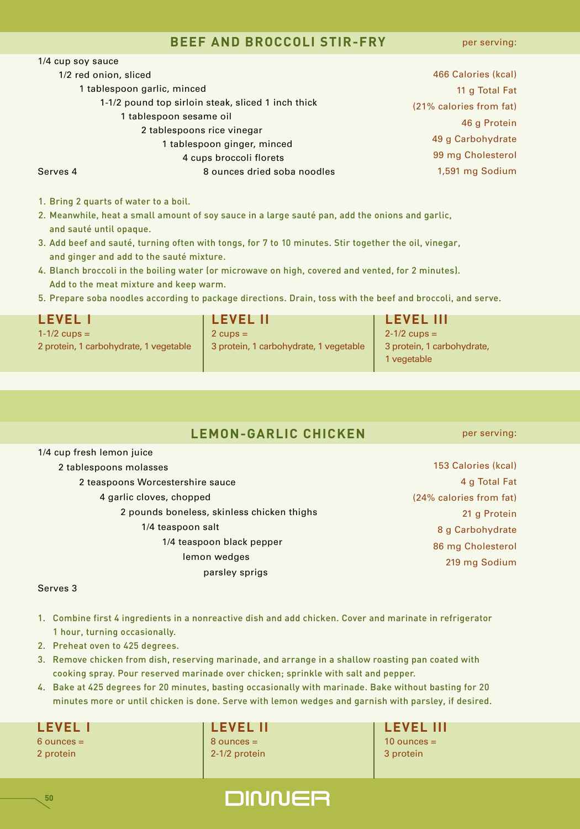#### **BEEF AND BROCCOLI STIR-FRY**

per serving:

| 1/4 cup soy sauce     |                                                    |                         |
|-----------------------|----------------------------------------------------|-------------------------|
| 1/2 red onion, sliced |                                                    | 466 Calories (kcal)     |
|                       | 1 tablespoon garlic, minced                        | 11 g Total Fat          |
|                       | 1-1/2 pound top sirloin steak, sliced 1 inch thick | (21% calories from fat) |
|                       | 1 tablespoon sesame oil                            | 46 g Protein            |
|                       | 2 tablespoons rice vinegar                         |                         |
|                       | 1 tablespoon ginger, minced                        | 49 g Carbohydrate       |
|                       | 4 cups broccoli florets                            | 99 mg Cholesterol       |
| Serves 4              | 8 ounces dried soba noodles                        | 1,591 mg Sodium         |
|                       |                                                    |                         |

1. Bring 2 quarts of water to a boil.

- 2. Meanwhile, heat a small amount of soy sauce in a large sauté pan, add the onions and garlic, and sauté until opaque.
- 3. Add beef and sauté, turning often with tongs, for 7 to 10 minutes. Stir together the oil, vinegar, and ginger and add to the sauté mixture.
- 4. Blanch broccoli in the boiling water (or microwave on high, covered and vented, for 2 minutes). Add to the meat mixture and keep warm.
- 5. Prepare soba noodles according to package directions. Drain, toss with the beef and broccoli, and serve.

| <b>LEVEL I</b>                         | <b>I LEVEL II</b>                      | <b>LEVEL III</b>                          |
|----------------------------------------|----------------------------------------|-------------------------------------------|
| $1 - 1/2$ cups =                       | $2 \text{ cups} =$                     | $2 - 1/2$ cups =                          |
| 2 protein, 1 carbohydrate, 1 vegetable | 3 protein, 1 carbohydrate, 1 vegetable | 3 protein, 1 carbohydrate,<br>1 vegetable |

## **LEMON-GARLIC CHICKEN**

1/4 cup fresh lemon juice

#### 2 tablespoons molasses

- 2 teaspoons Worcestershire sauce
	- 4 garlic cloves, chopped
		- 2 pounds boneless, skinless chicken thighs 1/4 teaspoon salt 1/4 teaspoon black pepper lemon wedges

parsley sprigs

per serving:

 Calories (kcal) g Total Fat (24% calories from fat) g Protein g Carbohydrate mg Cholesterol mg Sodium

#### Serves 3

- 1. Combine first 4 ingredients in a nonreactive dish and add chicken. Cover and marinate in refrigerator 1 hour, turning occasionally.
- 2. Preheat oven to 425 degrees.
- 3. Remove chicken from dish, reserving marinade, and arrange in a shallow roasting pan coated with cooking spray. Pour reserved marinade over chicken; sprinkle with salt and pepper.
- 4. Bake at 425 degrees for 20 minutes, basting occasionally with marinade. Bake without basting for 20 minutes more or until chicken is done. Serve with lemon wedges and garnish with parsley, if desired.

**50**

6 ounces = 8 ounces = 10 ounces = 2 protein 2-1/2 protein 2-1/2 protein 3 protein

**LEVEL I LEVEL II LEVEL III**

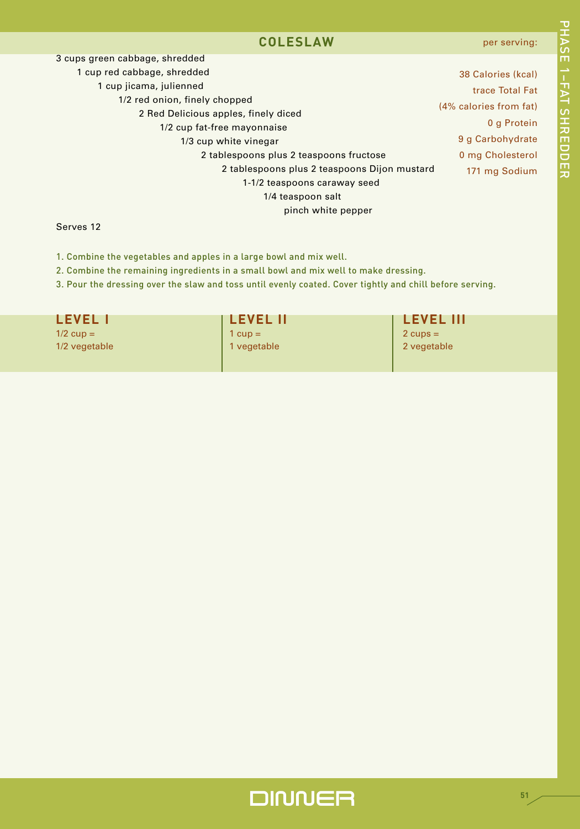#### **COLESLAW**

고<br>고 A S E

1– F A T

د<br>+

**カmワワmカ** 

| 3 cups green cabbage, shredded               |                        |
|----------------------------------------------|------------------------|
| 1 cup red cabbage, shredded                  | 38 Calories (kcal)     |
| 1 cup jicama, julienned                      | trace Total Fat        |
| 1/2 red onion, finely chopped                |                        |
| 2 Red Delicious apples, finely diced         | (4% calories from fat) |
| 1/2 cup fat-free mayonnaise                  | 0 g Protein            |
| 1/3 cup white vinegar                        | 9 g Carbohydrate       |
| 2 tablespoons plus 2 teaspoons fructose      | 0 mg Cholesterol       |
| 2 tablespoons plus 2 teaspoons Dijon mustard | 171 mg Sodium          |
| 1-1/2 teaspoons caraway seed                 |                        |
| 1/4 teaspoon salt                            |                        |
| pinch white pepper                           |                        |

#### Serves 12

1. Combine the vegetables and apples in a large bowl and mix well.

2. Combine the remaining ingredients in a small bowl and mix well to make dressing.

3. Pour the dressing over the slaw and toss until evenly coated. Cover tightly and chill before serving.

| <b>LEVEL I</b><br>$1/2$ cup = | <b>I LEVEL II</b><br>$1 cup =$ | <b>LEVEL III</b><br>$2$ cups = |
|-------------------------------|--------------------------------|--------------------------------|
| 1/2 vegetable                 | 1 vegetable                    | 2 vegetable                    |
|                               |                                |                                |

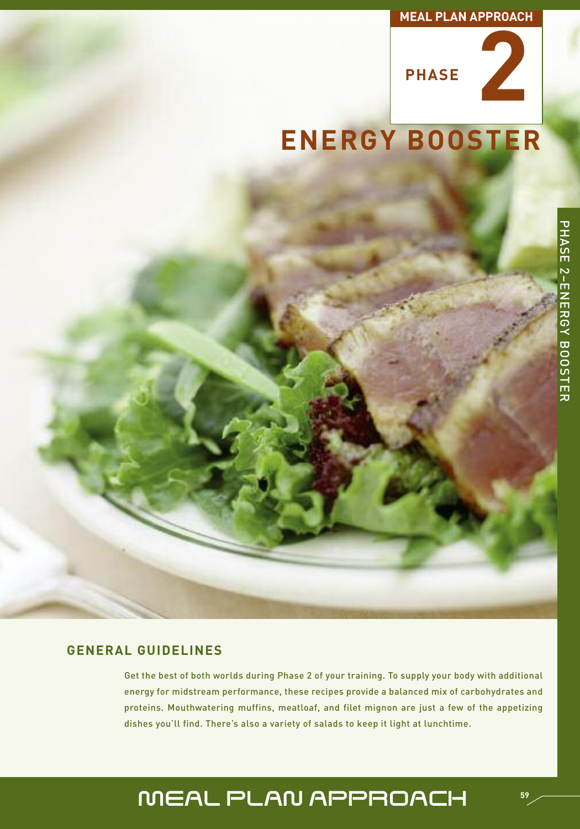#### **MEAL PLAN APPROACH**



# **ENERGY BOOSTER**

#### **GENERAL GUIDELINES**

Get the best of both worlds during Phase 2 of your training. To supply your body with additional energy for midstream performance, these recipes provide a balanced mix of carbohydrates and proteins. Mouthwatering muffins, meatloaf, and filet mignon are just a few of the appetizing dishes you'll find. There's also a variety of salads to keep it light at lunchtime.

# MEAL PLAN APPROACH

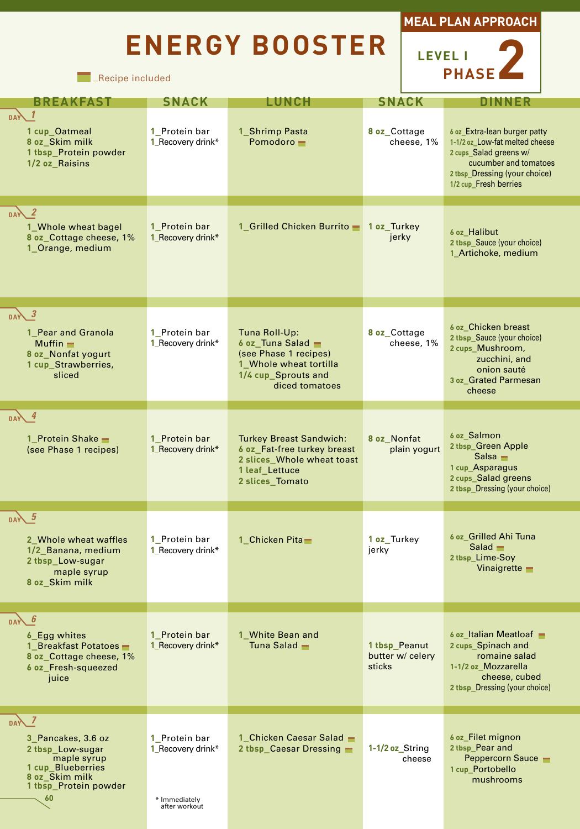# **ENERGY BOOSTER**





**Exective included** 

| <b>BREAKFAST</b>                                                                                                                       | <b>SNACK</b>                                                         | LUNCH                                                                                                                            | <b>SNACK</b>                                |                                                                                                                                                                             |
|----------------------------------------------------------------------------------------------------------------------------------------|----------------------------------------------------------------------|----------------------------------------------------------------------------------------------------------------------------------|---------------------------------------------|-----------------------------------------------------------------------------------------------------------------------------------------------------------------------------|
| <b>DAY</b><br>1 cup_Oatmeal<br>8 oz_Skim milk<br>1 tbsp_Protein powder<br>1/2 oz Raisins                                               | 1_Protein bar<br>1_Recovery drink*                                   | 1_Shrimp Pasta<br>Pomodoro -                                                                                                     | 8 oz_Cottage<br>cheese, 1%                  | 6 oz Extra-lean burger patty<br>1-1/2 oz Low-fat melted cheese<br>2 cups_Salad greens w/<br>cucumber and tomatoes<br>2 thsp_Dressing (your choice)<br>1/2 cup_Fresh berries |
| $DAY$ 2<br>1 Whole wheat bagel<br>8 oz_Cottage cheese, 1%<br>1 Orange, medium                                                          | 1 Protein bar<br>1_Recovery drink*                                   | 1 Grilled Chicken Burrito                                                                                                        | 1 oz Turkey<br>jerky                        | 6 oz_Halibut<br>2 tbsp_Sauce (your choice)<br>1_Artichoke, medium                                                                                                           |
| $DAY^3$<br>1 Pear and Granola<br>Muffin $\blacksquare$<br>8 oz_Nonfat yogurt<br>1 cup_Strawberries,<br>sliced                          | 1 Protein bar<br>1_Recovery drink*                                   | Tuna Roll-Up:<br>6 oz_Tuna Salad -<br>(see Phase 1 recipes)<br>1 Whole wheat tortilla<br>1/4 cup_Sprouts and<br>diced tomatoes   | 8 oz Cottage<br>cheese, 1%                  | 6 oz Chicken breast<br>2 tbsp_Sauce (your choice)<br>2 cups_Mushroom,<br>zucchini, and<br>onion sauté<br>3 oz_Grated Parmesan<br>cheese                                     |
| $\sqrt{4}$<br>1 Protein Shake<br>(see Phase 1 recipes)                                                                                 | 1 Protein bar<br>1_Recovery drink*                                   | <b>Turkey Breast Sandwich:</b><br>6 oz_Fat-free turkey breast<br>2 slices_Whole wheat toast<br>1 leaf Lettuce<br>2 slices Tomato | 8 oz Nonfat<br>plain yogurt                 | 6 oz_Salmon<br>2 tbsp_Green Apple<br>$S$ alsa $\blacksquare$<br>1 cup_Asparagus<br>2 cups_Salad greens<br>2 tbsp_Dressing (your choice)                                     |
| DAY $5$<br>2 Whole wheat waffles<br>1/2 Banana, medium<br>2 tbsp_Low-sugar<br>maple syrup<br>8 oz Skim milk                            | 1 Protein bar<br>1_Recovery drink*                                   | 1 Chicken Pita-                                                                                                                  | 1 oz_Turkey<br>jerky                        | 6 oz_Grilled Ahi Tuna<br>Salad $\blacksquare$<br>2 tbsp_Lime-Soy<br>Vinaigrette $\blacksquare$                                                                              |
| -6<br><b>DAY</b><br>6_Egg whites<br>1 Breakfast Potatoes -<br>8 oz_Cottage cheese, 1%<br>6 oz Fresh-squeezed<br>juice                  | 1_Protein bar<br>1 Recovery drink*                                   | 1_White Bean and<br>Tuna Salad $\blacksquare$                                                                                    | 1 tbsp Peanut<br>butter w/ celery<br>sticks | 6 oz_Italian Meatloaf -<br>2 cups_Spinach and<br>romaine salad<br>1-1/2 oz Mozzarella<br>cheese, cubed<br>2 thsp Dressing (your choice)                                     |
| $DAW^Z$<br>3 Pancakes, 3.6 oz<br>2 tbsp_Low-sugar<br>maple syrup<br>1 cup Blueberries<br>8 oz_Skim milk<br>1 tbsp_Protein powder<br>60 | 1_Protein bar<br>1 Recovery drink*<br>* Immediately<br>after workout | 1 Chicken Caesar Salad -<br>2 tbsp Caesar Dressing                                                                               | $1-1/2$ oz String<br>cheese                 | 6 oz Filet mignon<br>2 tbsp_Pear and<br>Peppercorn Sauce<br>1 cup_Portobello<br>mushrooms                                                                                   |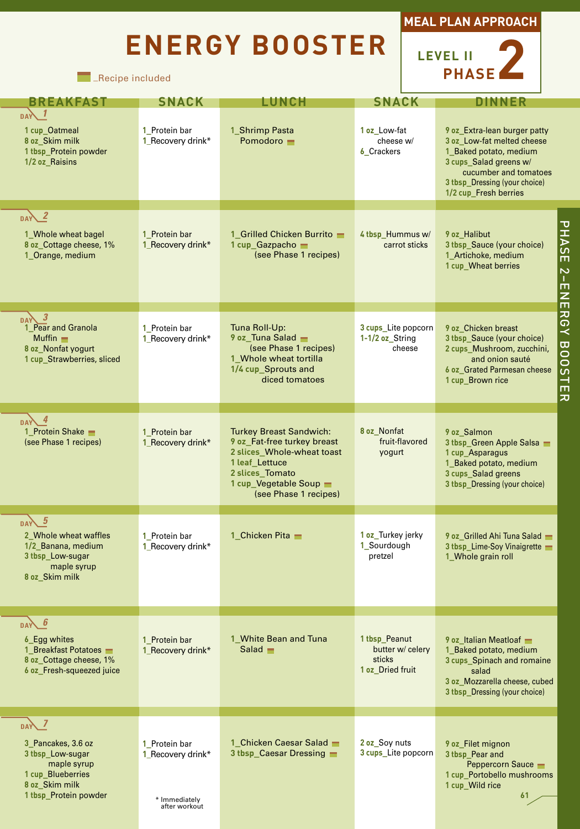# **ENERGY BOOSTER**





| <b>BREAKFAST</b>                                                                                                                    | <b>SNACK</b>                                                         | <b>LUNCH</b>                                                                                                                                                                        | <b>SNACK</b>                                                    | <b>DINNER</b>                                                                                                                                                                                     |
|-------------------------------------------------------------------------------------------------------------------------------------|----------------------------------------------------------------------|-------------------------------------------------------------------------------------------------------------------------------------------------------------------------------------|-----------------------------------------------------------------|---------------------------------------------------------------------------------------------------------------------------------------------------------------------------------------------------|
| <b>DAY</b><br>1 cup_Oatmeal<br>8 oz Skim milk<br>1 tbsp_Protein powder<br>1/2 oz Raisins                                            | 1 Protein bar<br>1_Recovery drink*                                   | 1 Shrimp Pasta<br>Pomodoro -                                                                                                                                                        | 1 oz Low-fat<br>cheese w/<br>6_Crackers                         | 9 oz_Extra-lean burger patty<br>3 oz Low-fat melted cheese<br>1 Baked potato, medium<br>3 cups_Salad greens w/<br>cucumber and tomatoes<br>3 thsp Dressing (your choice)<br>1/2 cup_Fresh berries |
| $DAY^2$<br>1 Whole wheat bagel<br>8 oz_Cottage cheese, 1%<br>1 Orange, medium                                                       | 1_Protein bar<br>1_Recovery drink*                                   | 1_Grilled Chicken Burrito -<br>1 cup Gazpacho -<br>(see Phase 1 recipes)                                                                                                            | 4 tbsp_Hummus w/<br>carrot sticks                               | PHASE 2-ENERGY<br>9 oz Halibut<br>3 tbsp_Sauce (your choice)<br>1_Artichoke, medium<br>1 cup_Wheat berries                                                                                        |
| $\overline{\boldsymbol{\beta}}$<br>DAY<br>1_Pear and Granola<br>Muffin $\equiv$<br>8 oz Nonfat yogurt<br>1 cup Strawberries, sliced | 1 Protein bar<br>1_Recovery drink*                                   | Tuna Roll-Up:<br>9 oz Tuna Salad<br>(see Phase 1 recipes)<br>1_Whole wheat tortilla<br>1/4 cup_Sprouts and<br>diced tomatoes                                                        | 3 cups Lite popcorn<br>1-1/2 oz String<br>cheese                | 9 oz Chicken breast<br>3 tbsp_Sauce (your choice)<br>BOOSTER<br>2 cups Mushroom, zucchini,<br>and onion sauté<br>6 oz_Grated Parmesan cheese<br>1 cup_Brown rice                                  |
| $\overline{4}$<br><b>DAY</b><br>1 Protein Shake<br>(see Phase 1 recipes)                                                            | 1 Protein bar<br>1_Recovery drink*                                   | <b>Turkey Breast Sandwich:</b><br>9 oz Fat-free turkey breast<br>2 slices Whole-wheat toast<br>1 leaf Lettuce<br>2 slices_Tomato<br>1 cup_Vegetable Soup -<br>(see Phase 1 recipes) | 8 oz Nonfat<br>fruit-flavored<br>yogurt                         | 9 oz Salmon<br>3 tbsp_Green Apple Salsa<br>1 cup_Asparagus<br>1_Baked potato, medium<br>3 cups_Salad greens<br>3 tbsp_Dressing (your choice)                                                      |
| $\sqrt{5}$<br><b>DAY</b><br>2 Whole wheat waffles<br>1/2 Banana, medium<br>3 tbsp_Low-sugar<br>maple syrup<br>8 oz_Skim milk        | 1 Protein bar<br>1 Recovery drink*                                   | 1_Chicken Pita -                                                                                                                                                                    | 1 oz Turkey jerky<br>1 Sourdough<br>pretzel                     | 9 oz_Grilled Ahi Tuna Salad<br>3 tbsp_Lime-Soy Vinaigrette<br>1 Whole grain roll                                                                                                                  |
| -6<br><b>DAY</b><br><b>6 Egg whites</b><br>1 Breakfast Potatoes<br>8 oz Cottage cheese, 1%<br>6 oz Fresh-squeezed juice             | 1_Protein bar<br>1 Recovery drink*                                   | 1 White Bean and Tuna<br>$Salad$ $\blacksquare$                                                                                                                                     | 1 tbsp Peanut<br>butter w/ celery<br>sticks<br>1 oz Dried fruit | 9 oz Italian Meatloaf<br>1 Baked potato, medium<br>3 cups Spinach and romaine<br>salad<br>3 oz Mozzarella cheese, cubed<br>3 thsp Dressing (your choice)                                          |
| $DAY$ 7<br>3 Pancakes, 3.6 oz<br>3 tbsp_Low-sugar<br>maple syrup<br>1 cup_Blueberries<br>8 oz Skim milk<br>1 tbsp_Protein powder    | 1 Protein bar<br>1 Recovery drink*<br>* Immediately<br>after workout | 1 Chicken Caesar Salad<br>3 thsp Caesar Dressing                                                                                                                                    | 2 oz Soy nuts<br>3 cups Lite popcorn                            | 9 oz Filet mignon<br>3 tbsp_Pear and<br>Peppercorn Sauce -<br>1 cup Portobello mushrooms<br>1 cup_Wild rice<br>61                                                                                 |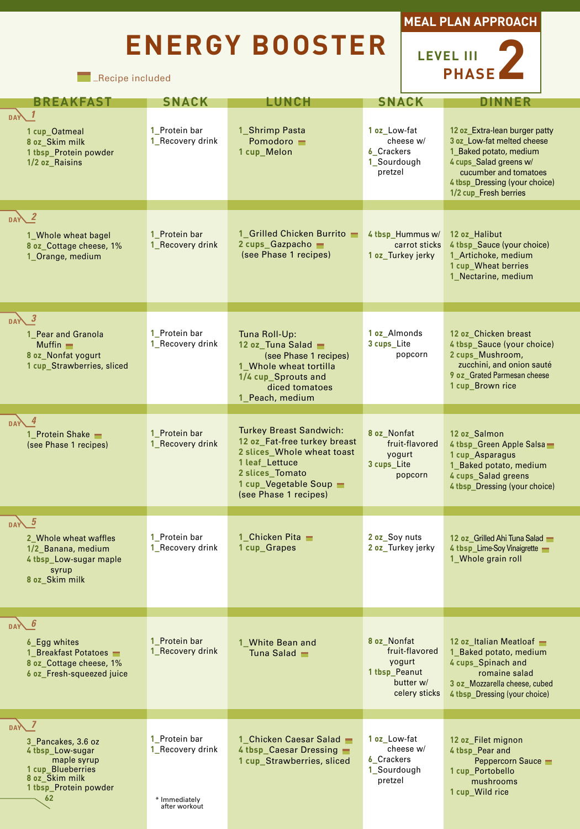# **ENERGY BOOSTER**





| <b>BREAKFAST</b>                                                                                                                   | <b>SNACK</b>                                                        | LUNCH                                                                                                                                                                                | <b>SNACK</b>                                                                           |                                                                                                                                                                                                    |
|------------------------------------------------------------------------------------------------------------------------------------|---------------------------------------------------------------------|--------------------------------------------------------------------------------------------------------------------------------------------------------------------------------------|----------------------------------------------------------------------------------------|----------------------------------------------------------------------------------------------------------------------------------------------------------------------------------------------------|
| <b>DAY</b><br>1 cup_Oatmeal<br>8 oz_Skim milk<br>1 tbsp_Protein powder<br>1/2 oz_Raisins                                           | 1_Protein bar<br>1_Recovery drink                                   | 1_Shrimp Pasta<br>Pomodoro -<br>1 cup_Melon                                                                                                                                          | 1 oz Low-fat<br>cheese w/<br><b>6</b> Crackers<br>1_Sourdough<br>pretzel               | 12 oz Extra-lean burger patty<br>3 oz Low-fat melted cheese<br>1_Baked potato, medium<br>4 cups_Salad greens w/<br>cucumber and tomatoes<br>4 tbsp Dressing (your choice)<br>1/2 cup_Fresh berries |
| DAY 2<br>1 Whole wheat bagel<br>8 oz_Cottage cheese, 1%<br>1_Orange, medium                                                        | 1_Protein bar<br>1_Recovery drink                                   | 1 Grilled Chicken Burrito<br>2 cups Gazpacho<br>(see Phase 1 recipes)                                                                                                                | 4 tbsp_Hummus w/<br>carrot sticks<br>1 oz_Turkey jerky                                 | 12 oz_Halibut<br>4 tbsp_Sauce (your choice)<br>1_Artichoke, medium<br>1 cup_Wheat berries<br>1_Nectarine, medium                                                                                   |
| DAY 3<br>1 Pear and Granola<br>Muffin $\blacksquare$<br>8 oz Nonfat yogurt<br>1 cup_Strawberries, sliced                           | 1_Protein bar<br>1_Recovery drink                                   | Tuna Roll-Up:<br>12 oz Tuna Salad<br>(see Phase 1 recipes)<br>1 Whole wheat tortilla<br>1/4 cup_Sprouts and<br>diced tomatoes<br>1_Peach, medium                                     | 1 oz Almonds<br>3 cups_Lite<br>popcorn                                                 | 12 oz Chicken breast<br>4 tbsp_Sauce (your choice)<br>2 cups Mushroom,<br>zucchini, and onion sauté<br>9 oz Grated Parmesan cheese<br>1 cup_Brown rice                                             |
| $DAY$ 4<br>1_Protein Shake -<br>(see Phase 1 recipes)                                                                              | 1_Protein bar<br>1_Recovery drink                                   | <b>Turkey Breast Sandwich:</b><br>12 oz Fat-free turkey breast<br>2 slices Whole wheat toast<br>1 leaf Lettuce<br>2 slices Tomato<br>1 cup_Vegetable Soup -<br>(see Phase 1 recipes) | 8 oz Nonfat<br>fruit-flavored<br>yogurt<br>3 cups_Lite<br>popcorn                      | 12 oz Salmon<br>4 tbsp_Green Apple Salsa<br>1 cup_Asparagus<br>1_Baked potato, medium<br>4 cups Salad greens<br>4 thsp Dressing (your choice)                                                      |
| DAY <sub>5</sub><br>2 Whole wheat waffles<br>1/2 Banana, medium<br>4 tbsp_Low-sugar maple<br>syrup<br>8 oz_Skim milk               | 1_Protein bar<br>1 Recovery drink                                   | 1_Chicken Pita $-$<br>1 cup_Grapes                                                                                                                                                   | 2 oz Soy nuts<br>2 oz_Turkey jerky                                                     | 12 oz Grilled Ahi Tuna Salad<br>4 tbsp_Lime-Soy Vinaigrette<br>1_Whole grain roll                                                                                                                  |
| -6<br><b>DAY</b><br>6_Egg whites<br>1 Breakfast Potatoes<br>8 oz Cottage cheese, 1%<br>6 oz Fresh-squeezed juice                   | 1_Protein bar<br>1_Recovery drink                                   | 1 White Bean and<br>Tuna Salad                                                                                                                                                       | 8 oz Nonfat<br>fruit-flavored<br>yogurt<br>1 tbsp_Peanut<br>butter w/<br>celery sticks | 12 oz Italian Meatloaf<br>1_Baked potato, medium<br>4 cups Spinach and<br>romaine salad<br>3 oz Mozzarella cheese, cubed<br>4 thsp Dressing (your choice)                                          |
| DAY<br>3 Pancakes, 3.6 oz<br>4 tbsp Low-sugar<br>maple syrup<br>1 cup_Blueberries<br>8 oz Skim milk<br>1 tbsp_Protein powder<br>62 | 1_Protein bar<br>1 Recovery drink<br>* Immediately<br>after workout | 1 Chicken Caesar Salad<br>4 thsp Caesar Dressing<br>1 cup Strawberries, sliced                                                                                                       | 1 oz_Low-fat<br>cheese w/<br><b>6</b> Crackers<br>1_Sourdough<br>pretzel               | 12 oz Filet mignon<br>4 tbsp_Pear and<br>Peppercorn Sauce<br>1 cup Portobello<br>mushrooms<br>1 cup_Wild rice                                                                                      |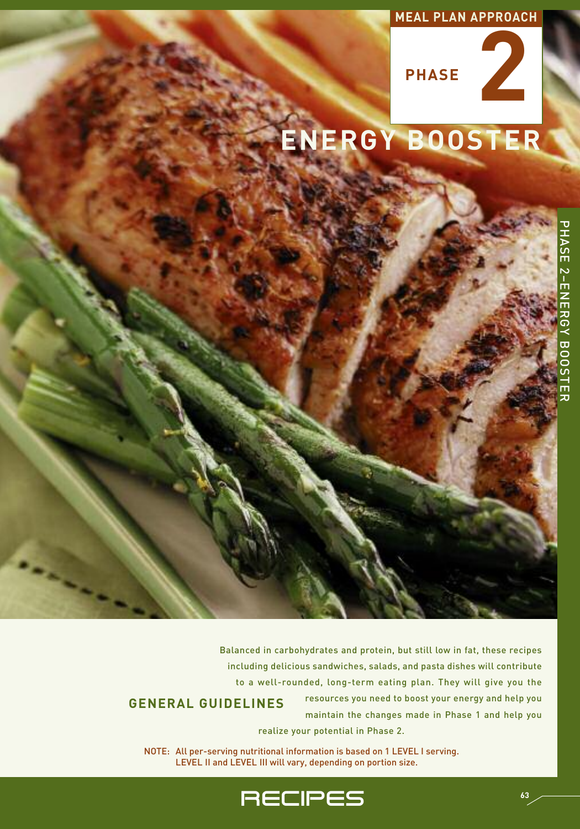## **MEAL PLAN APPROACH**



# **ENERGY BOOSTER**

Balanced in carbohydrates and protein, but still low in fat, these recipes including delicious sandwiches, salads, and pasta dishes will contribute to a well-rounded, long-term eating plan. They will give you the resources you need to boost your energy and help you **GENERAL GUIDELINES**

maintain the changes made in Phase 1 and help you realize your potential in Phase 2.

NOTE: All per-serving nutritional information is based on 1 LEVEL I serving. LEVEL II and LEVEL III will vary, depending on portion size.

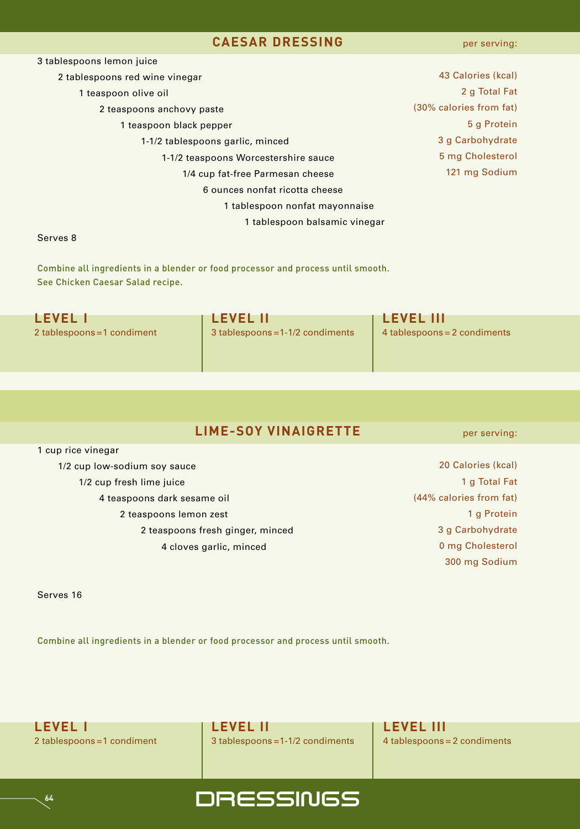#### **CAESAR DRESSING**

per serving:

| 3 tablespoons lemon juice            |                         |
|--------------------------------------|-------------------------|
| 2 tablespoons red wine vinegar       | 43 Calories (kcal)      |
| 1 teaspoon olive oil                 | 2 g Total Fat           |
| 2 teaspoons anchovy paste            | (30% calories from fat) |
| 1 teaspoon black pepper              | 5 g Protein             |
| 1-1/2 tablespoons garlic, minced     | 3 g Carbohydrate        |
| 1-1/2 teaspoons Worcestershire sauce | 5 mg Cholesterol        |
| 1/4 cup fat-free Parmesan cheese     | 121 mg Sodium           |
| 6 ounces nonfat ricotta cheese       |                         |
| 1 tablespoon nonfat mayonnaise       |                         |
| 1 tablespoon balsamic vinegar        |                         |
| $Ccm$ $\sim$ $\sim$ $\sim$ $\sim$    |                         |

#### Serves 8

Combine all ingredients in a blender or food processor and process until smooth. See Chicken Caesar Salad recipe.

| <b>LEVEL I</b>              | <b>LEVEL II</b>                  | <b>LEVEL III</b>             |
|-----------------------------|----------------------------------|------------------------------|
| 2 tablespoons = 1 condiment | 3 tablespoons = 1-1/2 condiments | 4 tablespoons = 2 condiments |
|                             |                                  |                              |

### **LIME-SOY VINAIGRETTE**

 cup rice vinegar 1/2 cup low-sodium soy sauce 1/2 cup fresh lime juice teaspoons dark sesame oil teaspoons lemon zest teaspoons fresh ginger, minced cloves garlic, minced

 Calories (kcal) g Total Fat (44% calories from fat) g Protein g Carbohydrate mg Cholesterol mg Sodium

per serving:

Serves 16

**64**

Combine all ingredients in a blender or food processor and process until smooth.



**LEVEL I LEVEL II LEVEL III** 2 tablespoons =1 condiment 3 tablespoons = 1-1/2 condiments 4 tablespoons = 2 condiments

**DRESSINGS**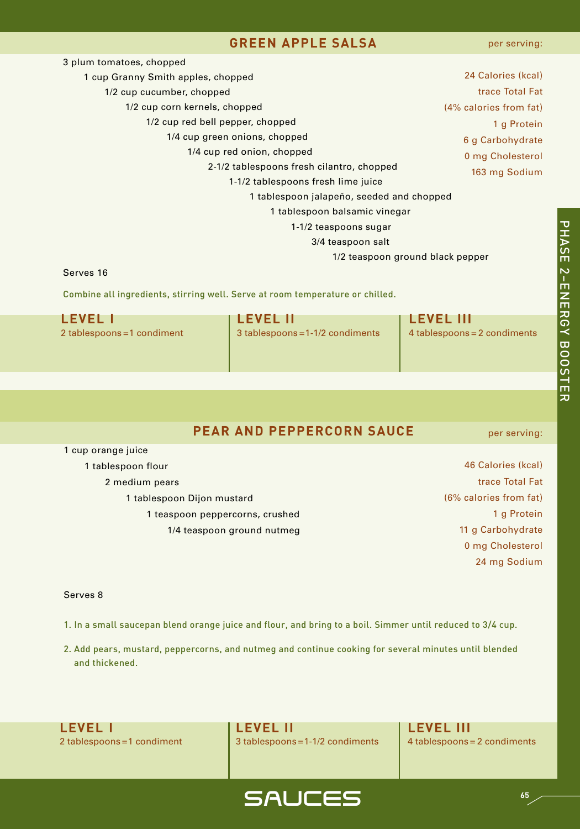#### **GREEN APPLE SALSA**

| 3 plum tomatoes, chopped                  |                        |  |
|-------------------------------------------|------------------------|--|
| 1 cup Granny Smith apples, chopped        | 24 Calories (kcal)     |  |
| 1/2 cup cucumber, chopped                 | trace Total Fat        |  |
| 1/2 cup corn kernels, chopped             | (4% calories from fat) |  |
| 1/2 cup red bell pepper, chopped          | 1 g Protein            |  |
| 1/4 cup green onions, chopped             | 6 g Carbohydrate       |  |
| 1/4 cup red onion, chopped                | 0 mg Cholesterol       |  |
| 2-1/2 tablespoons fresh cilantro, chopped | 163 mg Sodium          |  |
| 1-1/2 tablespoons fresh lime juice        |                        |  |
| 1 tablespoon jalapeño, seeded and chopped |                        |  |
| 1 tablespoon balsamic vinegar             |                        |  |
| 1-1/2 teaspoons sugar                     |                        |  |
| 3/4 teaspoon salt                         |                        |  |
| 1/2 teaspoon ground black pepper          |                        |  |

#### Serves 16

Combine all ingredients, stirring well. Serve at room temperature or chilled.

| <b>LEVEL</b>                | I LEVEL II                       | <b>TLEVEL III</b>            |
|-----------------------------|----------------------------------|------------------------------|
| 2 tablespoons = 1 condiment | 3 tablespoons = 1-1/2 condiments | 4 tablespoons = 2 condiments |
|                             |                                  |                              |
|                             |                                  |                              |

#### **PEAR AND PEPPERCORN SAUCE**

per serving:

| 1 cup orange juice              |  |
|---------------------------------|--|
| 1 tablespoon flour              |  |
| 2 medium pears                  |  |
| 1 tablespoon Dijon mustard      |  |
| 1 teaspoon peppercorns, crushed |  |
| 1/4 teaspoon ground nutmeg      |  |

 Calories (kcal) trace Total Fat (6% calories from fat) g Protein g Carbohydrate mg Cholesterol mg Sodium

#### Serves 8

- 1. In a small saucepan blend orange juice and flour, and bring to a boil. Simmer until reduced to 3/4 cup.
- 2. Add pears, mustard, peppercorns, and nutmeg and continue cooking for several minutes until blended and thickened.



2 tablespoons =1 condiment 3 tablespoons =1-1/2 condiments 4 tablespoons = 2 condiments

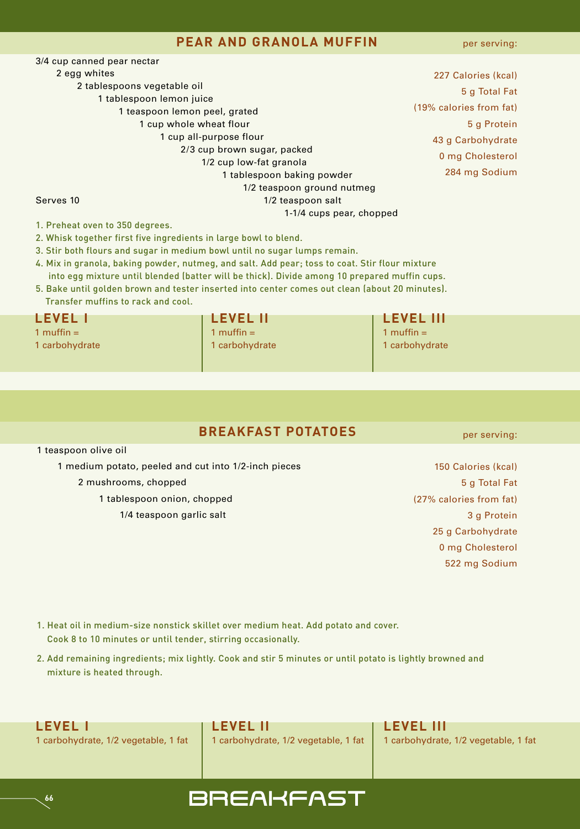#### **PEAR AND GRANOLA MUFFIN**

per serving:

3/4 cup canned pear nectar 2 egg whites 2 tablespoons vegetable oil 1 tablespoon lemon juice 1 teaspoon lemon peel, grated 1 cup whole wheat flour 1 cup all-purpose flour 2/3 cup brown sugar, packed 1/2 cup low-fat granola 1 tablespoon baking powder 1/2 teaspoon ground nutmeg Serves 10 1/2 teaspoon salt 1-1/4 cups pear, chopped

 Calories (kcal) g Total Fat (19% calories from fat) g Protein g Carbohydrate mg Cholesterol mg Sodium

1. Preheat oven to 350 degrees.

- 2. Whisk together first five ingredients in large bowl to blend.
- 3. Stir both flours and sugar in medium bowl until no sugar lumps remain.
- 4. Mix in granola, baking powder, nutmeg, and salt. Add pear; toss to coat. Stir flour mixture
- into egg mixture until blended (batter will be thick). Divide among 10 prepared muffin cups. 5. Bake until golden brown and tester inserted into center comes out clean (about 20 minutes).

Transfer muffins to rack and cool.

1 muffin = 1 muffin = 1 muffin = 1 muffin = 1 muffin = 1 muffin = 1 muffin =

|  | <b>LEVEL II</b>                                                                                                                                                                                                                                                                                                                                                                                                          |  |
|--|--------------------------------------------------------------------------------------------------------------------------------------------------------------------------------------------------------------------------------------------------------------------------------------------------------------------------------------------------------------------------------------------------------------------------|--|
|  | $\mathbf{A} = \mathbf{A} \mathbf{A} + \mathbf{A} \mathbf{A} + \mathbf{A} \mathbf{A} + \mathbf{A} \mathbf{A} + \mathbf{A} \mathbf{A} + \mathbf{A} \mathbf{A} + \mathbf{A} \mathbf{A} + \mathbf{A} \mathbf{A} + \mathbf{A} \mathbf{A} + \mathbf{A} \mathbf{A} + \mathbf{A} \mathbf{A} + \mathbf{A} \mathbf{A} + \mathbf{A} \mathbf{A} + \mathbf{A} \mathbf{A} + \mathbf{A} \mathbf{A} + \mathbf{A} \mathbf{A} + \mathbf{A$ |  |

**LEVEL I LEVEL II LEVEL III** 1 carbohydrate 1 carbohydrate 1 carbohydrate 1 carbohydrate 1 carbohydrate

#### **BREAKFAST POTATOES**

1 teaspoon olive oil

**66**

1 medium potato, peeled and cut into 1/2-inch pieces

2 mushrooms, chopped

- 1 tablespoon onion, chopped
	- 1/4 teaspoon garlic salt
- 150 Calories (kcal) 5 g Total Fat (27% calories from fat) 3 g Protein 25 g Carbohydrate 0 mg Cholesterol 522 mg Sodium
- 1. Heat oil in medium-size nonstick skillet over medium heat. Add potato and cover. Cook 8 to 10 minutes or until tender, stirring occasionally.
- 2. Add remaining ingredients; mix lightly. Cook and stir 5 minutes or until potato is lightly browned and mixture is heated through.



# **BREAKFAST**

per serving: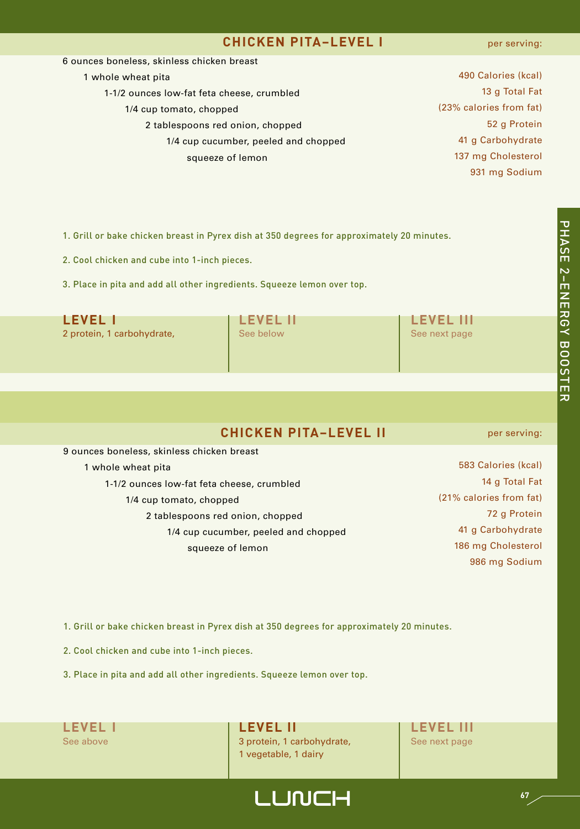#### **CHICKEN PITA–LEVEL I**

#### per serving:

| 6 ounces boneless, skinless chicken breast |                         |
|--------------------------------------------|-------------------------|
| 1 whole wheat pita                         | 490 Calories (kcal)     |
| 1-1/2 ounces low-fat feta cheese, crumbled | 13 g Total Fat          |
| 1/4 cup tomato, chopped                    | (23% calories from fat) |
| 2 tablespoons red onion, chopped           | 52 g Protein            |
| 1/4 cup cucumber, peeled and chopped       | 41 g Carbohydrate       |
| squeeze of lemon                           | 137 mg Cholesterol      |
|                                            | 931 mg Sodium           |

1. Grill or bake chicken breast in Pyrex dish at 350 degrees for approximately 20 minutes.

2. Cool chicken and cube into 1-inch pieces.

3. Place in pita and add all other ingredients. Squeeze lemon over top.

| <b>LEVEL I</b>             | <b>LEVEL II</b> | <b>LEVEL III</b> |
|----------------------------|-----------------|------------------|
| 2 protein, 1 carbohydrate, | See below       | See next page    |
|                            |                 |                  |

## **CHICKEN PITA–LEVEL II**

9 ounces boneless, skinless chicken breast 1 whole wheat pita 1-1/2 ounces low-fat feta cheese, crumbled 1/4 cup tomato, chopped 2 tablespoons red onion, chopped 1/4 cup cucumber, peeled and chopped squeeze of lemon

per serving:

 Calories (kcal) g Total Fat (21% calories from fat) g Protein g Carbohydrate mg Cholesterol mg Sodium

1. Grill or bake chicken breast in Pyrex dish at 350 degrees for approximately 20 minutes.

2. Cool chicken and cube into 1-inch pieces.

3. Place in pita and add all other ingredients. Squeeze lemon over top.

**LEVEL I LEVEL II LEVEL III** See above 3 protein, 1 carbohydrate, See next page 1 vegetable, 1 dairy

LUNCH **<sup>67</sup>**

고

고<br>고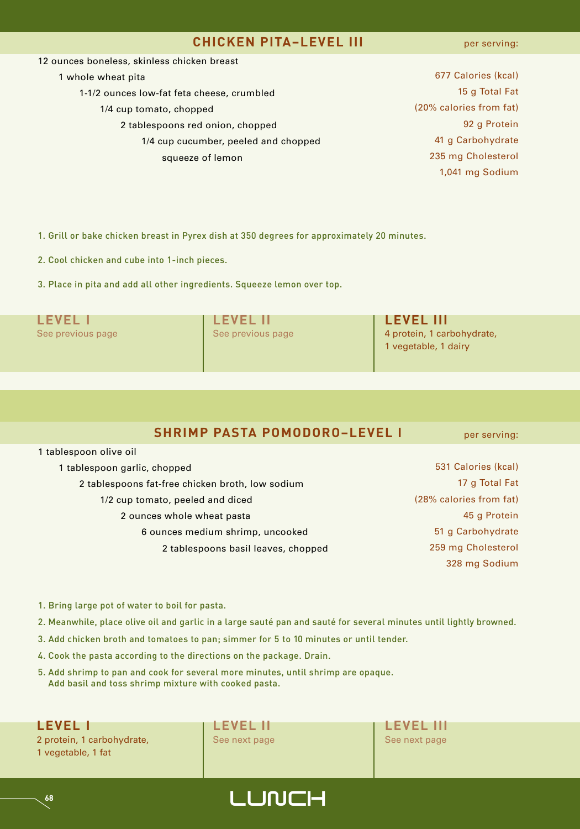#### **CHICKEN PITA–LEVEL III**

per serving:

| 12 ounces boneless, skinless chicken breast |                         |
|---------------------------------------------|-------------------------|
| 1 whole wheat pita                          | 677 Calories (kcal)     |
| 1-1/2 ounces low-fat feta cheese, crumbled  | 15 g Total Fat          |
| 1/4 cup tomato, chopped                     | (20% calories from fat) |
| 2 tablespoons red onion, chopped            | 92 g Protein            |
| 1/4 cup cucumber, peeled and chopped        | 41 g Carbohydrate       |
| squeeze of lemon                            | 235 mg Cholesterol      |
|                                             | 1,041 mg Sodium         |
|                                             |                         |

1. Grill or bake chicken breast in Pyrex dish at 350 degrees for approximately 20 minutes.

2. Cool chicken and cube into 1-inch pieces.

3. Place in pita and add all other ingredients. Squeeze lemon over top.

| <b>LEVEL</b>      | <b>LEVEL II</b>   | <b>LEVEL III</b>                                   |
|-------------------|-------------------|----------------------------------------------------|
| See previous page | See previous page | 4 protein, 1 carbohydrate,<br>1 vegetable, 1 dairy |

### **SHRIMP PASTA POMODORO–LEVEL I**

per serving:

| 1 tablespoon garlic, chopped                     |  |
|--------------------------------------------------|--|
| 2 tablespoons fat-free chicken broth, low sodium |  |
| 1/2 cup tomato, peeled and diced                 |  |
| 2 ounces whole wheat pasta                       |  |
| 6 ounces medium shrimp, uncooked                 |  |
| 2 tablespoons basil leaves, chopped              |  |

 Calories (kcal) g Total Fat (28% calories from fat) g Protein g Carbohydrate mg Cholesterol mg Sodium

- 1. Bring large pot of water to boil for pasta.
- 2. Meanwhile, place olive oil and garlic in a large sauté pan and sauté for several minutes until lightly browned.
- 3. Add chicken broth and tomatoes to pan; simmer for 5 to 10 minutes or until tender.
- 4. Cook the pasta according to the directions on the package. Drain.
- 5. Add shrimp to pan and cook for several more minutes, until shrimp are opaque. Add basil and toss shrimp mixture with cooked pasta.

2 protein, 1 carbohydrate, See next page See next page See next page 1 vegetable, 1 fat

1 tablespoon olive oil



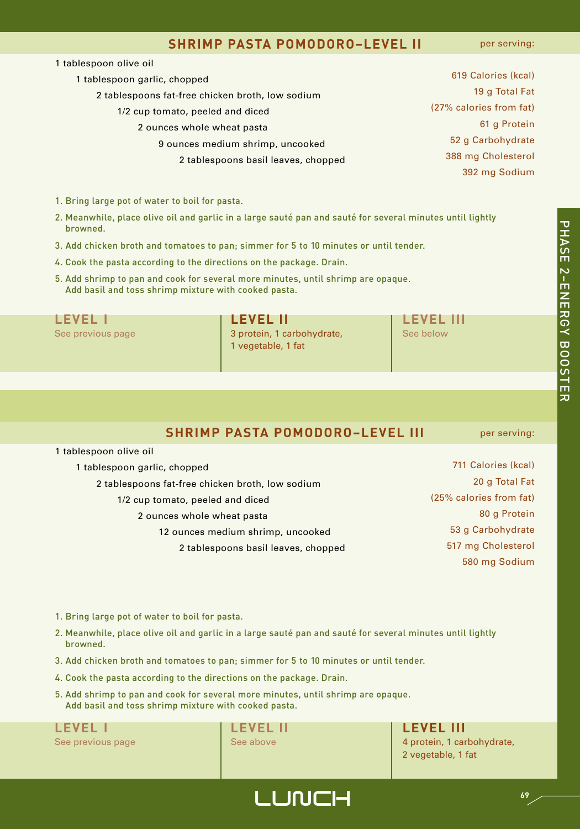#### **SHRIMP PASTA POMODORO–LEVEL II**

per serving:

| 1 tablespoon olive oil                           |                         |
|--------------------------------------------------|-------------------------|
| 1 tablespoon garlic, chopped                     | 619 Calories (kcal)     |
| 2 tablespoons fat-free chicken broth, low sodium | 19 g Total Fat          |
| 1/2 cup tomato, peeled and diced                 | (27% calories from fat) |
| 2 ounces whole wheat pasta                       | 61 g Protein            |
| 9 ounces medium shrimp, uncooked                 | 52 g Carbohydrate       |
| 2 tablespoons basil leaves, chopped              | 388 mg Cholesterol      |
|                                                  | 392 mg Sodium           |

- 1. Bring large pot of water to boil for pasta.
- 2. Meanwhile, place olive oil and garlic in a large sauté pan and sauté for several minutes until lightly browned.
- 3. Add chicken broth and tomatoes to pan; simmer for 5 to 10 minutes or until tender.
- 4. Cook the pasta according to the directions on the package. Drain.
- 5. Add shrimp to pan and cook for several more minutes, until shrimp are opaque. Add basil and toss shrimp mixture with cooked pasta.

| <b>LEVEL</b>      | I LEVEL II                                       | <b>LEVEL III</b> |
|-------------------|--------------------------------------------------|------------------|
| See previous page | 3 protein, 1 carbohydrate,<br>1 vegetable, 1 fat | See below        |

#### **SHRIMP PASTA POMODORO–LEVEL III**

per serving:

| 1 tablespoon garlic, chopped                     | 711 Calories (kcal)     |
|--------------------------------------------------|-------------------------|
| 2 tablespoons fat-free chicken broth, low sodium | 20 g Total Fat          |
| 1/2 cup tomato, peeled and diced                 | (25% calories from fat) |
| 2 ounces whole wheat pasta                       | 80 g Protein            |
| 12 ounces medium shrimp, uncooked                | 53 g Carbohydrate       |
| 2 tablespoons basil leaves, chopped              | 517 mg Cholesterol      |
|                                                  | 580 mg Sodium           |

- 1. Bring large pot of water to boil for pasta.
- 2. Meanwhile, place olive oil and garlic in a large sauté pan and sauté for several minutes until lightly browned.
- 3. Add chicken broth and tomatoes to pan; simmer for 5 to 10 minutes or until tender.
- 4. Cook the pasta according to the directions on the package. Drain.
- 5. Add shrimp to pan and cook for several more minutes, until shrimp are opaque. Add basil and toss shrimp mixture with cooked pasta.

**LEVEL I LEVEL II LEVEL III**

1 tablespoon olive oil

LUNCH **<sup>69</sup>**

See previous page See above 4 protein, 1 carbohydrate, 2 vegetable, 1 fat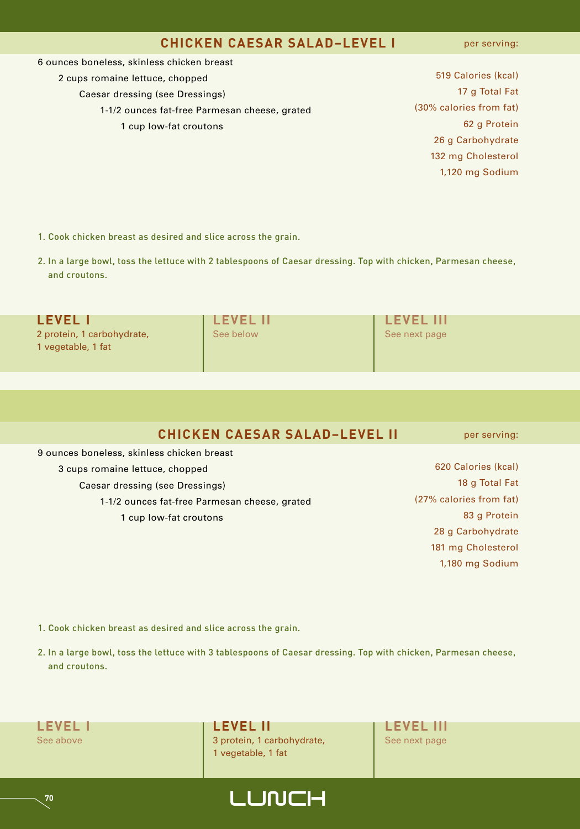#### **CHICKEN CAESAR SALAD–LEVEL I**

per serving:

6 ounces boneless, skinless chicken breast 2 cups romaine lettuce, chopped Caesar dressing (see Dressings) 1-1/2 ounces fat-free Parmesan cheese, grated 1 cup low-fat croutons

 Calories (kcal) g Total Fat (30% calories from fat) g Protein g Carbohydrate mg Cholesterol 1,120 mg Sodium

- 1. Cook chicken breast as desired and slice across the grain.
- 2. In a large bowl, toss the lettuce with 2 tablespoons of Caesar dressing. Top with chicken, Parmesan cheese, and croutons.

| <b>LEVEL I</b>                                   | <b>LEVEL II</b> | <b>LEVEL III</b> |
|--------------------------------------------------|-----------------|------------------|
| 2 protein, 1 carbohydrate,<br>1 vegetable, 1 fat | See below       | See next page    |

| <b>CHICKEN CAESAR SALAD-LEVEL II</b> |  |  |  |
|--------------------------------------|--|--|--|
|--------------------------------------|--|--|--|

9 ounces boneless, skinless chicken breast 3 cups romaine lettuce, chopped Caesar dressing (see Dressings) 1-1/2 ounces fat-free Parmesan cheese, grated 1 cup low-fat croutons

 Calories (kcal) g Total Fat (27% calories from fat) g Protein g Carbohydrate mg Cholesterol 1,180 mg Sodium

per serving:

- 1. Cook chicken breast as desired and slice across the grain.
- 2. In a large bowl, toss the lettuce with 3 tablespoons of Caesar dressing. Top with chicken, Parmesan cheese, and croutons.
- 

**LEVEL I LEVEL II LEVEL III** See above 3 protein, 1 carbohydrate, See next page 1 vegetable, 1 fat

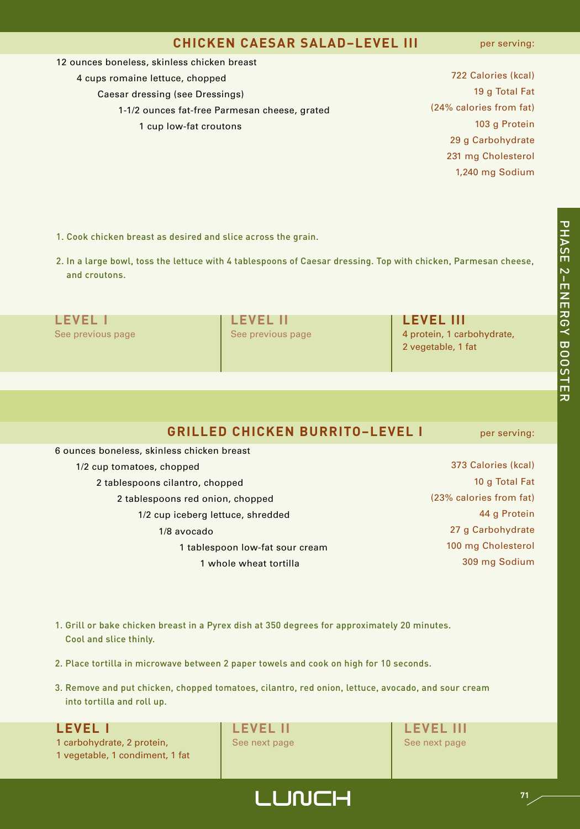#### **CHICKEN CAESAR SALAD–LEVEL III**

per serving:

- 12 ounces boneless, skinless chicken breast
	- 4 cups romaine lettuce, chopped

Caesar dressing (see Dressings)

- 1-1/2 ounces fat-free Parmesan cheese, grated
	- 1 cup low-fat croutons

 Calories (kcal) g Total Fat (24% calories from fat) g Protein g Carbohydrate mg Cholesterol 1,240 mg Sodium

- 1. Cook chicken breast as desired and slice across the grain.
- 2. In a large bowl, toss the lettuce with 4 tablespoons of Caesar dressing. Top with chicken, Parmesan cheese, and croutons.

| <b>LEVEL</b>      | <b>LEVEL II</b>   | <b>LEVEL III</b>           |
|-------------------|-------------------|----------------------------|
| See previous page | See previous page | 4 protein, 1 carbohydrate, |
|                   |                   | 2 vegetable, 1 fat         |
|                   |                   |                            |

#### **GRILLED CHICKEN BURRITO–LEVEL I**

 ounces boneless, skinless chicken breast 1/2 cup tomatoes, chopped tablespoons cilantro, chopped tablespoons red onion, chopped 1/2 cup iceberg lettuce, shredded 1/8 avocado tablespoon low-fat sour cream whole wheat tortilla

per serving:

 Calories (kcal) 10 g Total Fat (23% calories from fat) g Protein g Carbohydrate mg Cholesterol mg Sodium

- 1. Grill or bake chicken breast in a Pyrex dish at 350 degrees for approximately 20 minutes. Cool and slice thinly.
- 2. Place tortilla in microwave between 2 paper towels and cook on high for 10 seconds.
- 3. Remove and put chicken, chopped tomatoes, cilantro, red onion, lettuce, avocado, and sour cream into tortilla and roll up.

1 carbohydrate, 2 protein, See next page See next page See next page 1 vegetable, 1 condiment, 1 fat

**LEVEL I LEVEL II LEVEL III**

고

## LUNCH **<sup>71</sup>**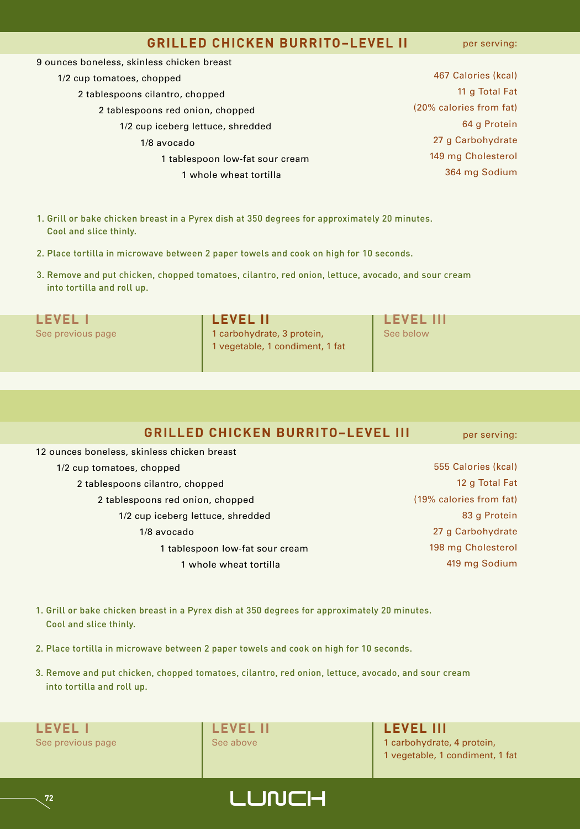#### **GRILLED CHICKEN BURRITO–LEVEL II**

per serving:

| 9 ounces boneless, skinless chicken breast |                         |
|--------------------------------------------|-------------------------|
| 1/2 cup tomatoes, chopped                  | 467 Calories (kcal)     |
| 2 tablespoons cilantro, chopped            | 11 g Total Fat          |
| 2 tablespoons red onion, chopped           | (20% calories from fat) |
| 1/2 cup iceberg lettuce, shredded          | 64 g Protein            |
| 1/8 avocado                                | 27 g Carbohydrate       |
| 1 tablespoon low-fat sour cream            | 149 mg Cholesterol      |
| 1 whole wheat tortilla                     | 364 mg Sodium           |
|                                            |                         |
|                                            |                         |

- 1. Grill or bake chicken breast in a Pyrex dish at 350 degrees for approximately 20 minutes. Cool and slice thinly.
- 2. Place tortilla in microwave between 2 paper towels and cook on high for 10 seconds.
- 3. Remove and put chicken, chopped tomatoes, cilantro, red onion, lettuce, avocado, and sour cream into tortilla and roll up.

|--|--|

**LEVEL I LEVEL II LEVEL III** See previous page 1 carbohydrate, 3 protein, See below 1 vegetable, 1 condiment, 1 fat

#### **GRILLED CHICKEN BURRITO–LEVEL III**

per serving:

 ounces boneless, skinless chicken breast 1/2 cup tomatoes, chopped tablespoons cilantro, chopped tablespoons red onion, chopped 1/2 cup iceberg lettuce, shredded 1/8 avocado tablespoon low-fat sour cream whole wheat tortilla

- 555 Calories (kcal) 12 g Total Fat (19% calories from fat) 83 g Protein 27 g Carbohydrate 198 mg Cholesterol 419 mg Sodium
- 1. Grill or bake chicken breast in a Pyrex dish at 350 degrees for approximately 20 minutes. Cool and slice thinly.
- 2. Place tortilla in microwave between 2 paper towels and cook on high for 10 seconds.
- 3. Remove and put chicken, chopped tomatoes, cilantro, red onion, lettuce, avocado, and sour cream into tortilla and roll up.

**LEVEL I LEVEL II LEVEL III**

See previous page See above 1 See above 1 carbohydrate, 4 protein, 1 vegetable, 1 condiment, 1 fat

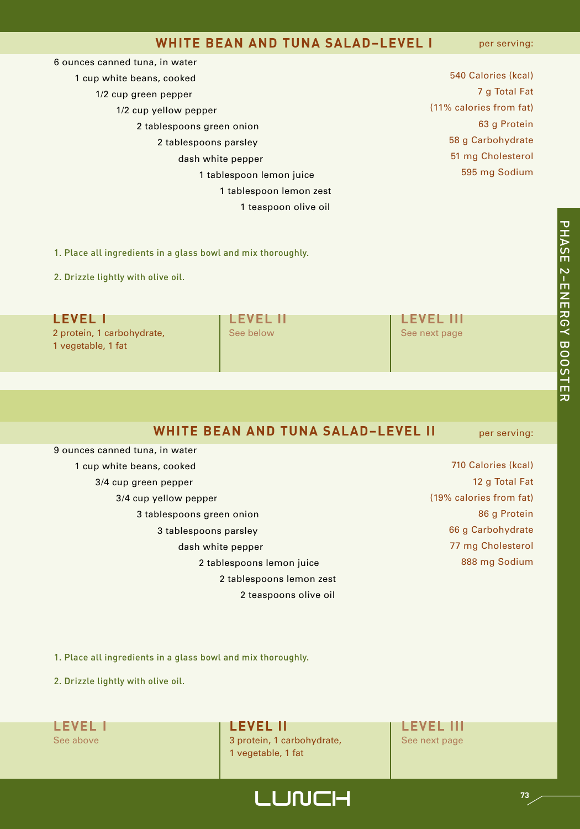#### **WHITE BEAN AND TUNA SALAD–LEVEL I**

per serving:

| 6 ounces canned tuna, in water |                         |
|--------------------------------|-------------------------|
| 1 cup white beans, cooked      | 540 Calories (kcal)     |
| 1/2 cup green pepper           | 7 g Total Fat           |
| 1/2 cup yellow pepper          | (11% calories from fat) |
| 2 tablespoons green onion      | 63 g Protein            |
| 2 tablespoons parsley          | 58 g Carbohydrate       |
| dash white pepper              | 51 mg Cholesterol       |
| 1 tablespoon lemon juice       | 595 mg Sodium           |
| 1 tablespoon lemon zest        |                         |
| 1 teaspoon olive oil           |                         |

1. Place all ingredients in a glass bowl and mix thoroughly.

2. Drizzle lightly with olive oil.

| <b>LEVEL I</b>                                   | <b>LEVEL II</b> | <b>LEVEL III</b> |
|--------------------------------------------------|-----------------|------------------|
| 2 protein, 1 carbohydrate,<br>1 vegetable, 1 fat | See below       | See next page    |

### **WHITE BEAN AND TUNA SALAD–LEVEL II**

per serving:

| 9 ounces canned tuna, in water |
|--------------------------------|
| 1 cup white beans, cooked      |
| 3/4 cup green pepper           |
| 3/4 cup yellow pepper          |
| 3 tablespoons green onion      |
| 3 tablespoons parsley          |
| dash white pepper              |
| 2 tablespoons lemon juice      |
| 2 tablespoons lemon zest       |
| 2 teaspoons olive oil          |
|                                |

 Calories (kcal) g Total Fat (19% calories from fat) g Protein g Carbohydrate mg Cholesterol mg Sodium

1. Place all ingredients in a glass bowl and mix thoroughly.

2. Drizzle lightly with olive oil.



**LEVEL I LEVEL II LEVEL III** See above 3 protein, 1 carbohydrate, See next page 1 vegetable, 1 fat

LUNCH **<sup>73</sup>**

고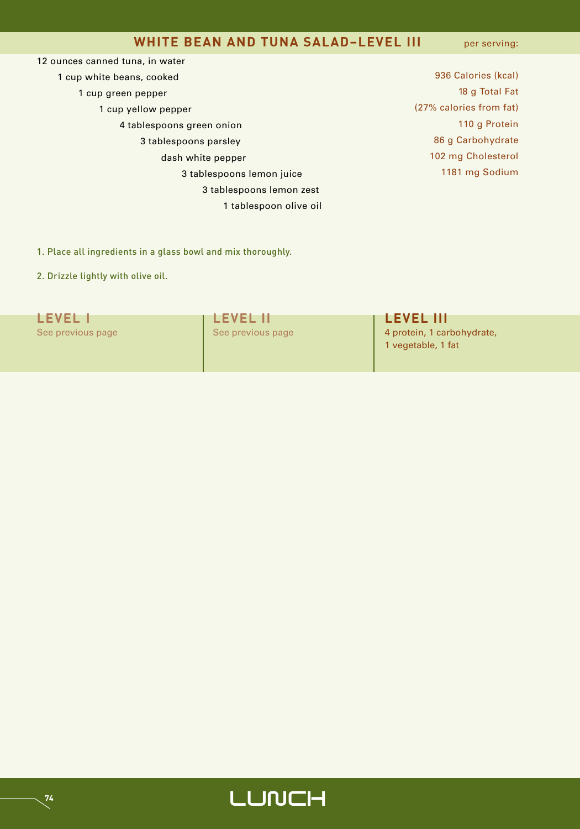#### **WHITE BEAN AND TUNA SALAD–LEVEL III**

per serving:

 ounces canned tuna, in water cup white beans, cooked cup green pepper cup yellow pepper tablespoons green onion tablespoons parsley dash white pepper tablespoons lemon juice tablespoons lemon zest tablespoon olive oil

 Calories (kcal) g Total Fat (27% calories from fat) g Protein g Carbohydrate mg Cholesterol mg Sodium

1. Place all ingredients in a glass bowl and mix thoroughly.

2. Drizzle lightly with olive oil.

| <b>LEVEL 1</b>    | <b>LEVEL II</b>   | <b>LEVEL III</b>                                 |
|-------------------|-------------------|--------------------------------------------------|
| See previous page | See previous page | 4 protein, 1 carbohydrate,<br>1 vegetable, 1 fat |

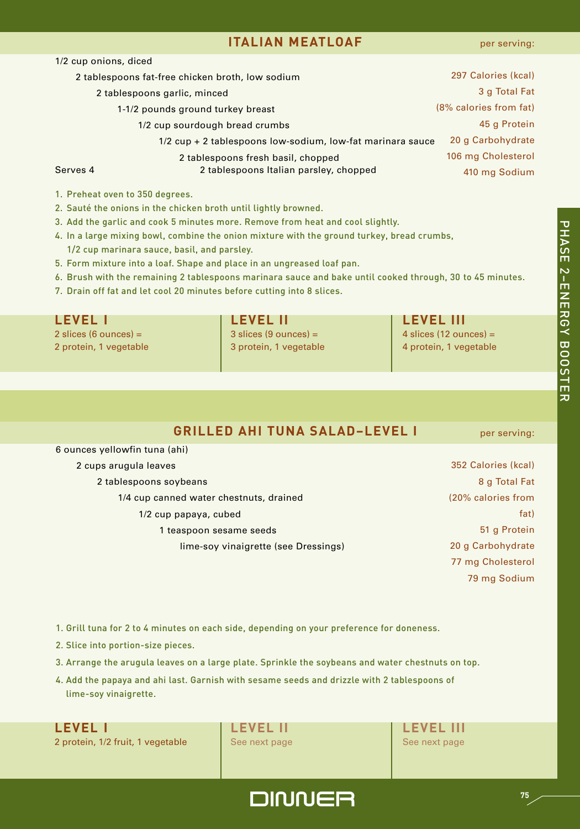### **ITALIAN MEATLOAF**

고<br>고 A S E

2-ENERGY

 $\overline{\mathtt{\omega}}$ 

O O S T E

고

|          | 2 tablespoons fat-free chicken broth, low sodium           | 297 Calories (kcal)    |
|----------|------------------------------------------------------------|------------------------|
|          | 2 tablespoons garlic, minced                               | 3 g Total Fat          |
|          | 1-1/2 pounds ground turkey breast                          | (8% calories from fat) |
|          | 1/2 cup sourdough bread crumbs                             | 45 g Protein           |
|          | 1/2 cup + 2 tablespoons low-sodium, low-fat marinara sauce | 20 g Carbohydrate      |
|          | 2 tablespoons fresh basil, chopped                         | 106 mg Cholesterol     |
| Serves 4 | 2 tablespoons Italian parsley, chopped                     | 410 mg Sodium          |
|          |                                                            |                        |

1. Preheat oven to 350 degrees.

1/2 cup onions, diced

- 2. Sauté the onions in the chicken broth until lightly browned.
- 3. Add the garlic and cook 5 minutes more. Remove from heat and cool slightly.
- 4. In a large mixing bowl, combine the onion mixture with the ground turkey, bread crumbs,
	- 1/2 cup marinara sauce, basil, and parsley.
- 5. Form mixture into a loaf. Shape and place in an ungreased loaf pan.
- 6. Brush with the remaining 2 tablespoons marinara sauce and bake until cooked through, 30 to 45 minutes.
- 7. Drain off fat and let cool 20 minutes before cutting into 8 slices.

| <b>LEVEL I</b>          | <b>LEVEL II</b>         | <b>LEVEL III</b>         |
|-------------------------|-------------------------|--------------------------|
| 2 slices (6 ounces) $=$ | $3$ slices (9 ounces) = | 4 slices (12 ounces) $=$ |
| 2 protein, 1 vegetable  | 3 protein, 1 vegetable  | 4 protein, 1 vegetable   |

### **GRILLED AHI TUNA SALAD–LEVEL I**

6 ounces yellowfin tuna (ahi)

#### 2 cups arugula leaves

- 2 tablespoons soybeans
	- 1/4 cup canned water chestnuts, drained 1/2 cup papaya, cubed 1 teaspoon sesame seeds lime-soy vinaigrette (see Dressings)

per serving:

- 352 Calories (kcal) 8 g Total Fat (20% calories from fat) 51 g Protein 20 g Carbohydrate 77 mg Cholesterol 79 mg Sodium
- 1. Grill tuna for 2 to 4 minutes on each side, depending on your preference for doneness.
- 2. Slice into portion-size pieces.
- 3. Arrange the arugula leaves on a large plate. Sprinkle the soybeans and water chestnuts on top.
- 4. Add the papaya and ahi last. Garnish with sesame seeds and drizzle with 2 tablespoons of lime-soy vinaigrette.

2 protein, 1/2 fruit, 1 vegetable See next page See next page

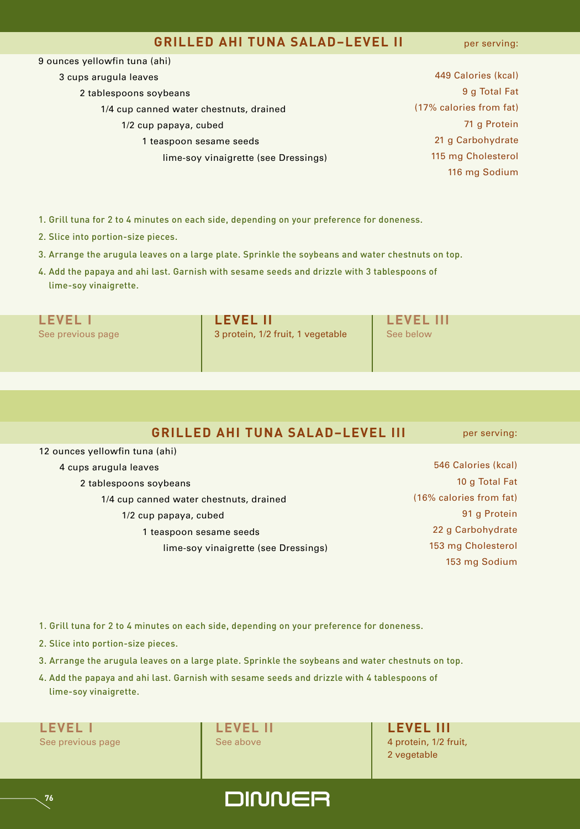#### **GRILLED AHI TUNA SALAD–LEVEL II**

per serving:

| 9 ounces yellowfin tuna (ahi)           |                         |
|-----------------------------------------|-------------------------|
| 3 cups arugula leaves                   | 449 Calories (kcal)     |
| 2 tablespoons soybeans                  | 9 g Total Fat           |
| 1/4 cup canned water chestnuts, drained | (17% calories from fat) |
| 1/2 cup papaya, cubed                   | 71 g Protein            |
| 1 teaspoon sesame seeds                 | 21 g Carbohydrate       |
| lime-soy vinaigrette (see Dressings)    | 115 mg Cholesterol      |
|                                         | 116 mg Sodium           |
|                                         |                         |

- 1. Grill tuna for 2 to 4 minutes on each side, depending on your preference for doneness.
- 2. Slice into portion-size pieces.
- 3. Arrange the arugula leaves on a large plate. Sprinkle the soybeans and water chestnuts on top.
- 4. Add the papaya and ahi last. Garnish with sesame seeds and drizzle with 3 tablespoons of lime-soy vinaigrette.

| See previous page |  |  |  |  |
|-------------------|--|--|--|--|
|                   |  |  |  |  |

**LEVEL I LEVEL II LEVEL III** 3 protein, 1/2 fruit, 1 vegetable | See below

#### **GRILLED AHI TUNA SALAD–LEVEL III**

12 ounces yellowfin tuna (ahi) 4 cups arugula leaves 2 tablespoons soybeans 1/4 cup canned water chestnuts, drained 1/2 cup papaya, cubed 1 teaspoon sesame seeds lime-soy vinaigrette (see Dressings)

546 Calories (kcal) 10 g Total Fat (16% calories from fat) 91 g Protein 22 g Carbohydrate 153 mg Cholesterol 153 mg Sodium

per serving:

- 1. Grill tuna for 2 to 4 minutes on each side, depending on your preference for doneness.
- 2. Slice into portion-size pieces.
- 3. Arrange the arugula leaves on a large plate. Sprinkle the soybeans and water chestnuts on top.
- 4. Add the papaya and ahi last. Garnish with sesame seeds and drizzle with 4 tablespoons of lime-soy vinaigrette.

**LEVEL I LEVEL II LEVEL III** See previous page See above 4 protein, 1/2 fruit,

**76**

2 vegetable

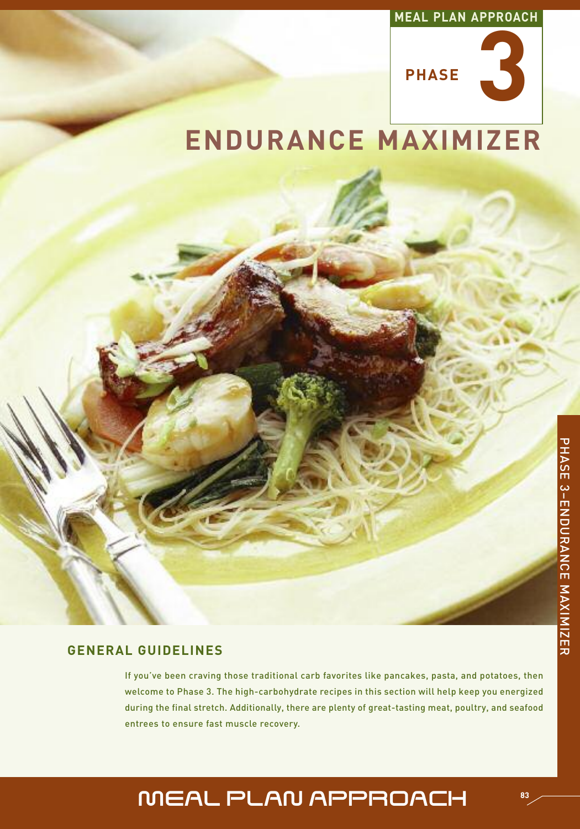#### **MEAL PLAN APPROACH**



# **ENDURANCE MAXIMIZER**

#### **GENERAL GUIDELINES**

If you've been craving those traditional carb favorites like pancakes, pasta, and potatoes, then welcome to Phase 3. The high-carbohydrate recipes in this section will help keep you energized during the final stretch. Additionally, there are plenty of great-tasting meat, poultry, and seafood entrees to ensure fast muscle recovery.

## MEAL PLAN APPROACH **<sup>83</sup>**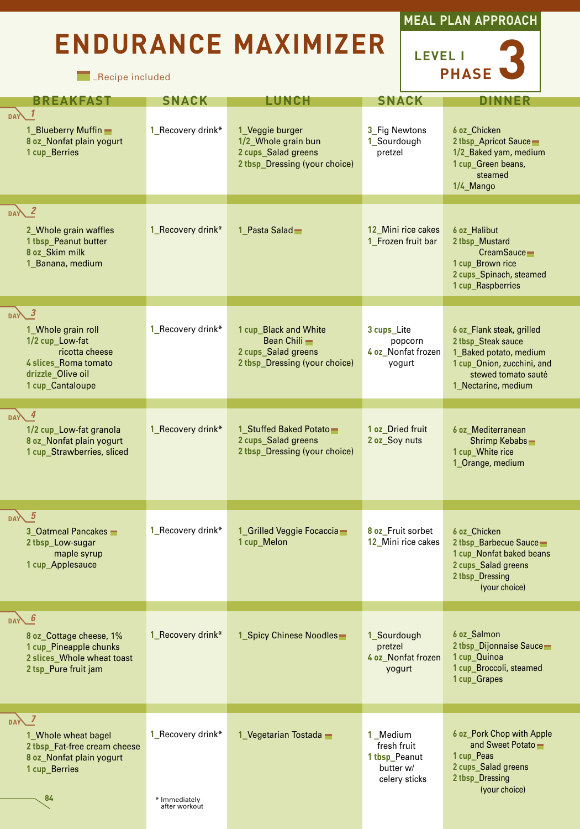# **ENDURANCE MAXIMIZER**

**Necipe included** 



**LEVEL I PHASE 3**

| <b>BREAKFAST</b>                                                                                                                    | <b>SNACK</b>                                        | LUNCH                                                                                          | <b>SNACK</b>                                                           | DINNER                                                                                                                                                |
|-------------------------------------------------------------------------------------------------------------------------------------|-----------------------------------------------------|------------------------------------------------------------------------------------------------|------------------------------------------------------------------------|-------------------------------------------------------------------------------------------------------------------------------------------------------|
| $DAY$ 1<br>1_Blueberry Muffin -<br>8 oz_Nonfat plain yogurt<br>1 cup_Berries                                                        | 1_Recovery drink*                                   | 1_Veggie burger<br>1/2_Whole grain bun<br>2 cups_Salad greens<br>2 tbsp_Dressing (your choice) | 3_Fig Newtons<br>1_Sourdough<br>pretzel                                | 6 oz Chicken<br>2 tbsp_Apricot Sauce<br>1/2_Baked yam, medium<br>1 cup_Green beans,<br>steamed<br>1/4 Mango                                           |
| $_{\text{DA}}$ 2<br>2_Whole grain waffles<br>1 tbsp_Peanut butter<br>8 oz_Skim milk<br>1_Banana, medium                             | 1 Recovery drink*                                   | 1 Pasta Salad                                                                                  | 12 Mini rice cakes<br>1 Frozen fruit bar                               | 6 oz Halibut<br>2 tbsp_Mustard<br>CreamSauce-<br>1 cup Brown rice<br>2 cups_Spinach, steamed<br>1 cup_Raspberries                                     |
| $DAY$ 3<br>1_Whole grain roll<br>1/2 cup_Low-fat<br>ricotta cheese<br>4 slices_Roma tomato<br>drizzle_Olive oil<br>1 cup_Cantaloupe | 1_Recovery drink*                                   | 1 cup_Black and White<br>Bean Chili -<br>2 cups_Salad greens<br>2 tbsp_Dressing (your choice)  | 3 cups Lite<br>popcorn<br>4 oz_Nonfat frozen<br>yogurt                 | 6 oz_Flank steak, grilled<br>2 tbsp_Steak sauce<br>1_Baked potato, medium<br>1 cup Onion, zucchini, and<br>stewed tomato sauté<br>1 Nectarine, medium |
| $\overline{4}$<br><b>DAY</b><br>1/2 cup_Low-fat granola<br>8 oz_Nonfat plain yogurt<br>1 cup_Strawberries, sliced                   | 1_Recovery drink*                                   | 1 Stuffed Baked Potato<br>2 cups_Salad greens<br>2 tbsp_Dressing (your choice)                 | 1 oz Dried fruit<br>2 oz_Soy nuts                                      | 6 oz Mediterranean<br>Shrimp Kebabs-<br>1 cup_White rice<br>1_Orange, medium                                                                          |
| DAY 5<br>3_Oatmeal Pancakes _<br>2 tbsp_Low-sugar<br>maple syrup<br>1 cup_Applesauce                                                | 1_Recovery drink*                                   | 1_Grilled Veggie Focaccia-<br>1 cup_Melon                                                      | 8 oz Fruit sorbet<br>12_Mini rice cakes                                | 6 oz Chicken<br>2 tbsp_Barbecue Sauce<br>1 cup Nonfat baked beans<br>2 cups_Salad greens<br>2 tbsp_Dressing<br>(your choice)                          |
| 6<br><b>DAY</b><br>8 oz Cottage cheese, 1%<br>1 cup_Pineapple chunks<br>2 slices Whole wheat toast<br>2 tsp Pure fruit jam          | 1 Recovery drink*                                   | 1 Spicy Chinese Noodles                                                                        | 1_Sourdough<br>pretzel<br>4 oz Nonfat frozen<br>yogurt                 | 6 oz Salmon<br>2 tbsp_Dijonnaise Sauce<br>1 cup Quinoa<br>1 cup_Broccoli, steamed<br>1 cup Grapes                                                     |
| DAY 7<br>1 Whole wheat bagel<br>2 tbsp_Fat-free cream cheese<br>8 oz Nonfat plain yogurt<br>1 cup Berries<br>84                     | 1 Recovery drink*<br>* Immediately<br>after workout | 1 Vegetarian Tostada $-$                                                                       | 1 Medium<br>fresh fruit<br>1 tbsp_Peanut<br>butter w/<br>celery sticks | 6 oz_Pork Chop with Apple<br>and Sweet Potato-<br>1 cup Peas<br>2 cups_Salad greens<br>2 tbsp_Dressing<br>(your choice)                               |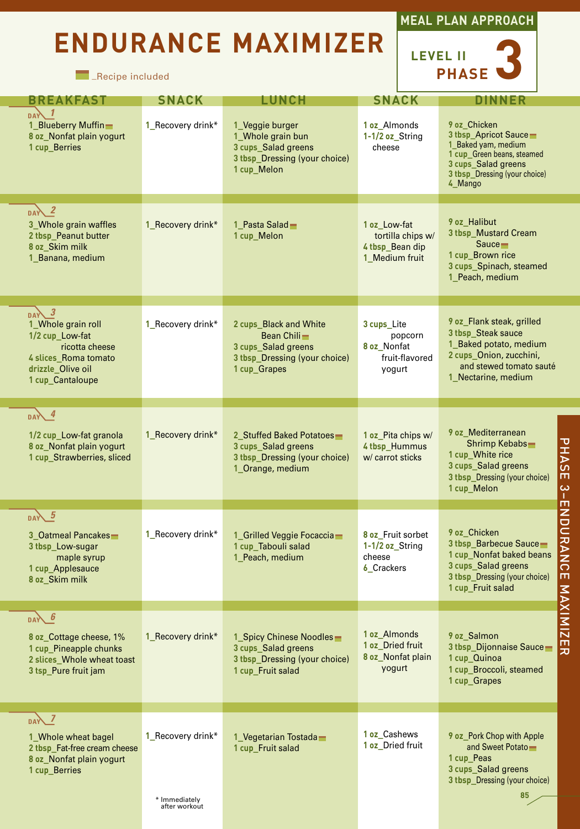# **ENDURANCE MAXIMIZER**







| <b>BREAKFAST</b>                                                                                                                    | <b>SNACK</b>                                        | <b>LUNCH</b>                                                                                                  | <b>SNACK</b>                                                           | <b>DINNER</b>                                                                                                                                                               |
|-------------------------------------------------------------------------------------------------------------------------------------|-----------------------------------------------------|---------------------------------------------------------------------------------------------------------------|------------------------------------------------------------------------|-----------------------------------------------------------------------------------------------------------------------------------------------------------------------------|
| <b>DAY</b><br>1_Blueberry Muffin-<br>8 oz_Nonfat plain yogurt<br>1 cup Berries                                                      | 1_Recovery drink*                                   | 1_Veggie burger<br>1_Whole grain bun<br>3 cups_Salad greens<br>3 thsp Dressing (your choice)<br>1 cup Melon   | 1 oz Almonds<br>1-1/2 oz_String<br>cheese                              | 9 oz Chicken<br>3 tbsp_Apricot Sauce<br>1 Baked yam, medium<br>1 cup_Green beans, steamed<br>3 cups_Salad greens<br>3 thsp Dressing (your choice)<br>4 Mango                |
| $\sqrt{2}$<br>3 Whole grain waffles<br>2 tbsp Peanut butter<br>8 oz_Skim milk<br>1_Banana, medium                                   | 1 Recovery drink*                                   | 1 Pasta Salad-<br>1 cup Melon                                                                                 | 1 oz Low-fat<br>tortilla chips w/<br>4 tbsp_Bean dip<br>1 Medium fruit | 9 oz Halibut<br>3 tbsp_Mustard Cream<br>Sauce<br>1 cup Brown rice<br>3 cups_Spinach, steamed<br>1_Peach, medium                                                             |
| $DAX$ 3<br>1_Whole grain roll<br>1/2 cup_Low-fat<br>ricotta cheese<br>4 slices Roma tomato<br>drizzle_Olive oil<br>1 cup Cantaloupe | 1 Recovery drink*                                   | 2 cups Black and White<br>Bean Chili-<br>3 cups Salad greens<br>3 tbsp_Dressing (your choice)<br>1 cup_Grapes | 3 cups Lite<br>popcorn<br>8 oz Nonfat<br>fruit-flavored<br>yogurt      | 9 oz_Flank steak, grilled<br>3 tbsp Steak sauce<br>1_Baked potato, medium<br>2 cups_Onion, zucchini,<br>and stewed tomato sauté<br>1 Nectarine, medium                      |
| $DAY$ 4<br>1/2 cup_Low-fat granola<br>8 oz_Nonfat plain yogurt<br>1 cup_Strawberries, sliced                                        | 1 Recovery drink*                                   | 2 Stuffed Baked Potatoes<br>3 cups_Salad greens<br>3 tbsp_Dressing (your choice)<br>1 Orange, medium          | 1 oz_Pita chips w/<br>4 tbsp_Hummus<br>w/ carrot sticks                | 9 oz Mediterranean<br>PHASE<br>Shrimp Kebabs-<br>1 cup_White rice<br>3 cups Salad greens<br>3 tbsp_Dressing (your choice)<br>1 cup_Melon                                    |
| $\overline{DAY}$ 5<br>3 Oatmeal Pancakes<br>3 tbsp_Low-sugar<br>maple syrup<br>1 cup_Applesauce<br>8 oz_Skim milk                   | 1 Recovery drink*                                   | 1_Grilled Veggie Focaccia<br>1 cup_Tabouli salad<br>1_Peach, medium                                           | 8 oz Fruit sorbet<br>1-1/2 oz_String<br>cheese<br>6_Crackers           | 3-ENDURANCE<br>9 oz Chicken<br>3 thsp Barbecue Sauce<br>1 cup_Nonfat baked beans<br>3 cups Salad greens<br>3 tbsp_Dressing (your choice)<br><b>NAX</b><br>1 cup Fruit salad |
| $DAV$ 6<br>8 oz Cottage cheese, 1%<br>1 cup Pineapple chunks<br>2 slices Whole wheat toast<br>3 tsp Pure fruit jam                  | 1 Recovery drink*                                   | 1 Spicy Chinese Noodles<br>3 cups_Salad greens<br>3 tbsp_Dressing (your choice)<br>1 cup Fruit salad          | 1 oz Almonds<br>1 oz Dried fruit<br>8 oz_Nonfat plain<br>yogurt        | <b>MIZER</b><br>9 oz Salmon<br>3 tbsp_Dijonnaise Sauce-<br>1 cup Quinoa<br>1 cup_Broccoli, steamed<br>1 cup Grapes                                                          |
| DANZ<br>1 Whole wheat bagel<br>2 tbsp_Fat-free cream cheese<br>8 oz Nonfat plain yogurt<br>1 cup Berries                            | 1 Recovery drink*<br>* Immediately<br>after workout | 1_Vegetarian Tostada_<br>1 cup_Fruit salad                                                                    | 1 oz Cashews<br>1 oz Dried fruit                                       | 9 oz Pork Chop with Apple<br>and Sweet Potato-<br>1 cup_Peas<br>3 cups_Salad greens<br>3 tbsp_Dressing (your choice)<br>85                                                  |
|                                                                                                                                     |                                                     |                                                                                                               |                                                                        |                                                                                                                                                                             |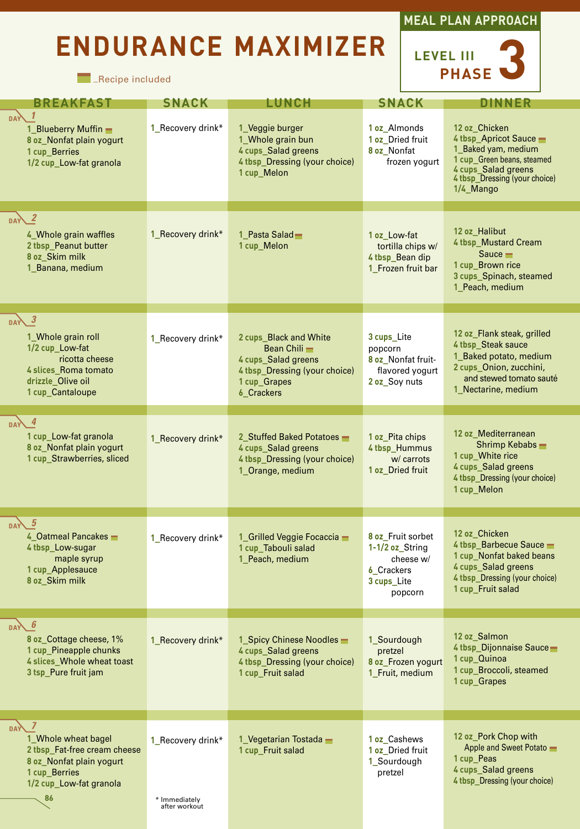# **ENDURANCE MAXIMIZER**

**Exercipe included** 



| <b>BREAKFAST</b>                                                                                                                                        | <b>SNACK</b>                                        | <b>LUNCH</b>                                                                                                                 | <b>SNACK</b>                                                                                     | <b>DINNER</b>                                                                                                                                                     |
|---------------------------------------------------------------------------------------------------------------------------------------------------------|-----------------------------------------------------|------------------------------------------------------------------------------------------------------------------------------|--------------------------------------------------------------------------------------------------|-------------------------------------------------------------------------------------------------------------------------------------------------------------------|
| $DAY$ 1<br>1_Blueberry Muffin -<br>8 oz_Nonfat plain yogurt<br>1 cup_Berries<br>1/2 cup_Low-fat granola                                                 | 1_Recovery drink*                                   | 1 Veggie burger<br>1_Whole grain bun<br>4 cups_Salad greens<br>4 tbsp_Dressing (your choice)<br>1 cup_Melon                  | 1 oz Almonds<br>1 oz_Dried fruit<br>8 oz_Nonfat<br>frozen yogurt                                 | 12 oz Chicken<br>4 tbsp_Apricot Sauce -<br>1_Baked yam, medium<br>1 cup Green beans, steamed<br>4 cups_Salad greens<br>4 thsp_Dressing (your choice)<br>1/4 Mango |
| DAY 2<br>4 Whole grain waffles<br>2 tbsp_Peanut butter<br>8 oz Skim milk<br>1_Banana, medium                                                            | 1_Recovery drink*                                   | 1 Pasta Salad<br>1 cup_Melon                                                                                                 | 1 oz Low-fat<br>tortilla chips w/<br>4 tbsp_Bean dip<br>1_Frozen fruit bar                       | 12 oz Halibut<br>4 tbsp Mustard Cream<br>Sauce $\blacksquare$<br>1 cup Brown rice<br>3 cups_Spinach, steamed<br>1_Peach, medium                                   |
| $\boldsymbol{\beta}$<br>DAY<br>1_Whole grain roll<br>1/2 cup_Low-fat<br>ricotta cheese<br>4 slices_Roma tomato<br>drizzle_Olive oil<br>1 cup_Cantaloupe | 1 Recovery drink*                                   | 2 cups Black and White<br>Bean Chili -<br>4 cups Salad greens<br>4 tbsp_Dressing (your choice)<br>1 cup_Grapes<br>6_Crackers | 3 cups Lite<br>popcorn<br>8 oz Nonfat fruit-<br>flavored yogurt<br>2 oz_Soy nuts                 | 12 oz Flank steak, grilled<br>4 tbsp_Steak sauce<br>1_Baked potato, medium<br>2 cups Onion, zucchini,<br>and stewed tomato sauté<br>1 Nectarine, medium           |
| -4<br>1 cup_Low-fat granola<br>8 oz_Nonfat plain yogurt<br>1 cup_Strawberries, sliced                                                                   | 1_Recovery drink*                                   | 2 Stuffed Baked Potatoes<br>4 cups_Salad greens<br>4 tbsp_Dressing (your choice)<br>1_Orange, medium                         | 1 oz Pita chips<br>4 tbsp_Hummus<br>w/ carrots<br>1 oz_Dried fruit                               | 12 oz_Mediterranean<br>Shrimp Kebabs -<br>1 cup_White rice<br>4 cups_Salad greens<br>4 tbsp_Dressing (your choice)<br>1 cup_Melon                                 |
| DAY 5<br>4_Oatmeal Pancakes -<br>4 tbsp_Low-sugar<br>maple syrup<br>1 cup_Applesauce<br>8 oz_Skim milk                                                  | 1_Recovery drink*                                   | 1_Grilled Veggie Focaccia -<br>1 cup_Tabouli salad<br>1_Peach, medium                                                        | 8 oz Fruit sorbet<br>1-1/2 oz_String<br>cheese w/<br><b>6</b> Crackers<br>3 cups_Lite<br>popcorn | 12 oz Chicken<br>4 tbsp_Barbecue Sauce -<br>1 cup_Nonfat baked beans<br>4 cups_Salad greens<br>4 tbsp_Dressing (your choice)<br>1 cup Fruit salad                 |
| 6<br><b>DAY</b><br>8 oz Cottage cheese, 1%<br>1 cup Pineapple chunks<br>4 slices_Whole wheat toast<br>3 tsp_Pure fruit jam                              | 1 Recovery drink*                                   | 1 Spicy Chinese Noodles<br>4 cups Salad greens<br>4 tbsp_Dressing (your choice)<br>1 cup_Fruit salad                         | 1 Sourdough<br>pretzel<br>8 oz_Frozen yogurt<br>1 Fruit, medium                                  | 12 oz Salmon<br>4 tbsp_Dijonnaise Sauce<br>1 cup Quinoa<br>1 cup_Broccoli, steamed<br>1 cup Grapes                                                                |
| $DA$ 7                                                                                                                                                  |                                                     |                                                                                                                              |                                                                                                  | 12 oz Pork Chop with                                                                                                                                              |
| 1 Whole wheat bagel<br>2 tbsp Fat-free cream cheese<br>8 oz_Nonfat plain yogurt<br>1 cup_Berries<br>1/2 cup_Low-fat granola<br>86                       | 1_Recovery drink*<br>* Immediately<br>after workout | 1 Vegetarian Tostada $\blacksquare$<br>1 cup Fruit salad                                                                     | 1 oz Cashews<br>1 oz Dried fruit<br>1 Sourdough<br>pretzel                                       | Apple and Sweet Potato<br>1 cup_Peas<br>4 cups_Salad greens<br>4 tbsp_Dressing (your choice)                                                                      |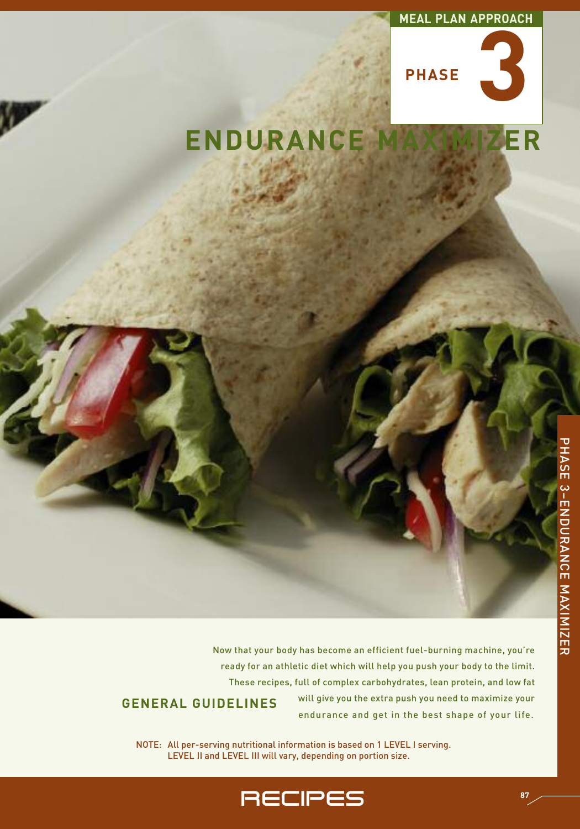#### **MEAL PLAN APPROACH**



# **ENDURANCE MAXIMIZER**

Now that your body has become an efficient fuel-burning machine, you're ready for an athletic diet which will help you push your body to the limit. These recipes, full of complex carbohydrates, lean protein, and low fat will give you the extra push you need to maximize your **GENERAL GUIDELINES**

endurance and get in the best shape of your life.

NOTE: All per-serving nutritional information is based on 1 LEVEL I serving. LEVEL II and LEVEL III will vary, depending on portion size.

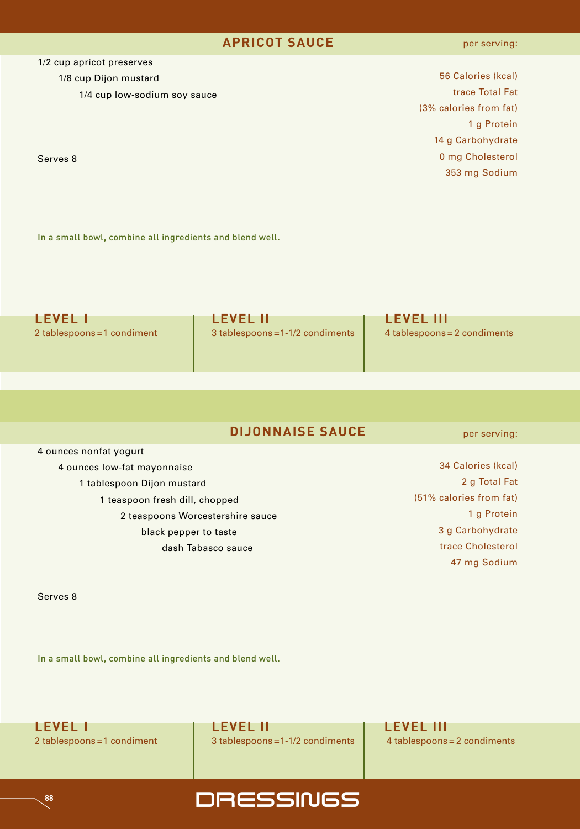#### **APRICOT SAUCE**

1/2 cup apricot preserves

1/8 cup Dijon mustard

1/4 cup low-sodium soy sauce

Serves 8

 Calories (kcal) trace Total Fat (3% calories from fat) g Protein g Carbohydrate mg Cholesterol mg Sodium

In a small bowl, combine all ingredients and blend well.

| <b>LEVEL 1</b>              | <b>LEVEL II</b>                    | <b>LEVEL III</b>               |
|-----------------------------|------------------------------------|--------------------------------|
| 2 tablespoons = 1 condiment | $3$ tablespoons = 1-1/2 condiments | $4$ tablespoons = 2 condiments |

### **DIJONNAISE SAUCE**

4 ounces nonfat yogurt

4 ounces low-fat mayonnaise

1 tablespoon Dijon mustard

1 teaspoon fresh dill, chopped

2 teaspoons Worcestershire sauce

black pepper to taste

dash Tabasco sauce

per serving:

| 34 Calories (kcal)      |
|-------------------------|
| 2 g Total Fat           |
| (51% calories from fat) |
| 1 g Protein             |
| 3 g Carbohydrate        |
| trace Cholesterol       |
| 47 mg Sodium            |

Serves 8

**88**

In a small bowl, combine all ingredients and blend well.



2 tablespoons =1 condiment 3 tablespoons =1-1/2 condiments 4 tablespoons = 2 condiments

**DRESSINGS**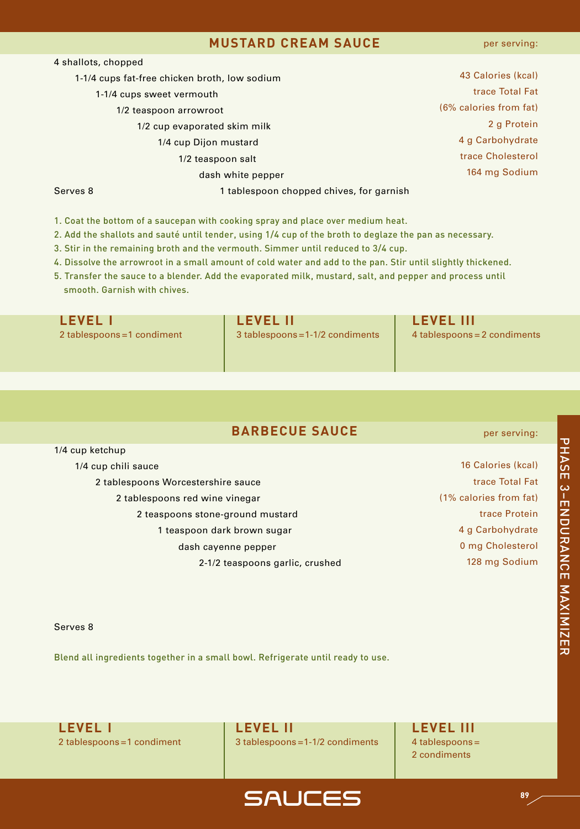#### **MUSTARD CREAM SAUCE**

| 4 shallots, chopped |                                               |                        |
|---------------------|-----------------------------------------------|------------------------|
|                     | 1-1/4 cups fat-free chicken broth, low sodium | 43 Calories (kcal)     |
|                     | 1-1/4 cups sweet vermouth                     | trace Total Fat        |
|                     | 1/2 teaspoon arrowroot                        | (6% calories from fat) |
|                     | 1/2 cup evaporated skim milk                  | 2 g Protein            |
|                     | 1/4 cup Dijon mustard                         | 4 g Carbohydrate       |
|                     | 1/2 teaspoon salt                             | trace Cholesterol      |
|                     | dash white pepper                             | 164 mg Sodium          |
| Serves 8            | 1 tablespoon chopped chives, for garnish      |                        |

- 1. Coat the bottom of a saucepan with cooking spray and place over medium heat.
- 2. Add the shallots and sauté until tender, using 1/4 cup of the broth to deglaze the pan as necessary.
- 3. Stir in the remaining broth and the vermouth. Simmer until reduced to 3/4 cup.
- 4. Dissolve the arrowroot in a small amount of cold water and add to the pan. Stir until slightly thickened.
- 5. Transfer the sauce to a blender. Add the evaporated milk, mustard, salt, and pepper and process until smooth. Garnish with chives.

| <b>LEVEL I</b>              | <b>LEVEL II</b>                  | <b>LEVEL III</b>             |
|-----------------------------|----------------------------------|------------------------------|
| 2 tablespoons = 1 condiment | 3 tablespoons = 1-1/2 condiments | 4 tablespoons = 2 condiments |
|                             |                                  |                              |
|                             |                                  |                              |

#### **BARBECUE SAUCE**

1/4 cup ketchup 1/4 cup chili sauce 2 tablespoons Worcestershire sauce 2 tablespoons red wine vinegar 2 teaspoons stone-ground mustard 1 teaspoon dark brown sugar dash cayenne pepper 2-1/2 teaspoons garlic, crushed 16 Calories (kcal) trace Total Fat (1% calories from fat) trace Protein 4 g Carbohydrate 0 mg Cholesterol 128 mg Sodium

#### Serves 8

Blend all ingredients together in a small bowl. Refrigerate until ready to use.

**LEVEL I LEVEL II LEVEL III**

2 tablespoons =1 condiment  $\vert$  3 tablespoons =1-1/2 condiments  $\vert$  4 tablespoons =

SAuCEs

2 condiments

고<br>고 A S E ω<br>⊓<br>Ζ ខ<br>C R A N C E z A XIMIZ E R

per serving:

**89**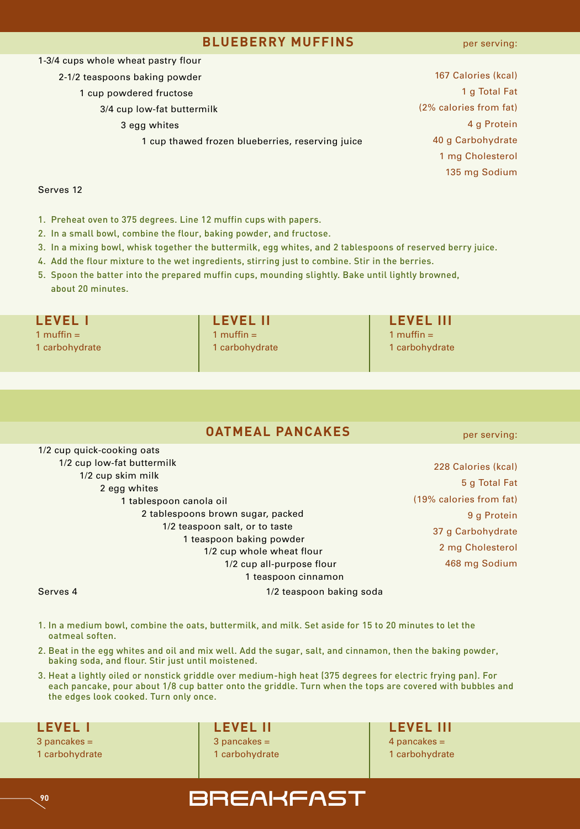#### **BLUEBERRY MUFFINS**

per serving:

| 1-3/4 cups whole wheat pastry flour              |                        |
|--------------------------------------------------|------------------------|
| 2-1/2 teaspoons baking powder                    | 167 Calories (kcal)    |
| 1 cup powdered fructose                          | 1 g Total Fat          |
| 3/4 cup low-fat buttermilk                       | (2% calories from fat) |
| 3 egg whites                                     | 4 g Protein            |
| 1 cup thawed frozen blueberries, reserving juice | 40 g Carbohydrate      |
|                                                  | 1 mg Cholesterol       |
|                                                  | 135 mg Sodium          |
|                                                  |                        |

#### Serves 12

- 1. Preheat oven to 375 degrees. Line 12 muffin cups with papers.
- 2. In a small bowl, combine the flour, baking powder, and fructose.
- 3. In a mixing bowl, whisk together the buttermilk, egg whites, and 2 tablespoons of reserved berry juice.
- 4. Add the flour mixture to the wet ingredients, stirring just to combine. Stir in the berries.
- 5. Spoon the batter into the prepared muffin cups, mounding slightly. Bake until lightly browned, about 20 minutes.

1 muffin = 1 muffin = 1 muffin = 1 carbohydrate 1 carbohydrate 1 carbohydrate 1 carbohydrate 1 carbohydrate

**LEVEL I LEVEL II LEVEL III**

## **OATMEAL PANCAKES**

1/2 cup quick-cooking oats 1/2 cup low-fat buttermilk 1/2 cup skim milk 2 egg whites 1 tablespoon canola oil 2 tablespoons brown sugar, packed 1/2 teaspoon salt, or to taste 1 teaspoon baking powder 1/2 cup whole wheat flour 1/2 cup all-purpose flour 1 teaspoon cinnamon per serving:

 Calories (kcal) g Total Fat (19% calories from fat) g Protein g Carbohydrate mg Cholesterol mg Sodium

#### Serves 4 1/2 teaspoon baking soda

- 1. In a medium bowl, combine the oats, buttermilk, and milk. Set aside for 15 to 20 minutes to let the oatmeal soften.
- 2. Beat in the egg whites and oil and mix well. Add the sugar, salt, and cinnamon, then the baking powder, baking soda, and flour. Stir just until moistened.
- 3. Heat a lightly oiled or nonstick griddle over medium-high heat (375 degrees for electric frying pan). For each pancake, pour about 1/8 cup batter onto the griddle. Turn when the tops are covered with bubbles and the edges look cooked. Turn only once.

3 pancakes = 3 pancakes = 4 pancakes = 1 carbohydrate 1 carbohydrate 1 carbohydrate 1 carbohydrate 1 carbohydrate

**LEVEL I LEVEL II LEVEL III**

## **POLITY SEPTEARFAST**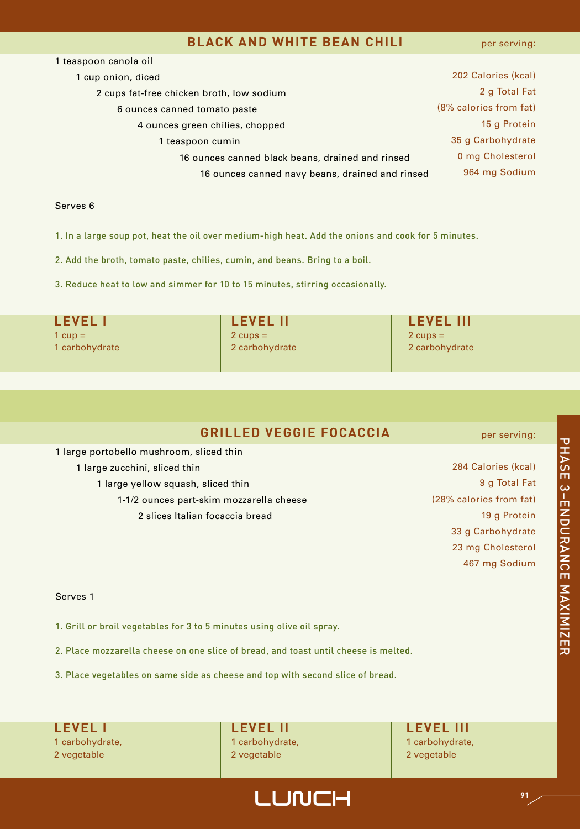#### **BLACK AND WHITE BEAN CHILI**

per serving:

| 1 teaspoon canola oil                            |                        |
|--------------------------------------------------|------------------------|
| 1 cup onion, diced                               | 202 Calories (kcal)    |
| 2 cups fat-free chicken broth, low sodium        | 2 g Total Fat          |
| 6 ounces canned tomato paste                     | (8% calories from fat) |
| 4 ounces green chilies, chopped                  | 15 g Protein           |
| 1 teaspoon cumin                                 | 35 g Carbohydrate      |
| 16 ounces canned black beans, drained and rinsed | 0 mg Cholesterol       |
| 16 ounces canned navy beans, drained and rinsed  | 964 mg Sodium          |
|                                                  |                        |

#### Serves 6

1. In a large soup pot, heat the oil over medium-high heat. Add the onions and cook for 5 minutes.

2. Add the broth, tomato paste, chilies, cumin, and beans. Bring to a boil.

3. Reduce heat to low and simmer for 10 to 15 minutes, stirring occasionally.

1 cup = 2 cups = 2 cups = 2 cups = 2 cups = 2 cups = 2 cups =

1 carbohydrate 2 carbohydrate 2 carbohydrate 2 carbohydrate 2 carbohydrate 2 carbohydrate

**LEVEL I LEVEL II LEVEL III**

## **GRILLED VEGGIE FOCACCIA**

 large portobello mushroom, sliced thin large zucchini, sliced thin large yellow squash, sliced thin 1-1/2 ounces part-skim mozzarella cheese slices Italian focaccia bread

per serving:

 Calories (kcal) g Total Fat (28% calories from fat) 19 a Protein g Carbohydrate mg Cholesterol mg Sodium

#### Serves 1

- 1. Grill or broil vegetables for 3 to 5 minutes using olive oil spray.
- 2. Place mozzarella cheese on one slice of bread, and toast until cheese is melted.
- 3. Place vegetables on same side as cheese and top with second slice of bread.

1 carbohydrate, 1 carbohydrate, 1 carbohydrate, 1 carbohydrate, 1 carbohydrate, 1 carbohydrate, 2 vegetable 2 vegetable 2 vegetable 2 vegetable 2 vegetable

LUNCH **<sup>91</sup>**

## **LEVEL I LEVEL II LEVEL III**

고<br>고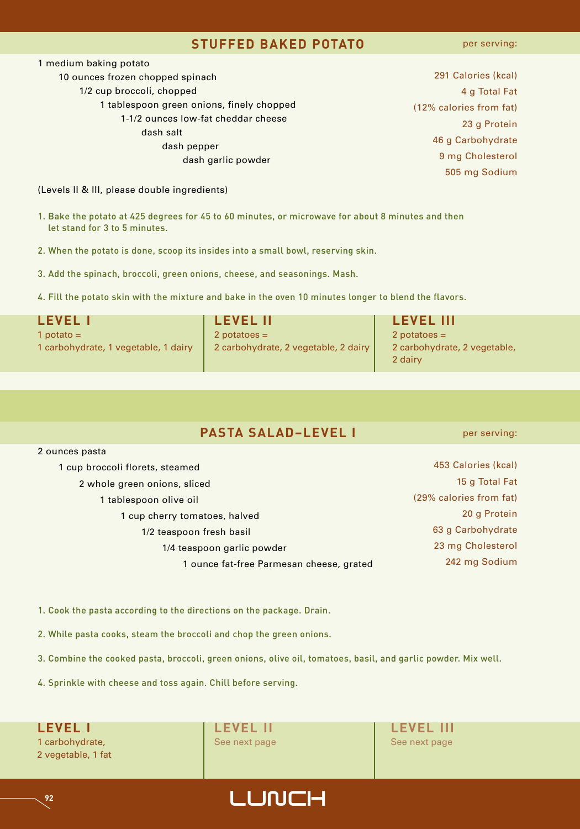#### **STUFFED BAKED POTATO**

per serving:

| 1 medium baking potato                    |
|-------------------------------------------|
| 10 ounces frozen chopped spinach          |
| 1/2 cup broccoli, chopped                 |
| 1 tablespoon green onions, finely chopped |
| 1-1/2 ounces low-fat cheddar cheese       |
| dash salt                                 |
| dash pepper                               |
| dash garlic powder                        |

 Calories (kcal) g Total Fat (12% calories from fat) g Protein g Carbohydrate mg Cholesterol mg Sodium

(Levels II & III, please double ingredients)

- 1. Bake the potato at 425 degrees for 45 to 60 minutes, or microwave for about 8 minutes and then let stand for 3 to 5 minutes.
- 2. When the potato is done, scoop its insides into a small bowl, reserving skin.
- 3. Add the spinach, broccoli, green onions, cheese, and seasonings. Mash.
- 4. Fill the potato skin with the mixture and bake in the oven 10 minutes longer to blend the flavors.

| LEVEL I                              | <b>LEVEL II</b>                      | <b>LEVEL III</b>                        |
|--------------------------------------|--------------------------------------|-----------------------------------------|
| 1 potato $=$                         | $2$ potatoes =                       | $2$ potatoes =                          |
| 1 carbohydrate, 1 vegetable, 1 dairy | 2 carbohydrate, 2 vegetable, 2 dairy | 2 carbohydrate, 2 vegetable,<br>2 dairy |

| <b>PASTA SALAD-LEVEL I</b> |
|----------------------------|
|----------------------------|

#### 2 ounces pasta

| 1 cup broccoli florets, steamed          | 453 Calories (kcal)     |
|------------------------------------------|-------------------------|
| 2 whole green onions, sliced             | 15 g Total Fat          |
| 1 tablespoon olive oil                   | (29% calories from fat) |
| 1 cup cherry tomatoes, halved            | 20 g Protein            |
| 1/2 teaspoon fresh basil                 | 63 g Carbohydrate       |
| 1/4 teaspoon garlic powder               | 23 mg Cholesterol       |
| 1 ounce fat-free Parmesan cheese, grated | 242 mg Sodium           |
|                                          |                         |

1. Cook the pasta according to the directions on the package. Drain.

2. While pasta cooks, steam the broccoli and chop the green onions.

3. Combine the cooked pasta, broccoli, green onions, olive oil, tomatoes, basil, and garlic powder. Mix well.

4. Sprinkle with cheese and toss again. Chill before serving.

1 carbohydrate, See next page See next page See next page See next page 2 vegetable, 1 fat

**LEVEL I LEVEL II LEVEL III**



#### per serving: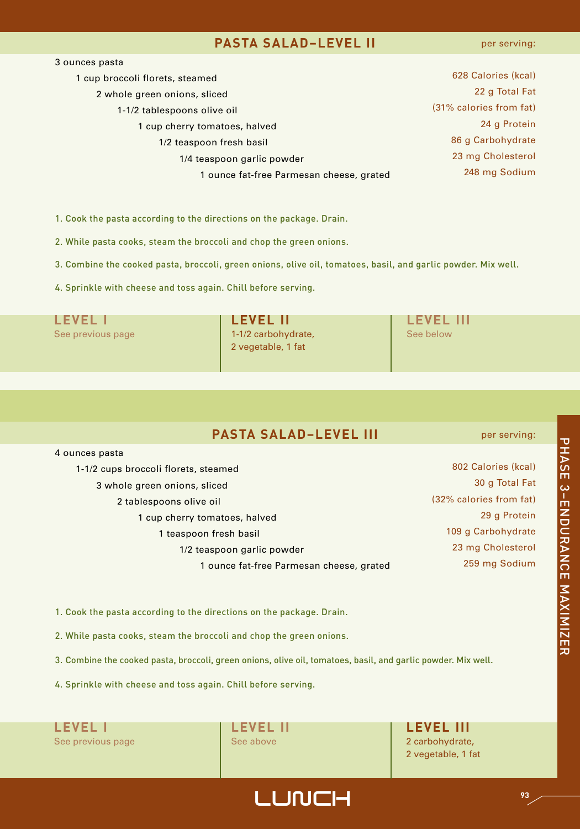#### **PASTA SALAD–LEVEL II**

per serving:

| 3 ounces pasta                           |                         |
|------------------------------------------|-------------------------|
| 1 cup broccoli florets, steamed          | 628 Calories (kcal)     |
| 2 whole green onions, sliced             | 22 g Total Fat          |
| 1-1/2 tablespoons olive oil              | (31% calories from fat) |
| 1 cup cherry tomatoes, halved            | 24 g Protein            |
| 1/2 teaspoon fresh basil                 | 86 g Carbohydrate       |
| 1/4 teaspoon garlic powder               | 23 mg Cholesterol       |
| 1 ounce fat-free Parmesan cheese, grated | 248 mg Sodium           |

1. Cook the pasta according to the directions on the package. Drain.

2. While pasta cooks, steam the broccoli and chop the green onions.

3. Combine the cooked pasta, broccoli, green onions, olive oil, tomatoes, basil, and garlic powder. Mix well.

4. Sprinkle with cheese and toss again. Chill before serving.

**LEVEL I LEVEL II LEVEL III** See previous page **1-1/2 carbohydrate,** See below 2 vegetable, 1 fat

## **PASTA SALAD–LEVEL III**

 ounces pasta 1-1/2 cups broccoli florets, steamed whole green onions, sliced tablespoons olive oil cup cherry tomatoes, halved teaspoon fresh basil 1/2 teaspoon garlic powder ounce fat-free Parmesan cheese, grated

 Calories (kcal) g Total Fat (32% calories from fat) g Protein g Carbohydrate mg Cholesterol mg Sodium

per serving:

1. Cook the pasta according to the directions on the package. Drain.

2. While pasta cooks, steam the broccoli and chop the green onions.

3. Combine the cooked pasta, broccoli, green onions, olive oil, tomatoes, basil, and garlic powder. Mix well.

4. Sprinkle with cheese and toss again. Chill before serving.

**LEVEL I LEVEL II LEVEL III** See previous page **See above** 2 carbohydrate,

2 vegetable, 1 fat

# 고<br>고 A S E ω<br>⊓<br>Ζ ខ<br>C R A N C E z A XIMIZ E R

## LUNCH **<sup>93</sup>**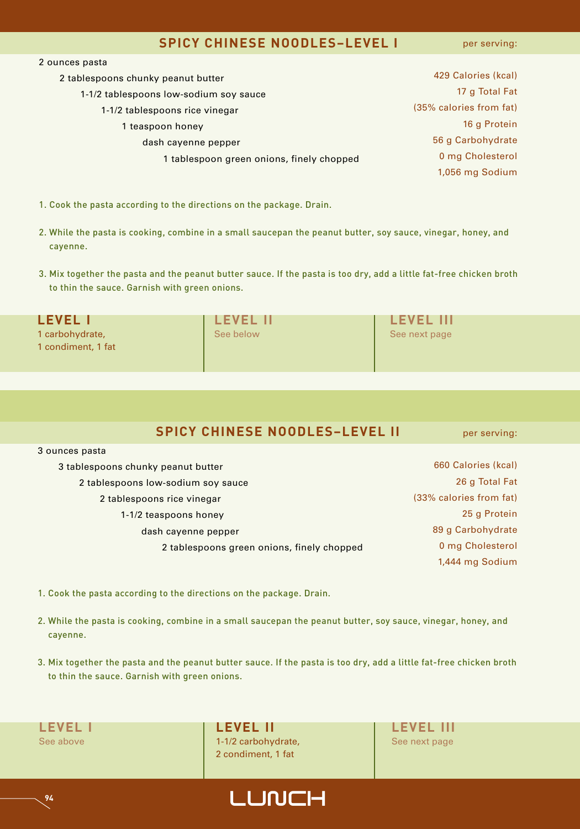#### **SPICY CHINESE NOODLES–LEVEL I**

per serving:

| 2 ounces pasta                            |                         |
|-------------------------------------------|-------------------------|
| 2 tablespoons chunky peanut butter        | 429 Calories (kcal)     |
| 1-1/2 tablespoons low-sodium soy sauce    | 17 g Total Fat          |
| 1-1/2 tablespoons rice vinegar            | (35% calories from fat) |
| 1 teaspoon honey                          | 16 g Protein            |
| dash cayenne pepper                       | 56 g Carbohydrate       |
| 1 tablespoon green onions, finely chopped | 0 mg Cholesterol        |
|                                           | 1,056 mg Sodium         |
|                                           |                         |

- 1. Cook the pasta according to the directions on the package. Drain.
- 2. While the pasta is cooking, combine in a small saucepan the peanut butter, soy sauce, vinegar, honey, and cayenne.
- 3. Mix together the pasta and the peanut butter sauce. If the pasta is too dry, add a little fat-free chicken broth to thin the sauce. Garnish with green onions.

| <b>LEVEL I</b>     | <b>LEVEL II</b> | <b>LEVEL III</b> |
|--------------------|-----------------|------------------|
| 1 carbohydrate,    | See below       | See next page    |
| 1 condiment, 1 fat |                 |                  |
|                    |                 |                  |

|  |  | <b>SPICY CHINESE NOODLES-LEVEL II</b> |  |
|--|--|---------------------------------------|--|
|--|--|---------------------------------------|--|

per serving:

| 3 tablespoons chunky peanut butter         | 660 Calories (kcal)     |
|--------------------------------------------|-------------------------|
| 2 tablespoons low-sodium soy sauce         | 26 g Total Fat          |
| 2 tablespoons rice vinegar                 | (33% calories from fat) |
| 1-1/2 teaspoons honey                      | 25 g Protein            |
| dash cayenne pepper                        | 89 g Carbohydrate       |
| 2 tablespoons green onions, finely chopped | 0 mg Cholesterol        |
|                                            | 1,444 mg Sodium         |

1. Cook the pasta according to the directions on the package. Drain.

**P4 LUNCH** 

- 2. While the pasta is cooking, combine in a small saucepan the peanut butter, soy sauce, vinegar, honey, and cayenne.
- 3. Mix together the pasta and the peanut butter sauce. If the pasta is too dry, add a little fat-free chicken broth to thin the sauce. Garnish with green onions.

3 ounces pasta

**LEVEL I LEVEL II LEVEL III** See above 1-1-1/2 carbohydrate, See next page 1-1/2 carbohydrate, 2 condiment, 1 fat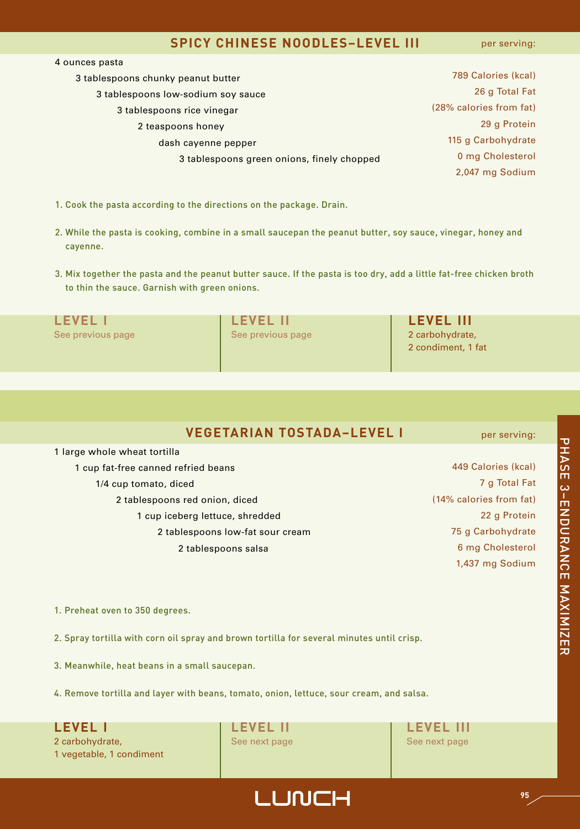#### **SPICY CHINESE NOODLES–LEVEL III**

per serving:

| 4 ounces pasta                             |                         |
|--------------------------------------------|-------------------------|
| 3 tablespoons chunky peanut butter         | 789 Calories (kcal)     |
| 3 tablespoons low-sodium soy sauce         | 26 g Total Fat          |
| 3 tablespoons rice vinegar                 | (28% calories from fat) |
| 2 teaspoons honey                          | 29 g Protein            |
| dash cayenne pepper                        | 115 g Carbohydrate      |
| 3 tablespoons green onions, finely chopped | 0 mg Cholesterol        |
|                                            | 2,047 mg Sodium         |
|                                            |                         |

- 1. Cook the pasta according to the directions on the package. Drain.
- 2. While the pasta is cooking, combine in a small saucepan the peanut butter, soy sauce, vinegar, honey and cayenne.
- 3. Mix together the pasta and the peanut butter sauce. If the pasta is too dry, add a little fat-free chicken broth to thin the sauce. Garnish with green onions.

| LEVEL             | <b>LEVEL II</b>   | <b>LEVEL III</b>                      |
|-------------------|-------------------|---------------------------------------|
| See previous page | See previous page | 2 carbohydrate,<br>2 condiment, 1 fat |

 large whole wheat tortilla cup fat-free canned refried beans 1/4 cup tomato, diced tablespoons red onion, diced cup iceberg lettuce, shredded tablespoons low-fat sour cream tablespoons salsa

 Calories (kcal) g Total Fat (14% calories from fat) g Protein g Carbohydrate mg Cholesterol 1,437 mg Sodium

per serving:

1. Preheat oven to 350 degrees.

2. Spray tortilla with corn oil spray and brown tortilla for several minutes until crisp.

3. Meanwhile, heat beans in a small saucepan.

4. Remove tortilla and layer with beans, tomato, onion, lettuce, sour cream, and salsa.

**LEVEL I LEVEL II LEVEL III** 2 carbohydrate, See next page See next page See next page See next page 1 vegetable, 1 condiment

# 고<br>고 A S E ω<br>⊓<br>Ζ ខ<br>C R A N C E z A XIMIZ E R

## LUNCH **<sup>95</sup>**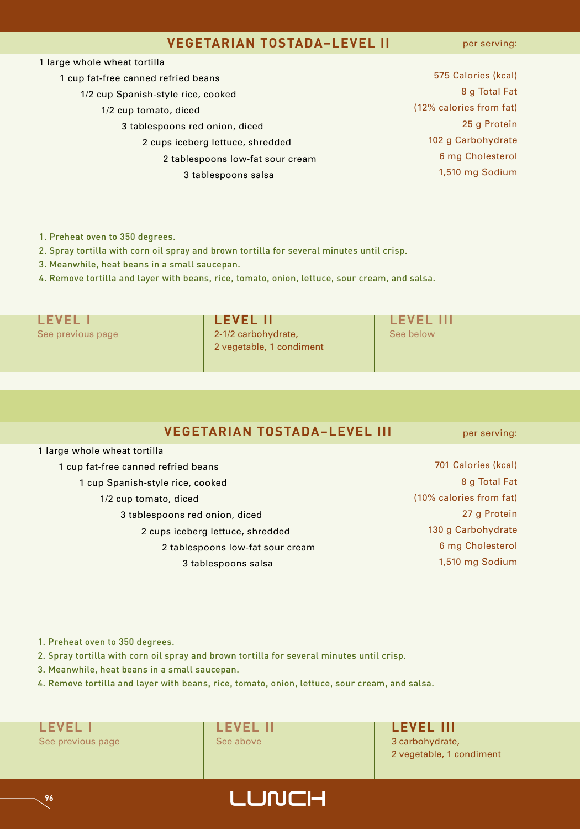#### **VEGETARIAN TOSTADA–LEVEL II**

per serving:

| 1 large whole wheat tortilla        |                         |
|-------------------------------------|-------------------------|
| 1 cup fat-free canned refried beans | 575 Calories (kcal)     |
| 1/2 cup Spanish-style rice, cooked  | 8 g Total Fat           |
| 1/2 cup tomato, diced               | (12% calories from fat) |
| 3 tablespoons red onion, diced      | 25 g Protein            |
| 2 cups iceberg lettuce, shredded    | 102 g Carbohydrate      |
| 2 tablespoons low-fat sour cream    | 6 mg Cholesterol        |
| 3 tablespoons salsa                 | 1,510 mg Sodium         |
|                                     |                         |

1. Preheat oven to 350 degrees.

2. Spray tortilla with corn oil spray and brown tortilla for several minutes until crisp.

3. Meanwhile, heat beans in a small saucepan.

4. Remove tortilla and layer with beans, rice, tomato, onion, lettuce, sour cream, and salsa.

See previous page 2-1/2 carbohydrate, See below 2 vegetable, 1 condiment

**LEVEL I LEVEL II LEVEL III**

#### **VEGETARIAN TOSTADA–LEVEL III**

per serving:

701 Calories (kcal) 8 g Total Fat

| 1 cup fat-free canned refried beans |
|-------------------------------------|
| 1 cup Spanish-style rice, cooked    |
| 1/2 cup tomato, diced               |
| 3 tablespoons red onion, diced      |
| 2 cups iceberg lettuce, shredded    |
| 2 tablespoons low-fat sour cream    |

(10% calories from fat) 27 g Protein 130 g Carbohydrate 6 mg Cholesterol 1,510 mg Sodium

1. Preheat oven to 350 degrees.

1 large whole wheat tortilla

2. Spray tortilla with corn oil spray and brown tortilla for several minutes until crisp.

3 tablespoons salsa

3. Meanwhile, heat beans in a small saucepan.

4. Remove tortilla and layer with beans, rice, tomato, onion, lettuce, sour cream, and salsa.

**LEVEL I LEVEL II LEVEL III** See previous page **See above** 3 carbohydrate,

2 vegetable, 1 condiment

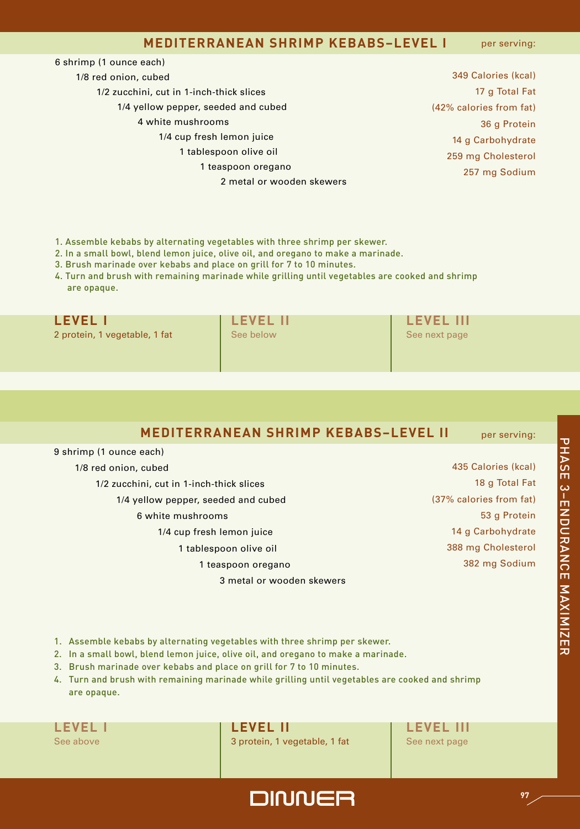#### **MEDITERRANEAN SHRIMP KEBABS–LEVEL I**

per serving:

| 6 shrimp (1 ounce each)                  |  |
|------------------------------------------|--|
| 1/8 red onion, cubed                     |  |
| 1/2 zucchini, cut in 1-inch-thick slices |  |
| 1/4 yellow pepper, seeded and cubed      |  |
| 4 white mushrooms                        |  |
| 1/4 cup fresh lemon juice                |  |
| 1 tablespoon olive oil                   |  |
| 1 teaspoon oregano                       |  |
| 2 metal or wooden skewers                |  |
|                                          |  |

 Calories (kcal) g Total Fat (42% calories from fat) g Protein g Carbohydrate mg Cholesterol mg Sodium

#### 1. Assemble kebabs by alternating vegetables with three shrimp per skewer.

2. In a small bowl, blend lemon juice, olive oil, and oregano to make a marinade.

- 3. Brush marinade over kebabs and place on grill for 7 to 10 minutes.
- 4. Turn and brush with remaining marinade while grilling until vegetables are cooked and shrimp are opaque.

2 protein, 1 vegetable, 1 fat See below See below See next page

**LEVEL I LEVEL II LEVEL III**

#### **MEDITERRANEAN SHRIMP KEBABS–LEVEL II** per serving:

9 shrimp (1 ounce each)

1/8 red onion, cubed

1/2 zucchini, cut in 1-inch-thick slices

- 1/4 yellow pepper, seeded and cubed
	- 6 white mushrooms
		- 1/4 cup fresh lemon juice

1 tablespoon olive oil

1 teaspoon oregano

3 metal or wooden skewers

 Calories (kcal) g Total Fat (37% calories from fat) g Protein g Carbohydrate mg Cholesterol mg Sodium

- 1. Assemble kebabs by alternating vegetables with three shrimp per skewer.
- 2. In a small bowl, blend lemon juice, olive oil, and oregano to make a marinade.
- 3. Brush marinade over kebabs and place on grill for 7 to 10 minutes.
- 4. Turn and brush with remaining marinade while grilling until vegetables are cooked and shrimp are opaque.

**LEVEL I LEVEL II LEVEL III** See above 3 protein, 1 vegetable, 1 fat See next page

DINNER **<sup>97</sup>**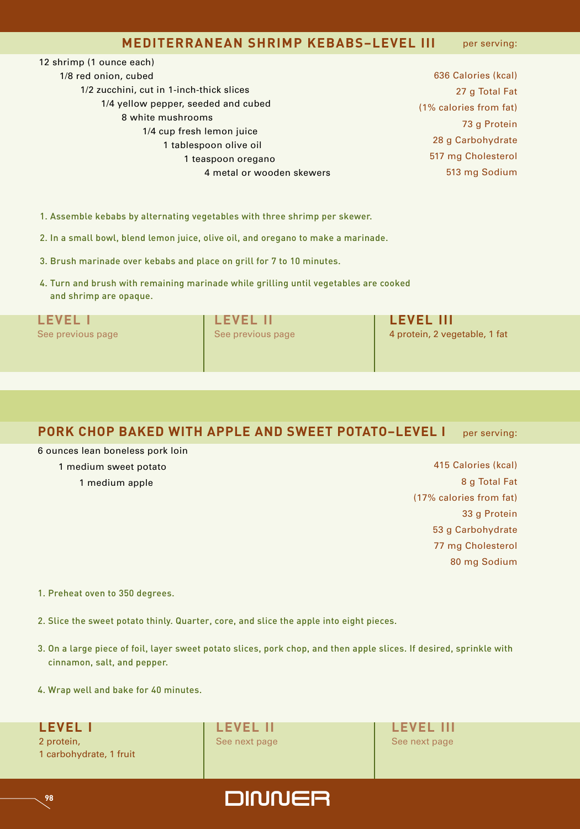#### **MEDITERRANEAN SHRIMP KEBABS–LEVEL III** per serving:

# 12 shrimp (1 ounce each)

1/8 red onion, cubed 1/2 zucchini, cut in 1-inch-thick slices 1/4 yellow pepper, seeded and cubed 8 white mushrooms 1/4 cup fresh lemon juice 1 tablespoon olive oil 1 teaspoon oregano 4 metal or wooden skewers

 Calories (kcal) g Total Fat (1% calories from fat) g Protein g Carbohydrate mg Cholesterol mg Sodium

1. Assemble kebabs by alternating vegetables with three shrimp per skewer.

2. In a small bowl, blend lemon juice, olive oil, and oregano to make a marinade.

3. Brush marinade over kebabs and place on grill for 7 to 10 minutes.

4. Turn and brush with remaining marinade while grilling until vegetables are cooked and shrimp are opaque.

**LEVEL I LEVEL II LEVEL III** See previous page See previous page 1. See previous page 1. See previous page 4 protein, 2 vegetable, 1 fat

#### **PORK CHOP BAKED WITH APPLE AND SWEET POTATO–LEVEL I** per serving:

6 ounces lean boneless pork loin

1 medium sweet potato

1 medium apple

 Calories (kcal) g Total Fat (17% calories from fat) g Protein g Carbohydrate mg Cholesterol mg Sodium

1. Preheat oven to 350 degrees.

2. Slice the sweet potato thinly. Quarter, core, and slice the apple into eight pieces.

3. On a large piece of foil, layer sweet potato slices, pork chop, and then apple slices. If desired, sprinkle with cinnamon, salt, and pepper.

4. Wrap well and bake for 40 minutes.

2 protein, See next page See next page See next page See next page See next page 1 carbohydrate, 1 fruit

**LEVEL I LEVEL II LEVEL III**